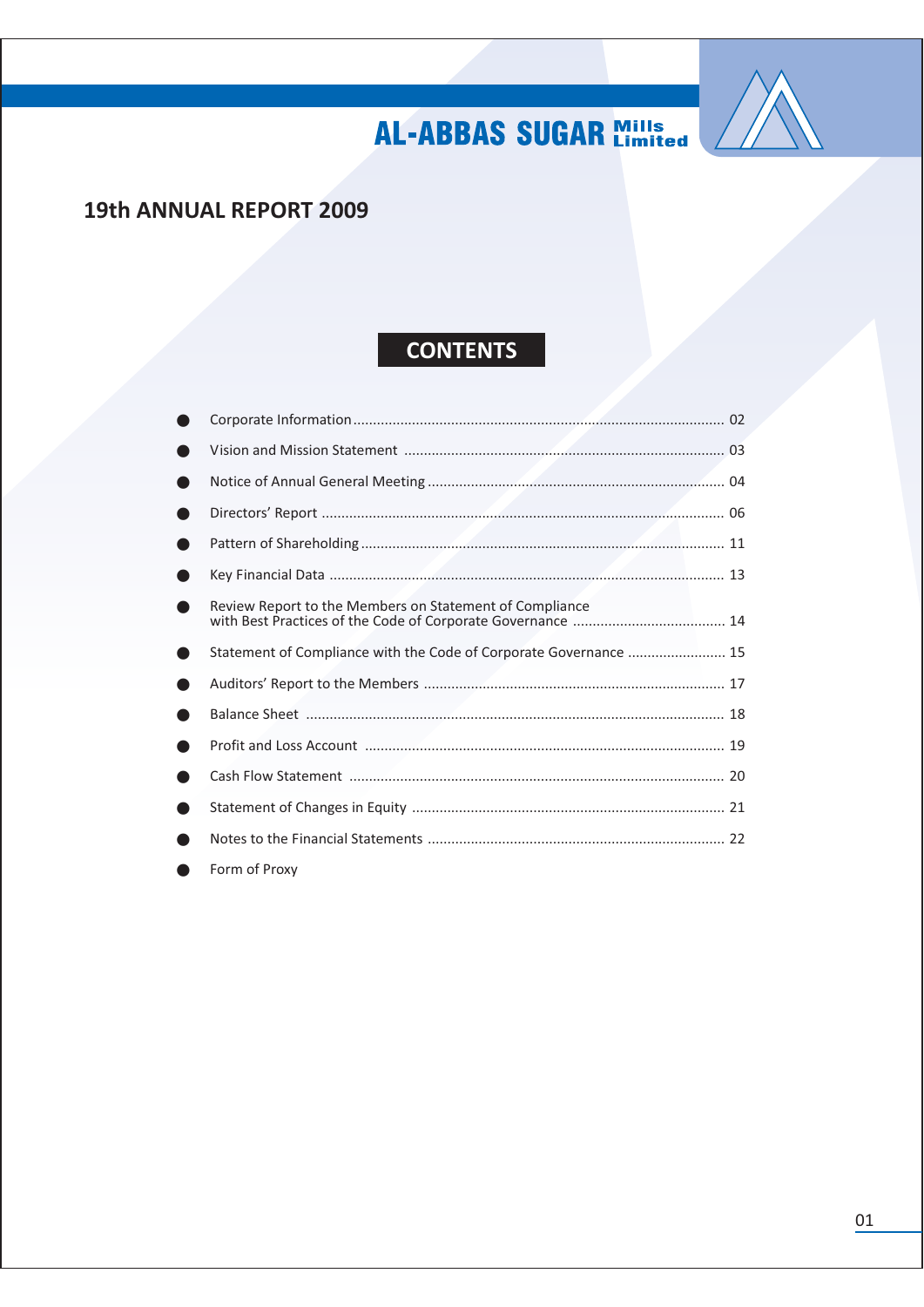

### 19th ANNUAL REPORT 2009

### **CONTENTS**

| Review Report to the Members on Statement of Compliance           |  |
|-------------------------------------------------------------------|--|
| Statement of Compliance with the Code of Corporate Governance  15 |  |
|                                                                   |  |
|                                                                   |  |
|                                                                   |  |
|                                                                   |  |
|                                                                   |  |
|                                                                   |  |
| Form of Proxy                                                     |  |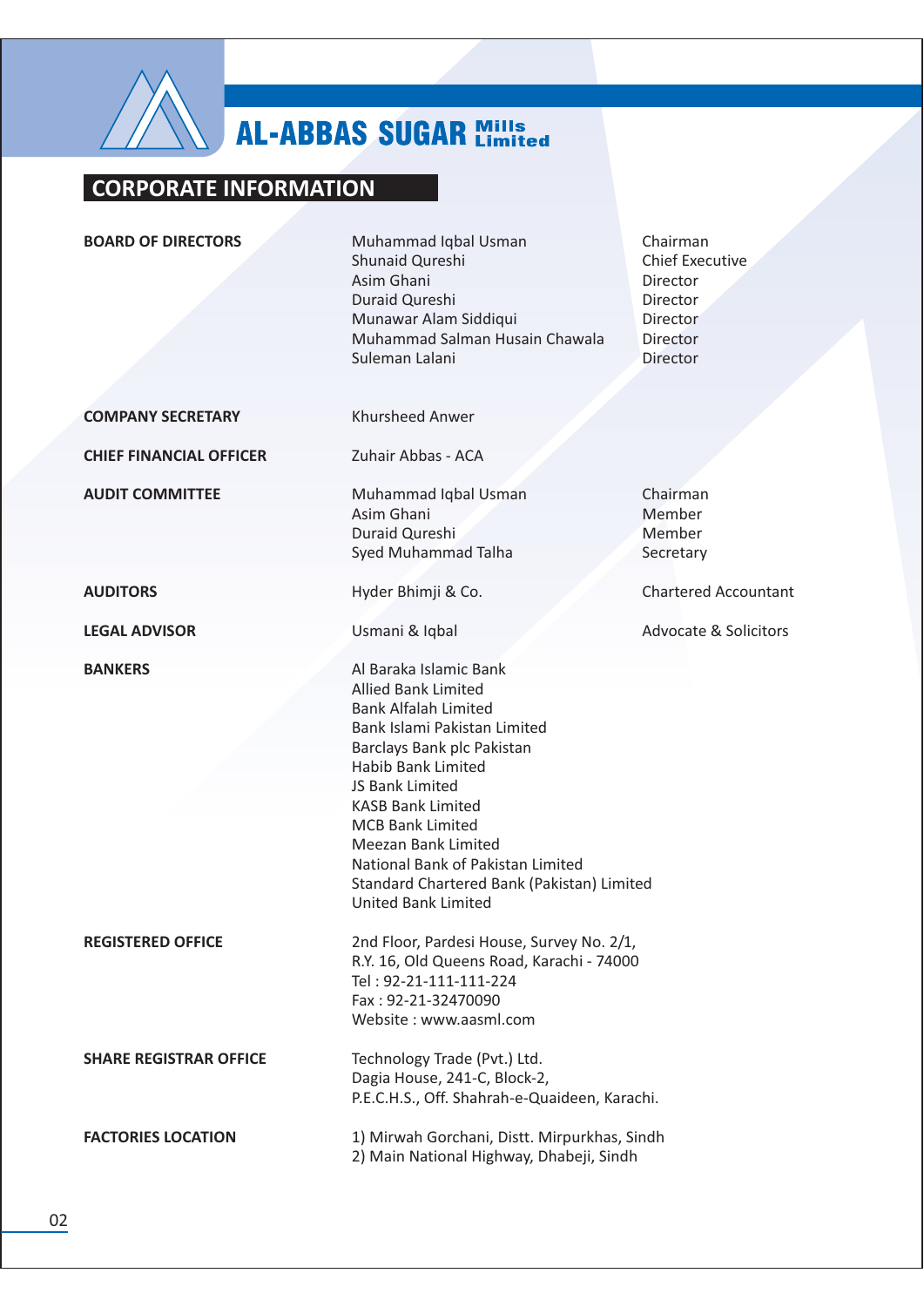

### **CORPORATE INFORMATION**

**BOARD OF DIRECTORS** Muhammad Iqbal Usman Chairman Shunaid Qureshi **Chief Executive** Asim Ghani Director Duraid Oureshi Director Munawar Alam Siddiqui **Director** Muhammad Salman Husain Chawala **Director** Suleman Lalani **Director Khursheed Anwer COMPANY SECRETARY CHIEF FINANCIAL OFFICER** Zuhair Abbas - ACA **AUDIT COMMITTEE** Muhammad Iqbal Usman Chairman Asim Ghani Member Duraid Qureshi Member Syed Muhammad Talha Secretary **AUDITORS** Hyder Bhimji & Co. **Chartered Accountant LEGAL ADVISOR** Usmani & Iqbal **Advocate & Solicitors BANKERS** Al Baraka Islamic Bank **Allied Bank Limited Bank Alfalah Limited** Bank Islami Pakistan Limited Barclays Bank plc Pakistan **Habib Bank Limited JS Bank Limited KASB Bank Limited MCB Bank Limited Meezan Bank Limited** National Bank of Pakistan Limited Standard Chartered Bank (Pakistan) Limited **United Bank Limited REGISTERED OFFICE** 2nd Floor, Pardesi House, Survey No. 2/1, R.Y. 16, Old Queens Road, Karachi - 74000 Tel: 92-21-111-111-224 Fax: 92-21-32470090 Website: www.aasml.com

> Technology Trade (Pvt.) Ltd. Dagia House, 241-C, Block-2, P.E.C.H.S., Off. Shahrah-e-Quaideen, Karachi.

1) Mirwah Gorchani, Distt. Mirpurkhas, Sindh 2) Main National Highway, Dhabeji, Sindh

**SHARE REGISTRAR OFFICE** 

**FACTORIES LOCATION**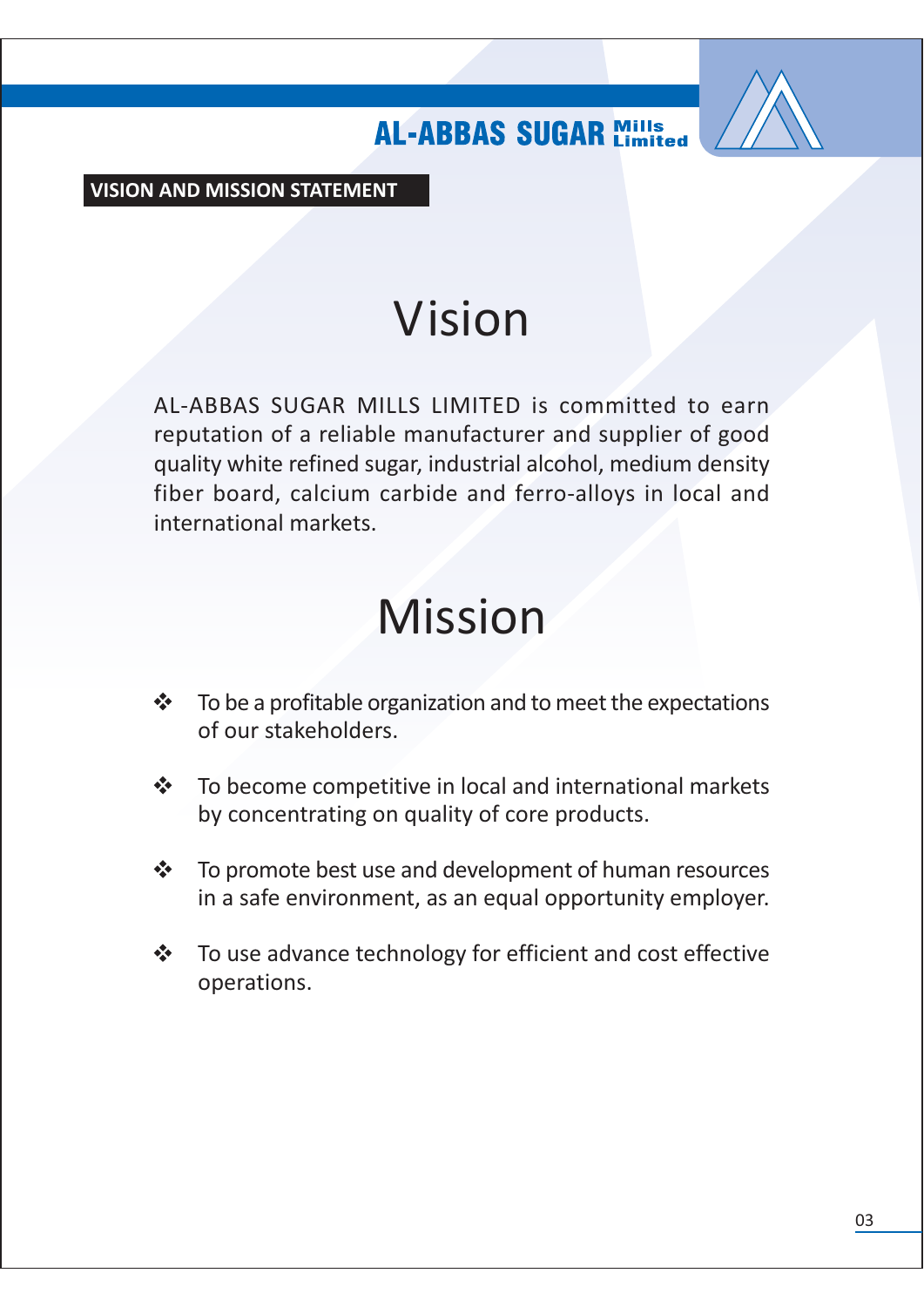

**VISION AND MISSION STATEMENT** 

# Vision

AL-ABBAS SUGAR MILLS LIMITED is committed to earn reputation of a reliable manufacturer and supplier of good quality white refined sugar, industrial alcohol, medium density fiber board, calcium carbide and ferro-alloys in local and international markets

# **Mission**

- To be a profitable organization and to meet the expectations  $\frac{1}{2}$ of our stakeholders.
- $\frac{1}{2}$ To become competitive in local and international markets by concentrating on quality of core products.
- $\frac{1}{2}$ To promote best use and development of human resources in a safe environment, as an equal opportunity employer.
- To use advance technology for efficient and cost effective  $\frac{1}{2}$ operations.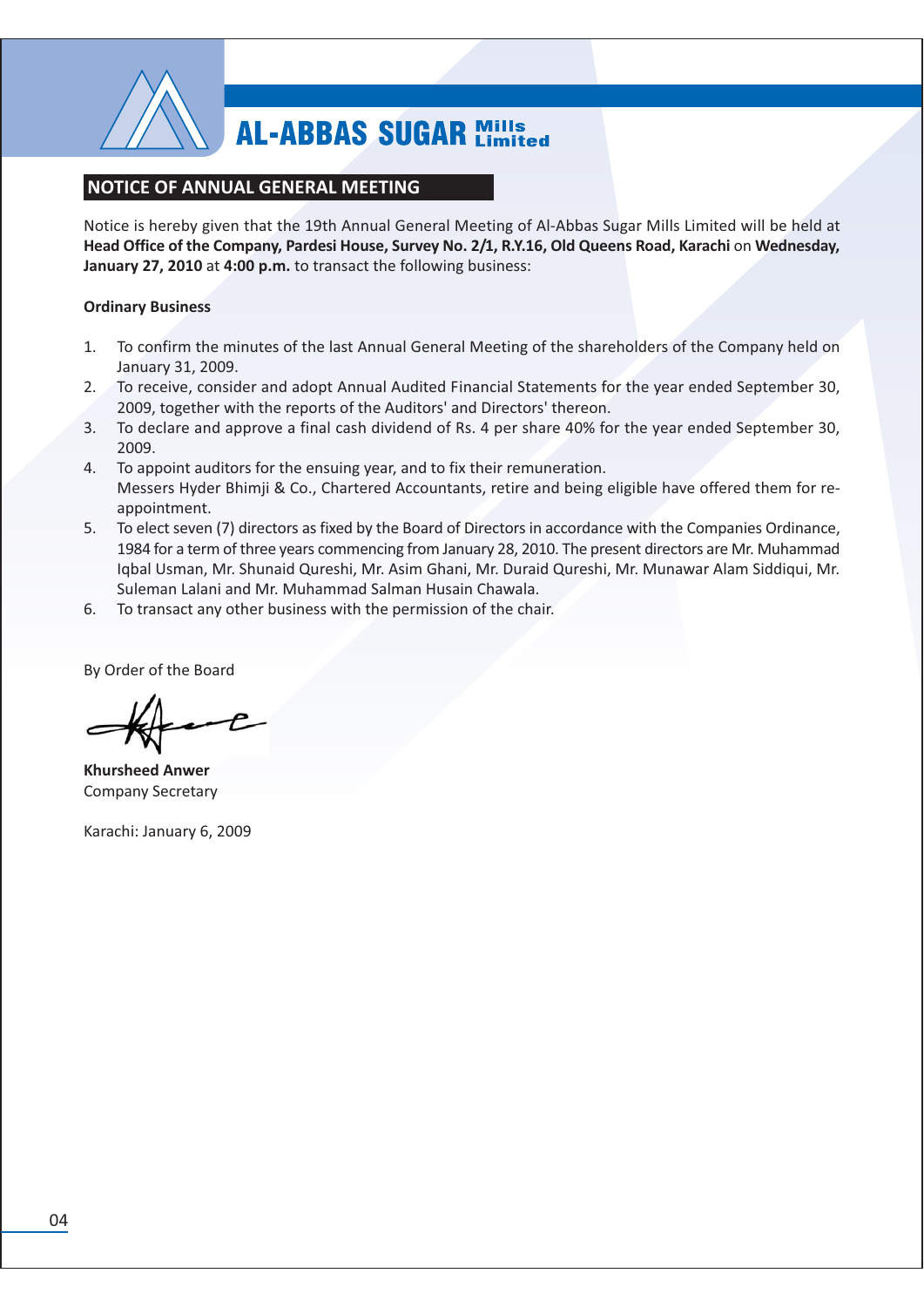

### **NOTICE OF ANNUAL GENERAL MEETING**

Notice is hereby given that the 19th Annual General Meeting of Al-Abbas Sugar Mills Limited will be held at Head Office of the Company, Pardesi House, Survey No. 2/1, R.Y.16, Old Queens Road, Karachi on Wednesday, January 27, 2010 at 4:00 p.m. to transact the following business:

### **Ordinary Business**

- To confirm the minutes of the last Annual General Meeting of the shareholders of the Company held on  $1.$ January 31, 2009.
- To receive, consider and adopt Annual Audited Financial Statements for the year ended September 30,  $2.$ 2009, together with the reports of the Auditors' and Directors' thereon.
- To declare and approve a final cash dividend of Rs. 4 per share 40% for the year ended September 30,  $3.$ 2009.
- 4. To appoint auditors for the ensuing year, and to fix their remuneration. Messers Hyder Bhimji & Co., Chartered Accountants, retire and being eligible have offered them for reappointment.
- 5. To elect seven (7) directors as fixed by the Board of Directors in accordance with the Companies Ordinance, 1984 for a term of three years commencing from January 28, 2010. The present directors are Mr. Muhammad Iqbal Usman, Mr. Shunaid Qureshi, Mr. Asim Ghani, Mr. Duraid Qureshi, Mr. Munawar Alam Siddiqui, Mr. Suleman Lalani and Mr. Muhammad Salman Husain Chawala.
- 6. To transact any other business with the permission of the chair.

By Order of the Board

**Khursheed Anwer Company Secretary** 

Karachi: January 6, 2009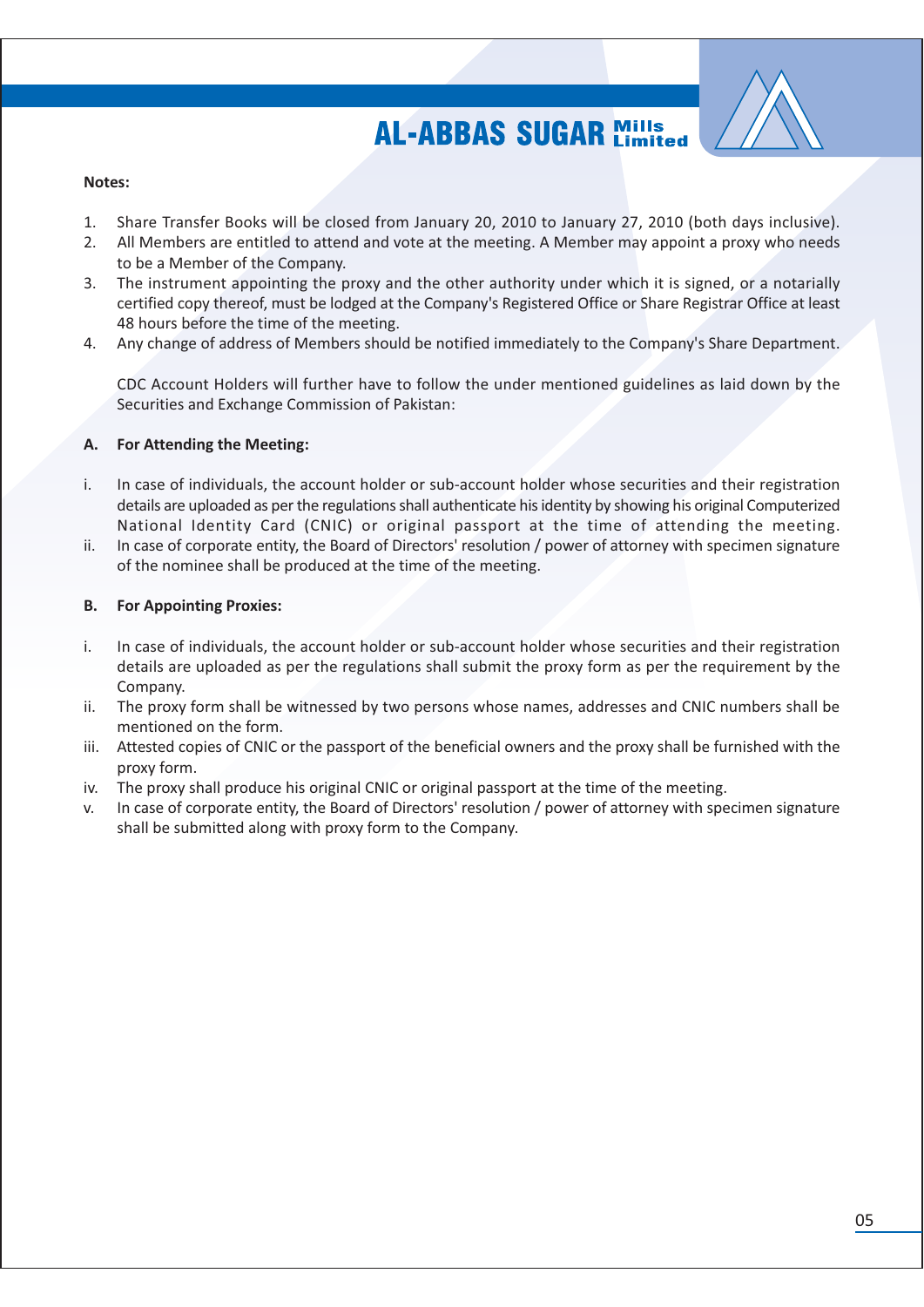

### Notes:

- Share Transfer Books will be closed from January 20, 2010 to January 27, 2010 (both days inclusive). 1.
- $\mathcal{D}$ All Members are entitled to attend and vote at the meeting. A Member may appoint a proxy who needs to be a Member of the Company.
- The instrument appointing the proxy and the other authority under which it is signed, or a notarially  $3.$ certified copy thereof, must be lodged at the Company's Registered Office or Share Registrar Office at least 48 hours before the time of the meeting.
- Any change of address of Members should be notified immediately to the Company's Share Department. 4.

CDC Account Holders will further have to follow the under mentioned guidelines as laid down by the Securities and Exchange Commission of Pakistan:

#### Α. For Attending the Meeting:

- $\mathbf{i}$ . In case of individuals, the account holder or sub-account holder whose securities and their registration details are uploaded as per the regulations shall authenticate his identity by showing his original Computerized National Identity Card (CNIC) or original passport at the time of attending the meeting.
- ii. In case of corporate entity, the Board of Directors' resolution / power of attorney with specimen signature of the nominee shall be produced at the time of the meeting.

#### **For Appointing Proxies: B.**

- In case of individuals, the account holder or sub-account holder whose securities and their registration i. details are uploaded as per the regulations shall submit the proxy form as per the requirement by the Company.
- The proxy form shall be witnessed by two persons whose names, addresses and CNIC numbers shall be ii. mentioned on the form.
- iii. Attested copies of CNIC or the passport of the beneficial owners and the proxy shall be furnished with the proxy form.
- The proxy shall produce his original CNIC or original passport at the time of the meeting. iv.
- In case of corporate entity, the Board of Directors' resolution / power of attorney with specimen signature V. shall be submitted along with proxy form to the Company.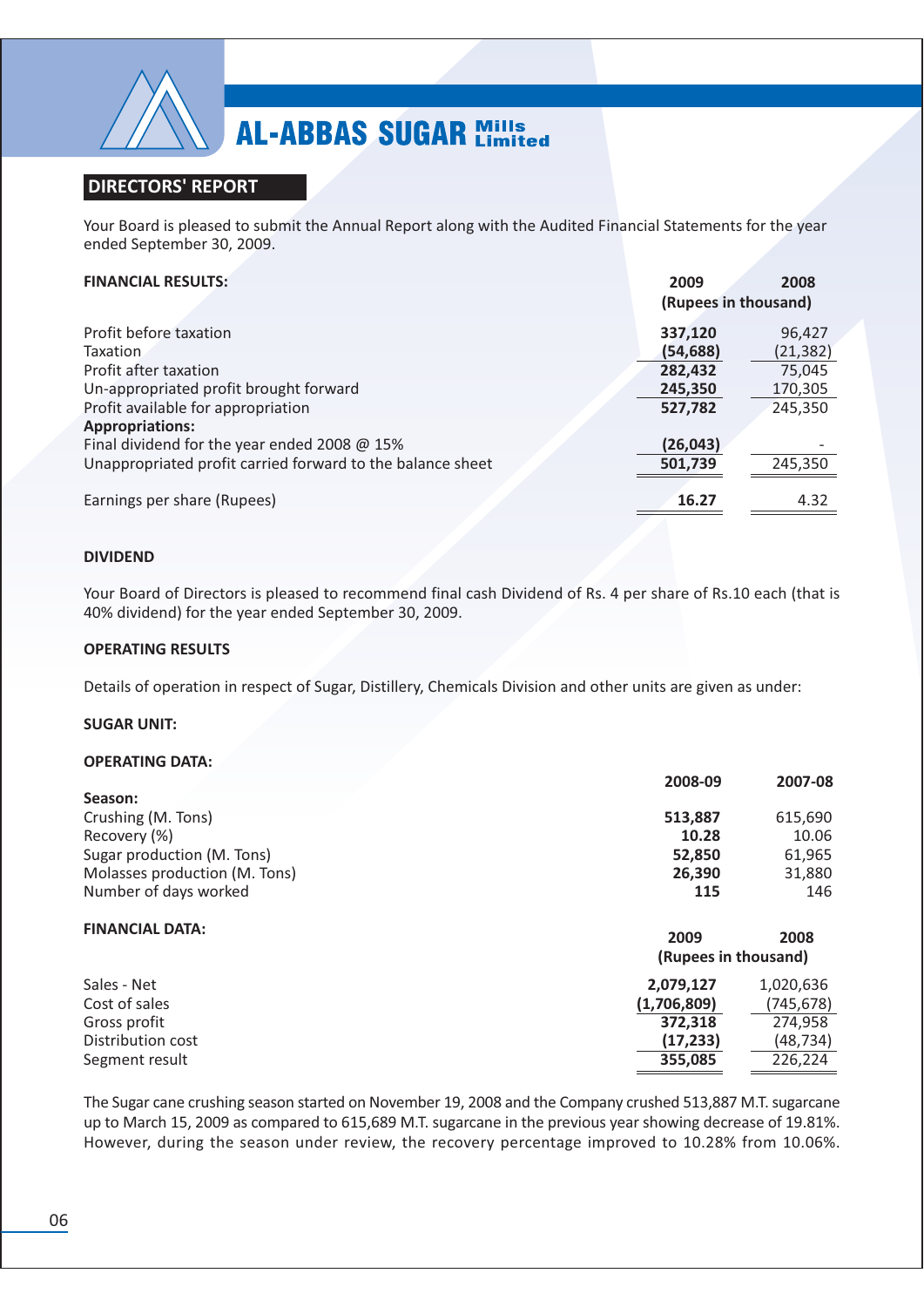

### **DIRECTORS' REPORT**

Your Board is pleased to submit the Annual Report along with the Audited Financial Statements for the year ended September 30, 2009.

### **FINANCIAL RESULTS:**

| <b>FINANCIAL RESULTS:</b>                                  | 2009                 | 2008      |
|------------------------------------------------------------|----------------------|-----------|
|                                                            | (Rupees in thousand) |           |
| Profit before taxation                                     | 337,120              | 96,427    |
| Taxation                                                   | (54, 688)            | (21, 382) |
| Profit after taxation                                      | 282,432              | 75,045    |
| Un-appropriated profit brought forward                     | 245,350              | 170,305   |
| Profit available for appropriation                         | 527,782              | 245,350   |
| <b>Appropriations:</b>                                     |                      |           |
| Final dividend for the year ended 2008 @ 15%               | (26, 043)            |           |
| Unappropriated profit carried forward to the balance sheet | 501,739              | 245,350   |
|                                                            |                      |           |
| Earnings per share (Rupees)                                | 16.27                | 4.32      |

### **DIVIDEND**

Your Board of Directors is pleased to recommend final cash Dividend of Rs. 4 per share of Rs.10 each (that is 40% dividend) for the year ended September 30, 2009.

#### **OPERATING RESULTS**

Details of operation in respect of Sugar, Distillery, Chemicals Division and other units are given as under:

#### **SUGAR UNIT:**

#### **OPERATING DATA:**

|                               | 2008-09              | 2007-08   |
|-------------------------------|----------------------|-----------|
| Season:                       |                      |           |
| Crushing (M. Tons)            | 513,887              | 615,690   |
| Recovery (%)                  | 10.28                | 10.06     |
| Sugar production (M. Tons)    | 52,850               | 61,965    |
| Molasses production (M. Tons) | 26,390               | 31,880    |
| Number of days worked         | 115                  | 146       |
| <b>FINANCIAL DATA:</b>        | 2009                 | 2008      |
|                               | (Rupees in thousand) |           |
| Sales - Net                   | 2,079,127            | 1,020,636 |
| Cost of sales                 | (1,706,809)          | (745,678) |
| Gross profit                  | 372,318              | 274,958   |
| Distribution cost             | (17, 233)            | (48, 734) |
| Segment result                | 355,085              | 226,224   |
|                               |                      |           |

The Sugar cane crushing season started on November 19, 2008 and the Company crushed 513,887 M.T. sugarcane up to March 15, 2009 as compared to 615,689 M.T. sugarcane in the previous year showing decrease of 19.81%. However, during the season under review, the recovery percentage improved to 10.28% from 10.06%.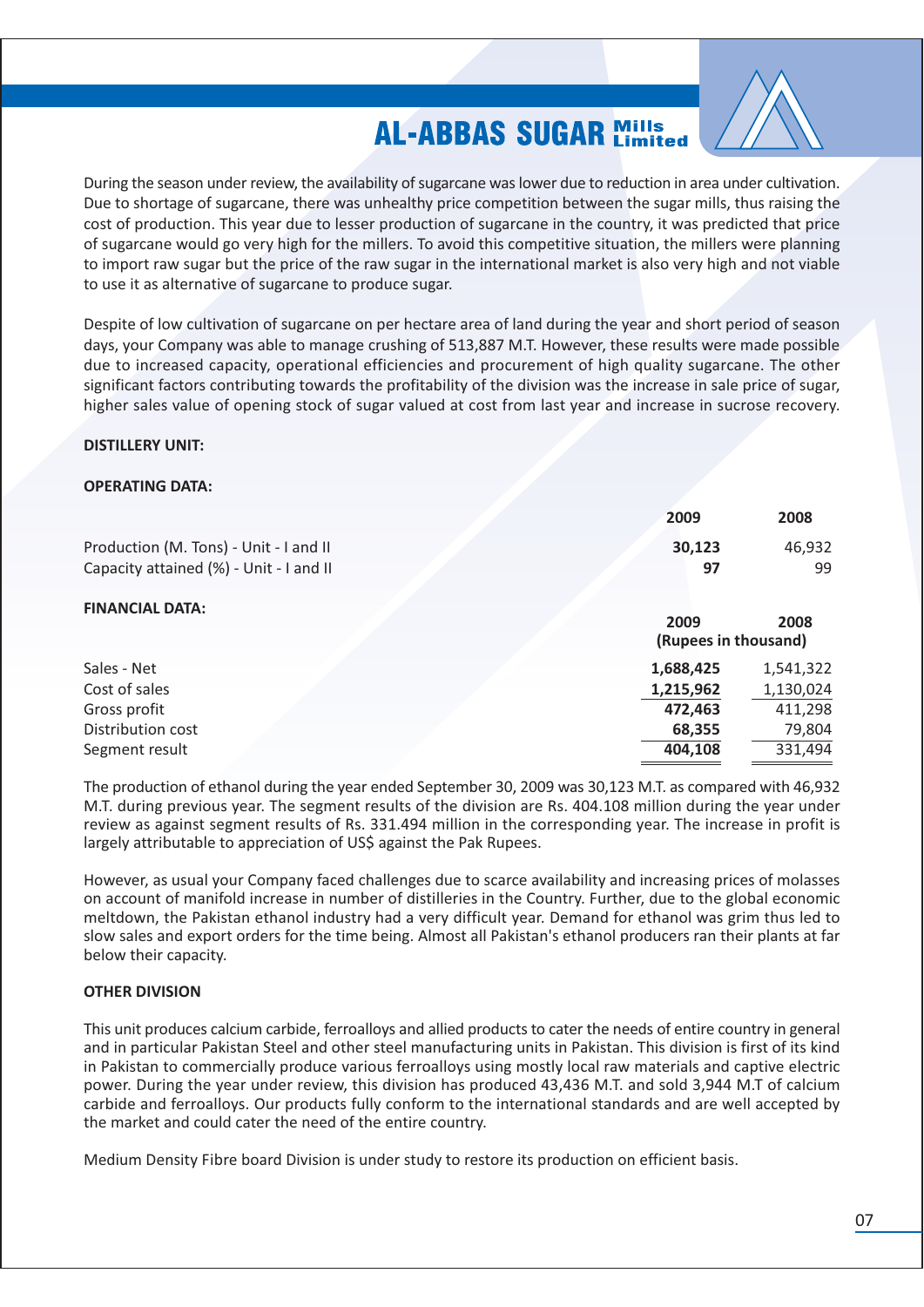

During the season under review, the availability of sugarcane was lower due to reduction in area under cultivation. Due to shortage of sugarcane, there was unhealthy price competition between the sugar mills, thus raising the cost of production. This year due to lesser production of sugarcane in the country, it was predicted that price of sugarcane would go very high for the millers. To avoid this competitive situation, the millers were planning to import raw sugar but the price of the raw sugar in the international market is also very high and not viable to use it as alternative of sugarcane to produce sugar.

Despite of low cultivation of sugarcane on per hectare area of land during the year and short period of season days, your Company was able to manage crushing of 513,887 M.T. However, these results were made possible due to increased capacity, operational efficiencies and procurement of high quality sugarcane. The other significant factors contributing towards the profitability of the division was the increase in sale price of sugar, higher sales value of opening stock of sugar valued at cost from last year and increase in sucrose recovery.

### **DISTILLERY UNIT:**

#### **OPERATING DATA:**

| 2009                                                   | 2008                                                   |
|--------------------------------------------------------|--------------------------------------------------------|
| 30,123<br>97                                           | 46,932<br>99                                           |
| 2009<br>(Rupees in thousand)                           | 2008                                                   |
| 1,688,425<br>1,215,962<br>472,463<br>68,355<br>404,108 | 1,541,322<br>1,130,024<br>411,298<br>79,804<br>331,494 |
|                                                        |                                                        |

The production of ethanol during the year ended September 30, 2009 was 30,123 M.T. as compared with 46,932 M.T. during previous year. The segment results of the division are Rs. 404.108 million during the year under review as against segment results of Rs. 331.494 million in the corresponding year. The increase in profit is largely attributable to appreciation of US\$ against the Pak Rupees.

However, as usual your Company faced challenges due to scarce availability and increasing prices of molasses on account of manifold increase in number of distilleries in the Country. Further, due to the global economic meltdown, the Pakistan ethanol industry had a very difficult year. Demand for ethanol was grim thus led to slow sales and export orders for the time being. Almost all Pakistan's ethanol producers ran their plants at far below their capacity.

### **OTHER DIVISION**

This unit produces calcium carbide, ferroalloys and allied products to cater the needs of entire country in general and in particular Pakistan Steel and other steel manufacturing units in Pakistan. This division is first of its kind in Pakistan to commercially produce various ferroalloys using mostly local raw materials and captive electric power. During the year under review, this division has produced 43,436 M.T. and sold 3,944 M.T of calcium carbide and ferroalloys. Our products fully conform to the international standards and are well accepted by the market and could cater the need of the entire country.

Medium Density Fibre board Division is under study to restore its production on efficient basis.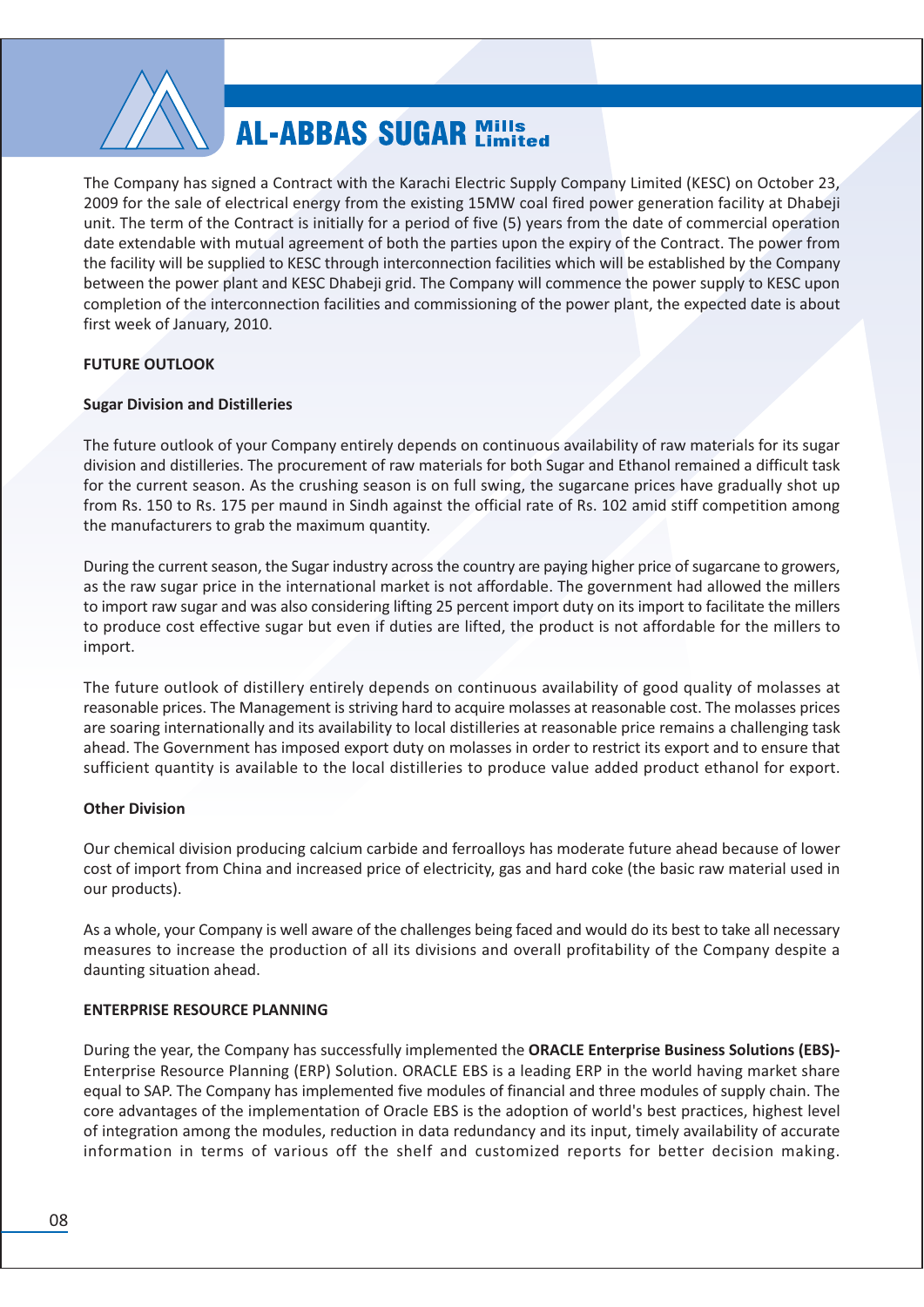

The Company has signed a Contract with the Karachi Electric Supply Company Limited (KESC) on October 23, 2009 for the sale of electrical energy from the existing 15MW coal fired power generation facility at Dhabeji unit. The term of the Contract is initially for a period of five (5) years from the date of commercial operation date extendable with mutual agreement of both the parties upon the expiry of the Contract. The power from the facility will be supplied to KESC through interconnection facilities which will be established by the Company between the power plant and KESC Dhabeji grid. The Company will commence the power supply to KESC upon completion of the interconnection facilities and commissioning of the power plant, the expected date is about first week of January, 2010.

### **FUTURE OUTLOOK**

### **Sugar Division and Distilleries**

The future outlook of your Company entirely depends on continuous availability of raw materials for its sugar division and distilleries. The procurement of raw materials for both Sugar and Ethanol remained a difficult task for the current season. As the crushing season is on full swing, the sugarcane prices have gradually shot up from Rs. 150 to Rs. 175 per maund in Sindh against the official rate of Rs. 102 amid stiff competition among the manufacturers to grab the maximum quantity.

During the current season, the Sugar industry across the country are paying higher price of sugarcane to growers, as the raw sugar price in the international market is not affordable. The government had allowed the millers to import raw sugar and was also considering lifting 25 percent import duty on its import to facilitate the millers to produce cost effective sugar but even if duties are lifted, the product is not affordable for the millers to import.

The future outlook of distillery entirely depends on continuous availability of good quality of molasses at reasonable prices. The Management is striving hard to acquire molasses at reasonable cost. The molasses prices are soaring internationally and its availability to local distilleries at reasonable price remains a challenging task ahead. The Government has imposed export duty on molasses in order to restrict its export and to ensure that sufficient quantity is available to the local distilleries to produce value added product ethanol for export.

### **Other Division**

Our chemical division producing calcium carbide and ferroalloys has moderate future ahead because of lower cost of import from China and increased price of electricity, gas and hard coke (the basic raw material used in our products).

As a whole, your Company is well aware of the challenges being faced and would do its best to take all necessary measures to increase the production of all its divisions and overall profitability of the Company despite a daunting situation ahead.

### **ENTERPRISE RESOURCE PLANNING**

During the year, the Company has successfully implemented the ORACLE Enterprise Business Solutions (EBS)-Enterprise Resource Planning (ERP) Solution. ORACLE EBS is a leading ERP in the world having market share equal to SAP. The Company has implemented five modules of financial and three modules of supply chain. The core advantages of the implementation of Oracle EBS is the adoption of world's best practices, highest level of integration among the modules, reduction in data redundancy and its input, timely availability of accurate information in terms of various off the shelf and customized reports for better decision making.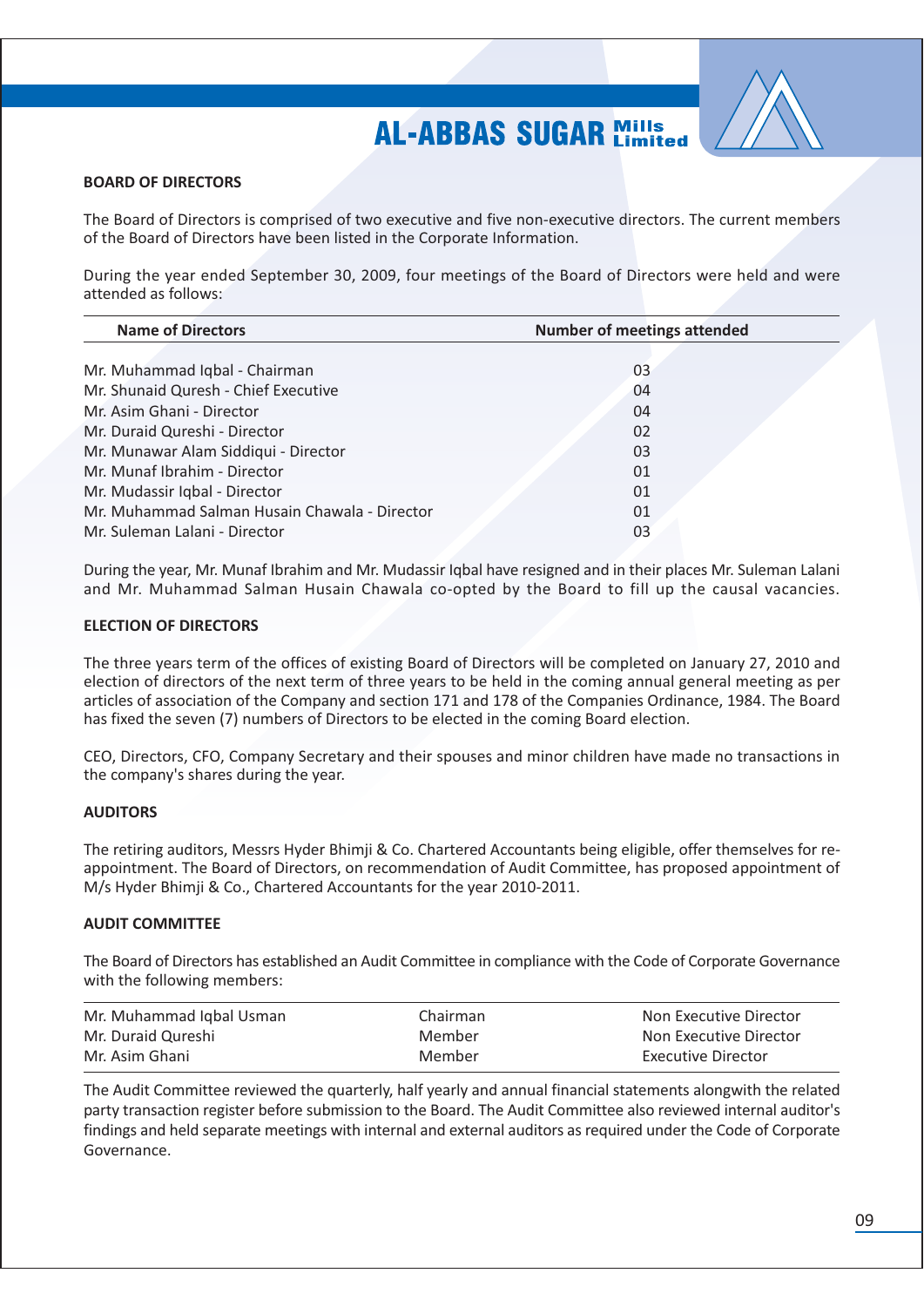

#### **BOARD OF DIRECTORS**

The Board of Directors is comprised of two executive and five non-executive directors. The current members of the Board of Directors have been listed in the Corporate Information.

During the year ended September 30, 2009, four meetings of the Board of Directors were held and were attended as follows:

| <b>Name of Directors</b>                      | <b>Number of meetings attended</b> |
|-----------------------------------------------|------------------------------------|
|                                               |                                    |
| Mr. Muhammad Iqbal - Chairman                 | 03                                 |
| Mr. Shunaid Quresh - Chief Executive          | 04                                 |
| Mr. Asim Ghani - Director                     | 04                                 |
| Mr. Duraid Qureshi - Director                 | 02                                 |
| Mr. Munawar Alam Siddiqui - Director          | 03                                 |
| Mr. Munaf Ibrahim - Director                  | 01                                 |
| Mr. Mudassir Iqbal - Director                 | 01                                 |
| Mr. Muhammad Salman Husain Chawala - Director | 01                                 |
| Mr. Suleman Lalani - Director                 | 03                                 |

During the year, Mr. Munaf Ibrahim and Mr. Mudassir Igbal have resigned and in their places Mr. Suleman Lalani and Mr. Muhammad Salman Husain Chawala co-opted by the Board to fill up the causal vacancies.

#### **ELECTION OF DIRECTORS**

The three years term of the offices of existing Board of Directors will be completed on January 27, 2010 and election of directors of the next term of three years to be held in the coming annual general meeting as per articles of association of the Company and section 171 and 178 of the Companies Ordinance, 1984. The Board has fixed the seven (7) numbers of Directors to be elected in the coming Board election.

CEO, Directors, CFO, Company Secretary and their spouses and minor children have made no transactions in the company's shares during the year.

### **AUDITORS**

The retiring auditors, Messrs Hyder Bhimji & Co. Chartered Accountants being eligible, offer themselves for reappointment. The Board of Directors, on recommendation of Audit Committee, has proposed appointment of M/s Hyder Bhimji & Co., Chartered Accountants for the year 2010-2011.

### **AUDIT COMMITTEE**

The Board of Directors has established an Audit Committee in compliance with the Code of Corporate Governance with the following members:

| Mr. Muhammad Iqbal Usman | Chairman | Non Executive Director |
|--------------------------|----------|------------------------|
| Mr. Duraid Qureshi       | Member   | Non Executive Director |
| Mr. Asim Ghani           | Member   | Executive Director     |

The Audit Committee reviewed the quarterly, half yearly and annual financial statements alongwith the related party transaction register before submission to the Board. The Audit Committee also reviewed internal auditor's findings and held separate meetings with internal and external auditors as required under the Code of Corporate Governance.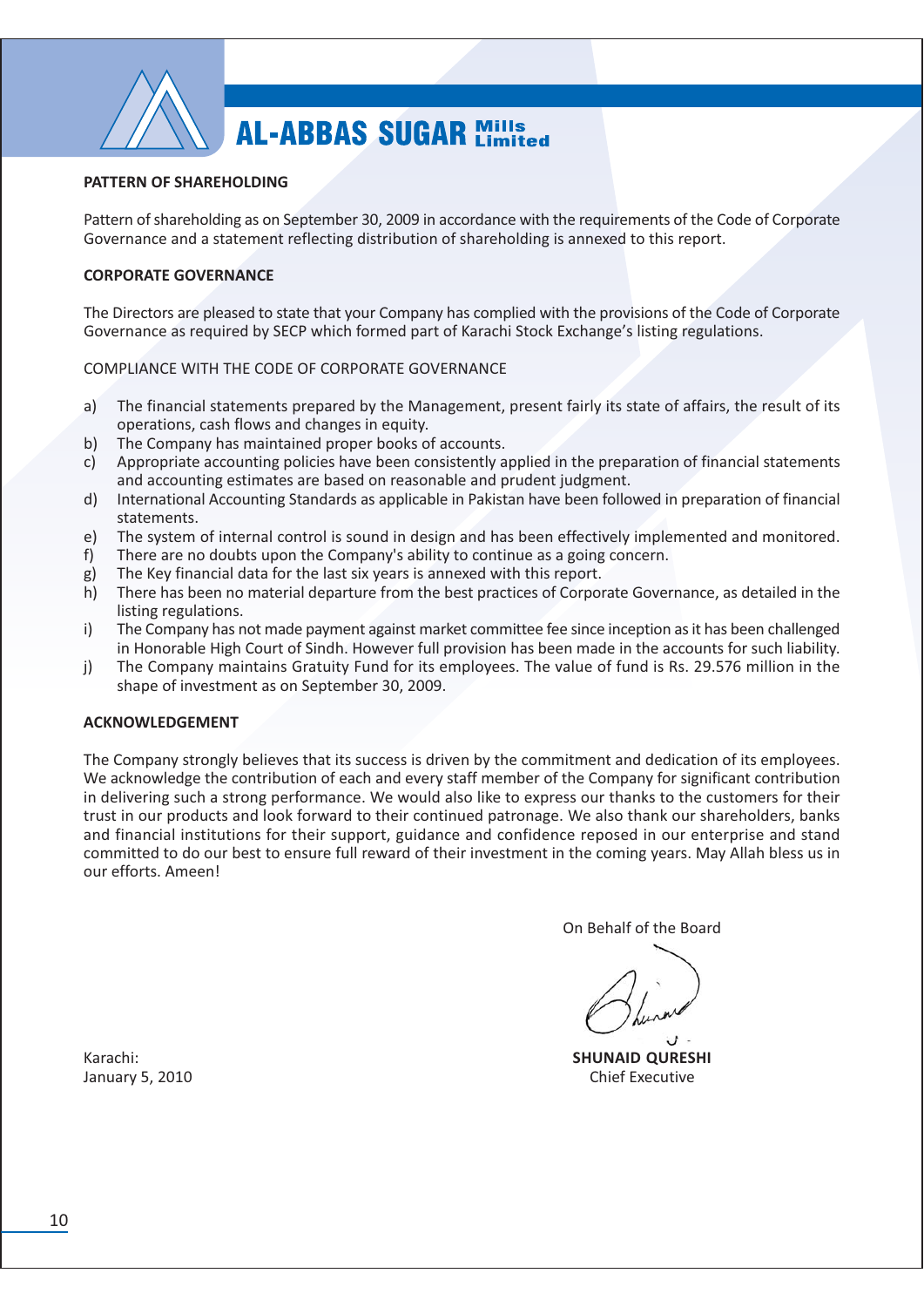

#### PATTERN OF SHAREHOLDING

Pattern of shareholding as on September 30, 2009 in accordance with the requirements of the Code of Corporate Governance and a statement reflecting distribution of shareholding is annexed to this report.

#### **CORPORATE GOVERNANCE**

The Directors are pleased to state that your Company has complied with the provisions of the Code of Corporate Governance as required by SECP which formed part of Karachi Stock Exchange's listing regulations.

#### COMPLIANCE WITH THE CODE OF CORPORATE GOVERNANCE

- The financial statements prepared by the Management, present fairly its state of affairs, the result of its a) operations, cash flows and changes in equity.
- The Company has maintained proper books of accounts.  $b)$
- Appropriate accounting policies have been consistently applied in the preparation of financial statements  $\mathsf{c}$ and accounting estimates are based on reasonable and prudent judgment.
- $d)$ International Accounting Standards as applicable in Pakistan have been followed in preparation of financial statements.
- The system of internal control is sound in design and has been effectively implemented and monitored.  $e)$
- There are no doubts upon the Company's ability to continue as a going concern.  $f$ )
- The Key financial data for the last six years is annexed with this report. g)
- h) There has been no material departure from the best practices of Corporate Governance, as detailed in the listing regulations.
- $\mathsf{i}$ The Company has not made payment against market committee fee since inception as it has been challenged in Honorable High Court of Sindh. However full provision has been made in the accounts for such liability.
- $j)$ The Company maintains Gratuity Fund for its employees. The value of fund is Rs. 29.576 million in the shape of investment as on September 30, 2009.

#### **ACKNOWLEDGEMENT**

The Company strongly believes that its success is driven by the commitment and dedication of its employees. We acknowledge the contribution of each and every staff member of the Company for significant contribution in delivering such a strong performance. We would also like to express our thanks to the customers for their trust in our products and look forward to their continued patronage. We also thank our shareholders, banks and financial institutions for their support, guidance and confidence reposed in our enterprise and stand committed to do our best to ensure full reward of their investment in the coming years. May Allah bless us in our efforts. Ameen!

On Behalf of the Board

**SHUNAID QURESHI Chief Executive** 

Karachi: January 5, 2010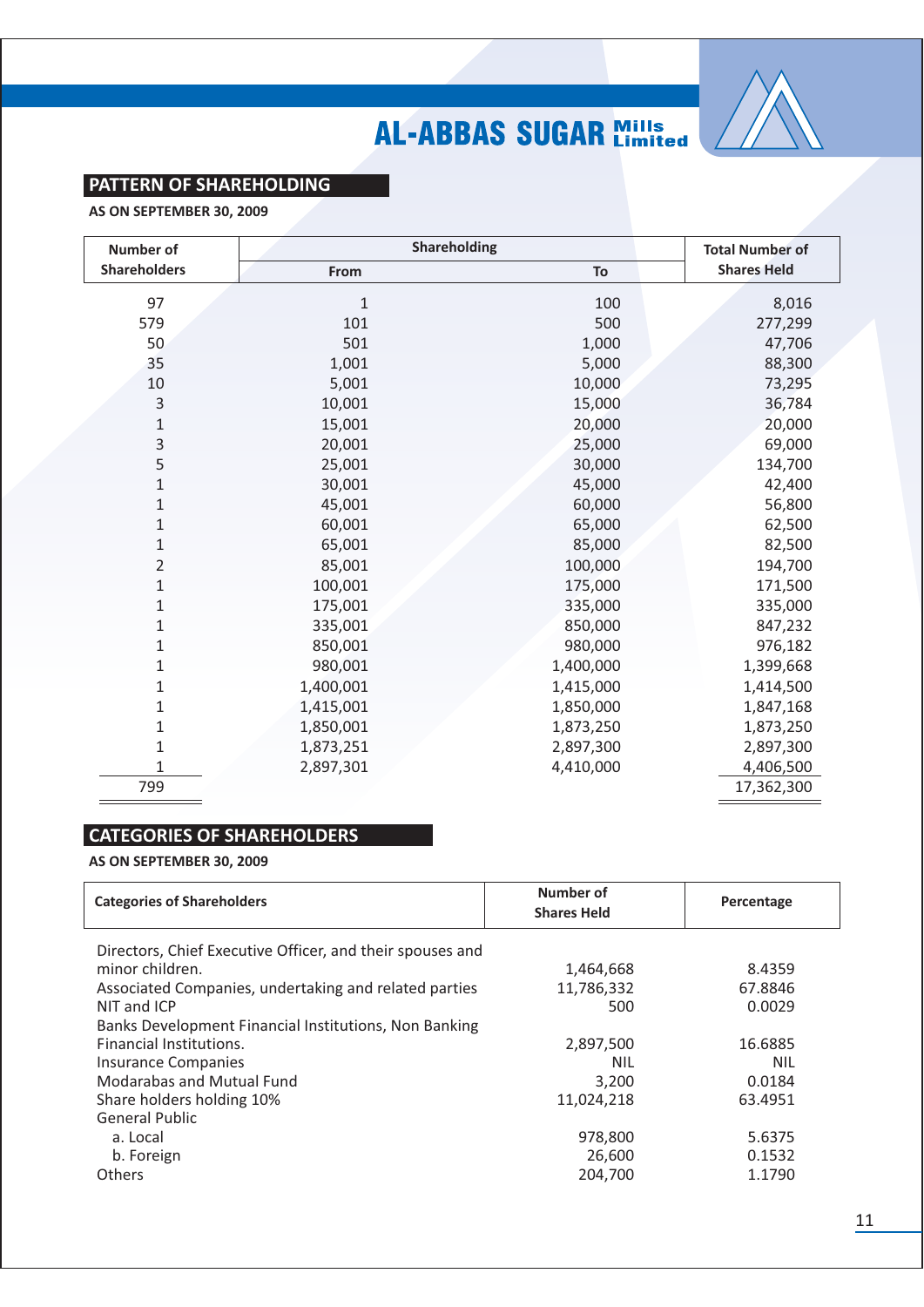

### **PATTERN OF SHAREHOLDING**

AS ON SEPTEMBER 30, 2009

| <b>Number of</b>    | Shareholding | <b>Total Number of</b> |                    |
|---------------------|--------------|------------------------|--------------------|
| <b>Shareholders</b> | From         | To                     | <b>Shares Held</b> |
| 97                  | 1            | 100                    | 8,016              |
| 579                 | 101          | 500                    | 277,299            |
| 50                  | 501          | 1,000                  | 47,706             |
| 35                  | 1,001        | 5,000                  | 88,300             |
| 10                  | 5,001        | 10,000                 | 73,295             |
| 3                   | 10,001       | 15,000                 | 36,784             |
| 1                   | 15,001       | 20,000                 | 20,000             |
| 3                   | 20,001       | 25,000                 | 69,000             |
| 5                   | 25,001       | 30,000                 | 134,700            |
| 1                   | 30,001       | 45,000                 | 42,400             |
| 1                   | 45,001       | 60,000                 | 56,800             |
| 1                   | 60,001       | 65,000                 | 62,500             |
| $\mathbf{1}$        | 65,001       | 85,000                 | 82,500             |
| 2                   | 85,001       | 100,000                | 194,700            |
| 1                   | 100,001      | 175,000                | 171,500            |
| 1                   | 175,001      | 335,000                | 335,000            |
| 1                   | 335,001      | 850,000                | 847,232            |
| 1                   | 850,001      | 980,000                | 976,182            |
| 1                   | 980,001      | 1,400,000              | 1,399,668          |
| 1                   | 1,400,001    | 1,415,000              | 1,414,500          |
| 1                   | 1,415,001    | 1,850,000              | 1,847,168          |
| 1                   | 1,850,001    | 1,873,250              | 1,873,250          |
| 1                   | 1,873,251    | 2,897,300              | 2,897,300          |
|                     | 2,897,301    | 4,410,000              | 4,406,500          |
| 799                 |              |                        | 17,362,300         |

### **CATEGORIES OF SHAREHOLDERS**

AS ON SEPTEMBER 30, 2009

| <b>Categories of Shareholders</b>                         | Number of<br><b>Shares Held</b> | Percentage |
|-----------------------------------------------------------|---------------------------------|------------|
| Directors, Chief Executive Officer, and their spouses and |                                 |            |
| minor children.                                           | 1,464,668                       | 8.4359     |
| Associated Companies, undertaking and related parties     | 11,786,332                      | 67.8846    |
| NIT and ICP                                               | 500                             | 0.0029     |
| Banks Development Financial Institutions, Non Banking     |                                 |            |
| <b>Financial Institutions.</b>                            | 2,897,500                       | 16.6885    |
| <b>Insurance Companies</b>                                | <b>NIL</b>                      | <b>NIL</b> |
| Modarabas and Mutual Fund                                 | 3,200                           | 0.0184     |
| Share holders holding 10%                                 | 11,024,218                      | 63.4951    |
| <b>General Public</b>                                     |                                 |            |
| a. Local                                                  | 978,800                         | 5.6375     |
| b. Foreign                                                | 26,600                          | 0.1532     |
| <b>Others</b>                                             | 204.700                         | 1.1790     |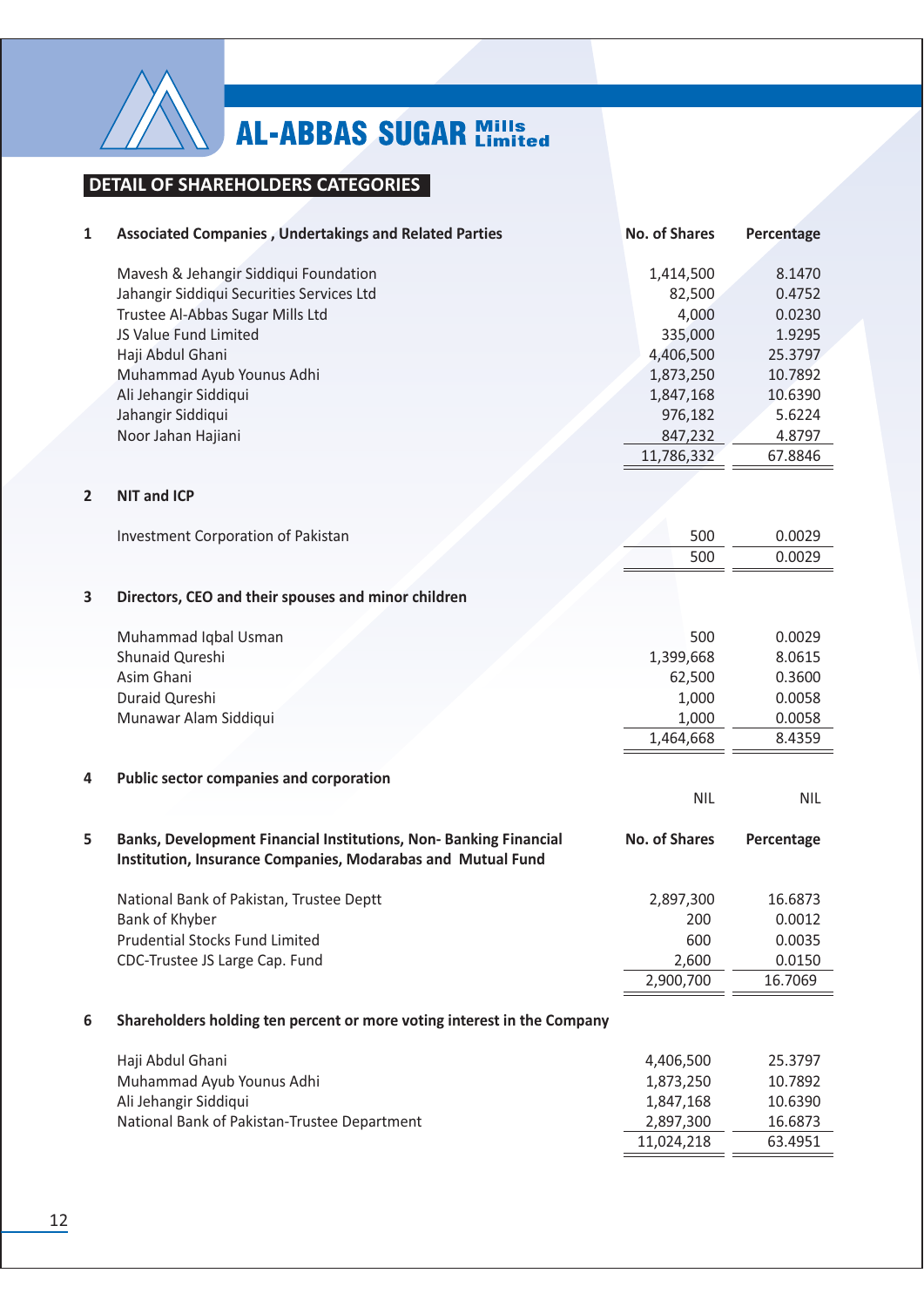

### **DETAIL OF SHAREHOLDERS CATEGORIES**

| 1              | <b>Associated Companies, Undertakings and Related Parties</b>                                                                   | <b>No. of Shares</b> | Percentage |
|----------------|---------------------------------------------------------------------------------------------------------------------------------|----------------------|------------|
|                | Mavesh & Jehangir Siddiqui Foundation                                                                                           | 1,414,500            | 8.1470     |
|                | Jahangir Siddiqui Securities Services Ltd                                                                                       | 82,500               | 0.4752     |
|                | Trustee Al-Abbas Sugar Mills Ltd                                                                                                | 4,000                | 0.0230     |
|                | JS Value Fund Limited                                                                                                           | 335,000              | 1.9295     |
|                | Haji Abdul Ghani                                                                                                                | 4,406,500            | 25.3797    |
|                | Muhammad Ayub Younus Adhi                                                                                                       | 1,873,250            | 10.7892    |
|                | Ali Jehangir Siddiqui                                                                                                           | 1,847,168            | 10.6390    |
|                | Jahangir Siddiqui                                                                                                               | 976,182              | 5.6224     |
|                | Noor Jahan Hajiani                                                                                                              | 847,232              | 4.8797     |
|                |                                                                                                                                 | 11,786,332           | 67.8846    |
| $\overline{2}$ | <b>NIT and ICP</b>                                                                                                              |                      |            |
|                | <b>Investment Corporation of Pakistan</b>                                                                                       | 500                  | 0.0029     |
|                |                                                                                                                                 | 500                  | 0.0029     |
| 3              | Directors, CEO and their spouses and minor children                                                                             |                      |            |
|                | Muhammad Iqbal Usman                                                                                                            | 500                  | 0.0029     |
|                | Shunaid Qureshi                                                                                                                 | 1,399,668            | 8.0615     |
|                | Asim Ghani                                                                                                                      | 62,500               | 0.3600     |
|                | Duraid Qureshi                                                                                                                  | 1,000                | 0.0058     |
|                | Munawar Alam Siddiqui                                                                                                           | 1,000                | 0.0058     |
|                |                                                                                                                                 | 1,464,668            | 8.4359     |
| 4              | <b>Public sector companies and corporation</b>                                                                                  |                      |            |
|                |                                                                                                                                 | <b>NIL</b>           | <b>NIL</b> |
| 5              | Banks, Development Financial Institutions, Non-Banking Financial<br>Institution, Insurance Companies, Modarabas and Mutual Fund | <b>No. of Shares</b> | Percentage |
|                | National Bank of Pakistan, Trustee Deptt                                                                                        | 2,897,300            | 16.6873    |
|                | Bank of Khyber                                                                                                                  | 200                  | 0.0012     |
|                | <b>Prudential Stocks Fund Limited</b>                                                                                           | 600                  | 0.0035     |
|                | CDC-Trustee JS Large Cap. Fund                                                                                                  | 2,600                | 0.0150     |
|                |                                                                                                                                 | 2,900,700            | 16.7069    |
| 6              | Shareholders holding ten percent or more voting interest in the Company                                                         |                      |            |
|                | Haji Abdul Ghani                                                                                                                | 4,406,500            | 25.3797    |
|                | Muhammad Ayub Younus Adhi                                                                                                       | 1,873,250            | 10.7892    |
|                | Ali Jehangir Siddiqui                                                                                                           | 1,847,168            | 10.6390    |
|                | National Bank of Pakistan-Trustee Department                                                                                    | 2,897,300            | 16.6873    |
|                |                                                                                                                                 | 11,024,218           | 63.4951    |
|                |                                                                                                                                 |                      |            |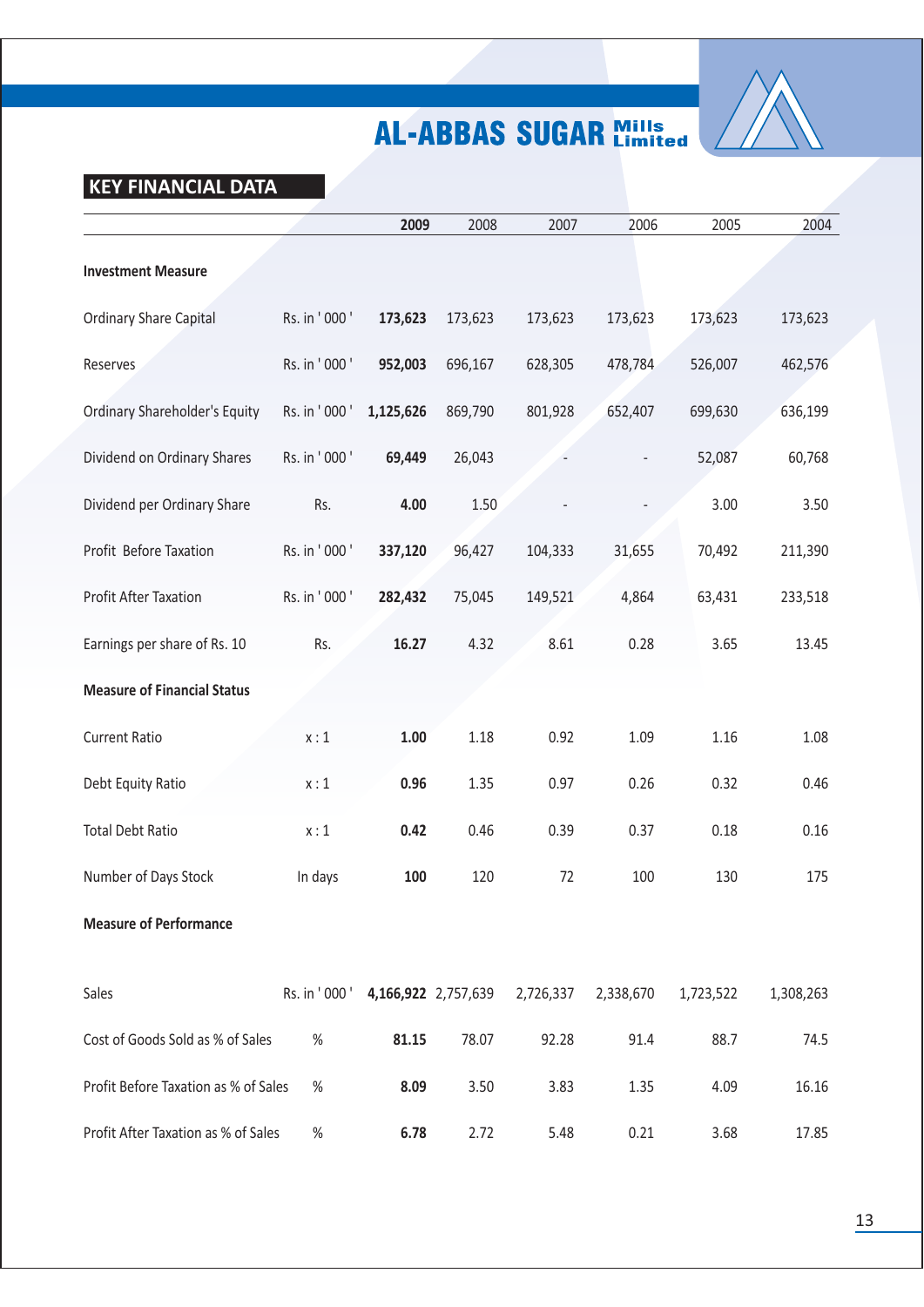

### **KEY FINANCIAL DATA**

|                                      |                                   | 2009      | 2008    | 2007      | 2006      | 2005      | 2004      |
|--------------------------------------|-----------------------------------|-----------|---------|-----------|-----------|-----------|-----------|
| <b>Investment Measure</b>            |                                   |           |         |           |           |           |           |
| <b>Ordinary Share Capital</b>        | Rs. in '000'                      | 173,623   | 173,623 | 173,623   | 173,623   | 173,623   | 173,623   |
| Reserves                             | Rs. in '000'                      | 952,003   | 696,167 | 628,305   | 478,784   | 526,007   | 462,576   |
| <b>Ordinary Shareholder's Equity</b> | Rs. in '000'                      | 1,125,626 | 869,790 | 801,928   | 652,407   | 699,630   | 636,199   |
| Dividend on Ordinary Shares          | Rs. in '000'                      | 69,449    | 26,043  |           |           | 52,087    | 60,768    |
| Dividend per Ordinary Share          | Rs.                               | 4.00      | 1.50    |           |           | 3.00      | 3.50      |
| Profit Before Taxation               | Rs. in '000'                      | 337,120   | 96,427  | 104,333   | 31,655    | 70,492    | 211,390   |
| Profit After Taxation                | Rs. in '000'                      | 282,432   | 75,045  | 149,521   | 4,864     | 63,431    | 233,518   |
| Earnings per share of Rs. 10         | Rs.                               | 16.27     | 4.32    | 8.61      | 0.28      | 3.65      | 13.45     |
| <b>Measure of Financial Status</b>   |                                   |           |         |           |           |           |           |
| <b>Current Ratio</b>                 | x:1                               | 1.00      | 1.18    | 0.92      | 1.09      | 1.16      | 1.08      |
| Debt Equity Ratio                    | x:1                               | 0.96      | 1.35    | 0.97      | 0.26      | 0.32      | 0.46      |
| <b>Total Debt Ratio</b>              | x:1                               | 0.42      | 0.46    | 0.39      | 0.37      | 0.18      | 0.16      |
| Number of Days Stock                 | In days                           | 100       | 120     | 72        | 100       | 130       | 175       |
| <b>Measure of Performance</b>        |                                   |           |         |           |           |           |           |
| Sales                                | Rs. in '000 ' 4,166,922 2,757,639 |           |         | 2,726,337 | 2,338,670 | 1,723,522 | 1,308,263 |
| Cost of Goods Sold as % of Sales     | %                                 | 81.15     | 78.07   | 92.28     | 91.4      | 88.7      | 74.5      |
| Profit Before Taxation as % of Sales | $\%$                              | 8.09      | 3.50    | 3.83      | 1.35      | 4.09      | 16.16     |
| Profit After Taxation as % of Sales  | $\%$                              | 6.78      | 2.72    | 5.48      | 0.21      | 3.68      | 17.85     |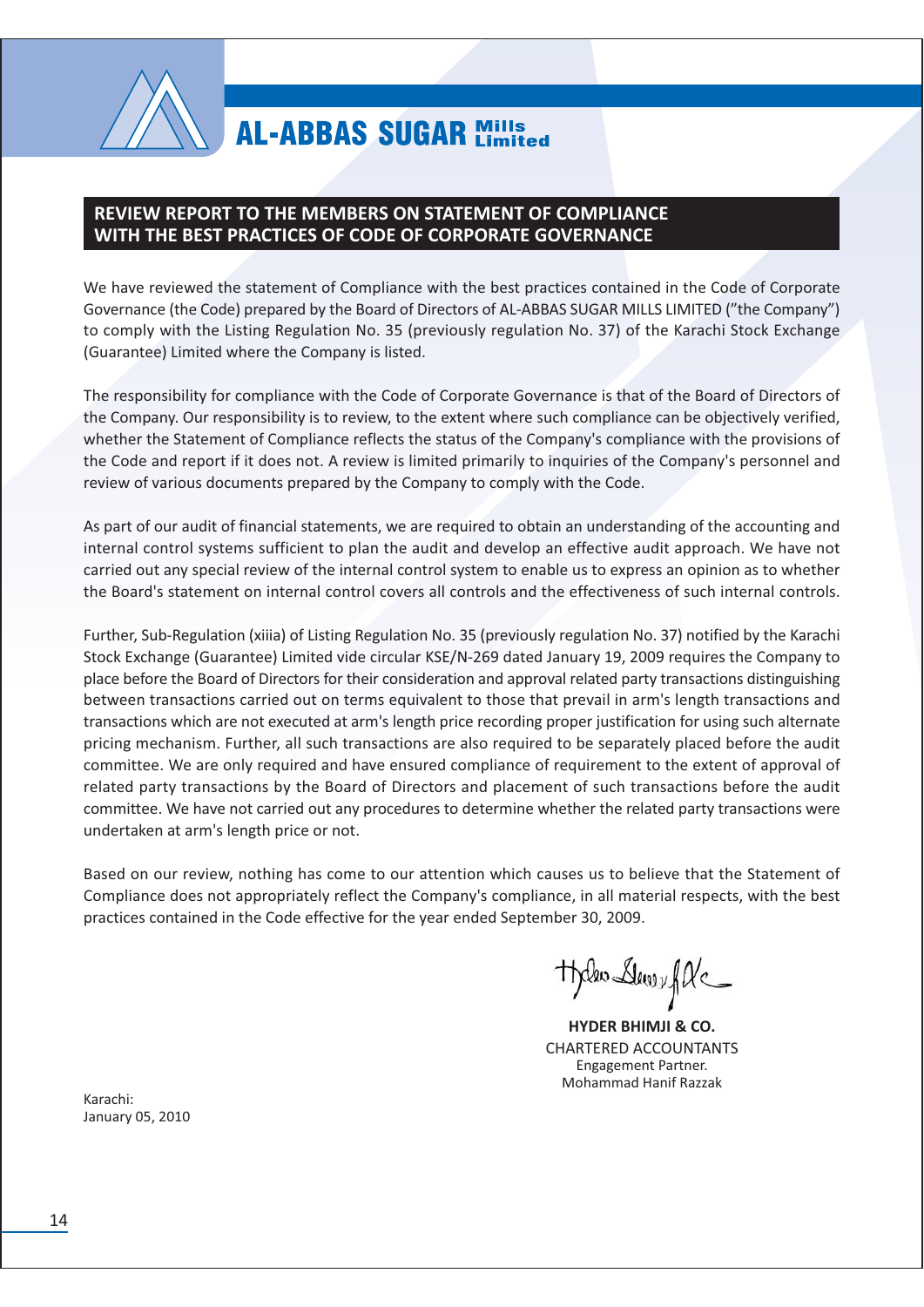

### **REVIEW REPORT TO THE MEMBERS ON STATEMENT OF COMPLIANCE** WITH THE BEST PRACTICES OF CODE OF CORPORATE GOVERNANCE

We have reviewed the statement of Compliance with the best practices contained in the Code of Corporate Governance (the Code) prepared by the Board of Directors of AL-ABBAS SUGAR MILLS LIMITED ("the Company") to comply with the Listing Regulation No. 35 (previously regulation No. 37) of the Karachi Stock Exchange (Guarantee) Limited where the Company is listed.

The responsibility for compliance with the Code of Corporate Governance is that of the Board of Directors of the Company. Our responsibility is to review, to the extent where such compliance can be objectively verified. whether the Statement of Compliance reflects the status of the Company's compliance with the provisions of the Code and report if it does not. A review is limited primarily to inquiries of the Company's personnel and review of various documents prepared by the Company to comply with the Code.

As part of our audit of financial statements, we are required to obtain an understanding of the accounting and internal control systems sufficient to plan the audit and develop an effective audit approach. We have not carried out any special review of the internal control system to enable us to express an opinion as to whether the Board's statement on internal control covers all controls and the effectiveness of such internal controls.

Further, Sub-Regulation (xiiia) of Listing Regulation No. 35 (previously regulation No. 37) notified by the Karachi Stock Exchange (Guarantee) Limited vide circular KSE/N-269 dated January 19, 2009 requires the Company to place before the Board of Directors for their consideration and approval related party transactions distinguishing between transactions carried out on terms equivalent to those that prevail in arm's length transactions and transactions which are not executed at arm's length price recording proper justification for using such alternate pricing mechanism. Further, all such transactions are also required to be separately placed before the audit committee. We are only required and have ensured compliance of requirement to the extent of approval of related party transactions by the Board of Directors and placement of such transactions before the audit committee. We have not carried out any procedures to determine whether the related party transactions were undertaken at arm's length price or not.

Based on our review, nothing has come to our attention which causes us to believe that the Statement of Compliance does not appropriately reflect the Company's compliance, in all material respects, with the best practices contained in the Code effective for the year ended September 30, 2009.

theles Dewey fle

**HYDER BHIMJI & CO. CHARTERED ACCOUNTANTS Engagement Partner.** Mohammad Hanif Razzak

Karachi<sup>.</sup> January 05, 2010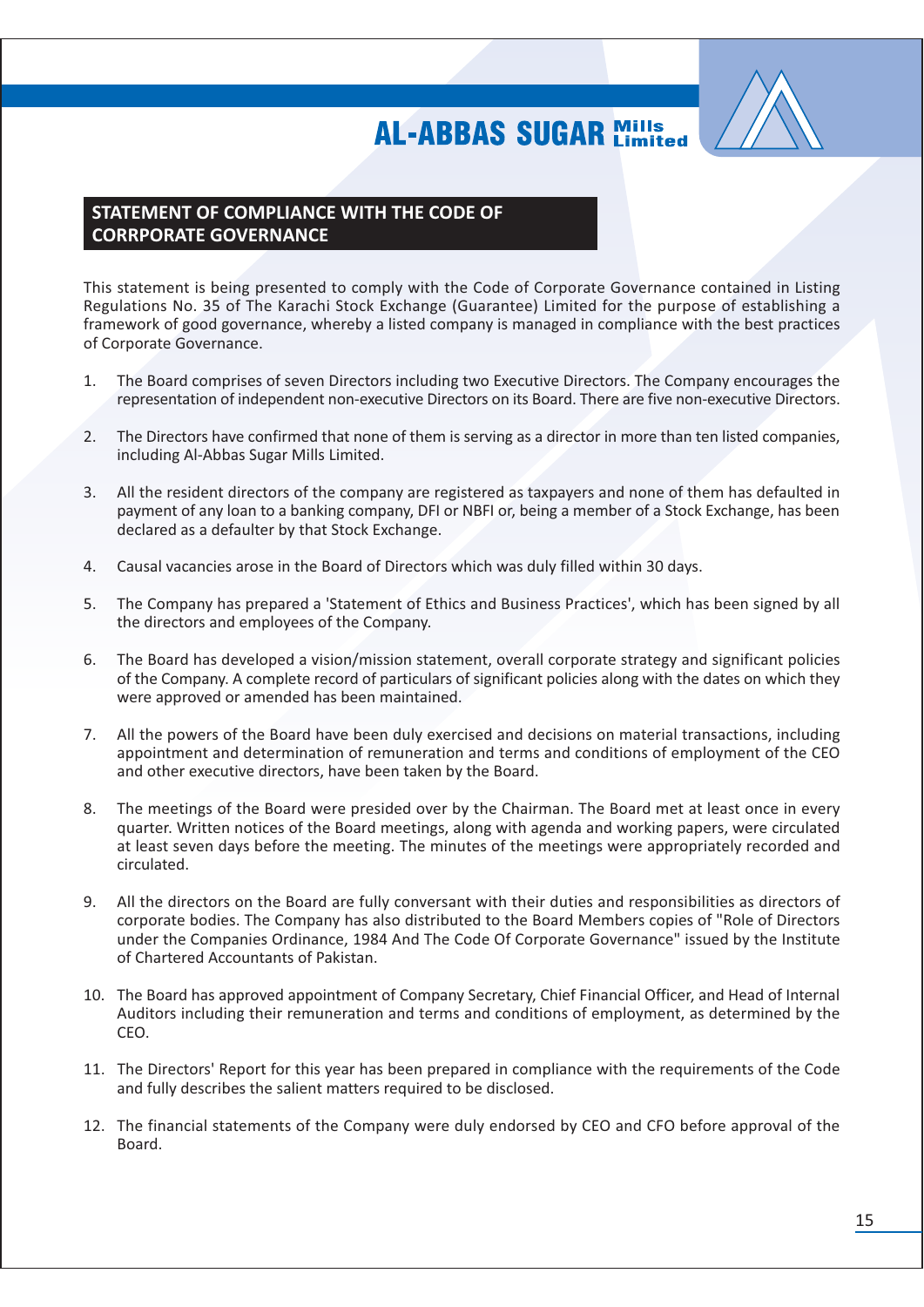

### STATEMENT OF COMPLIANCE WITH THE CODE OF **CORRPORATE GOVERNANCE**

This statement is being presented to comply with the Code of Corporate Governance contained in Listing Regulations No. 35 of The Karachi Stock Exchange (Guarantee) Limited for the purpose of establishing a framework of good governance, whereby a listed company is managed in compliance with the best practices of Corporate Governance.

- The Board comprises of seven Directors including two Executive Directors. The Company encourages the  $\mathbf{1}$ . representation of independent non-executive Directors on its Board. There are five non-executive Directors.
- $2.$ The Directors have confirmed that none of them is serving as a director in more than ten listed companies, including Al-Abbas Sugar Mills Limited.
- All the resident directors of the company are registered as taxpayers and none of them has defaulted in 3. payment of any loan to a banking company, DFI or NBFI or, being a member of a Stock Exchange, has been declared as a defaulter by that Stock Exchange.
- $4.$ Causal vacancies arose in the Board of Directors which was duly filled within 30 days.
- 5. The Company has prepared a 'Statement of Ethics and Business Practices', which has been signed by all the directors and employees of the Company.
- The Board has developed a vision/mission statement, overall corporate strategy and significant policies 6. of the Company. A complete record of particulars of significant policies along with the dates on which they were approved or amended has been maintained.
- All the powers of the Board have been duly exercised and decisions on material transactions, including 7. appointment and determination of remuneration and terms and conditions of employment of the CEO and other executive directors, have been taken by the Board.
- 8. The meetings of the Board were presided over by the Chairman. The Board met at least once in every quarter. Written notices of the Board meetings, along with agenda and working papers, were circulated at least seven days before the meeting. The minutes of the meetings were appropriately recorded and circulated.
- All the directors on the Board are fully conversant with their duties and responsibilities as directors of 9. corporate bodies. The Company has also distributed to the Board Members copies of "Role of Directors under the Companies Ordinance, 1984 And The Code Of Corporate Governance" issued by the Institute of Chartered Accountants of Pakistan.
- 10. The Board has approved appointment of Company Secretary, Chief Financial Officer, and Head of Internal Auditors including their remuneration and terms and conditions of employment, as determined by the CEO.
- 11. The Directors' Report for this year has been prepared in compliance with the requirements of the Code and fully describes the salient matters required to be disclosed.
- 12. The financial statements of the Company were duly endorsed by CEO and CFO before approval of the Board.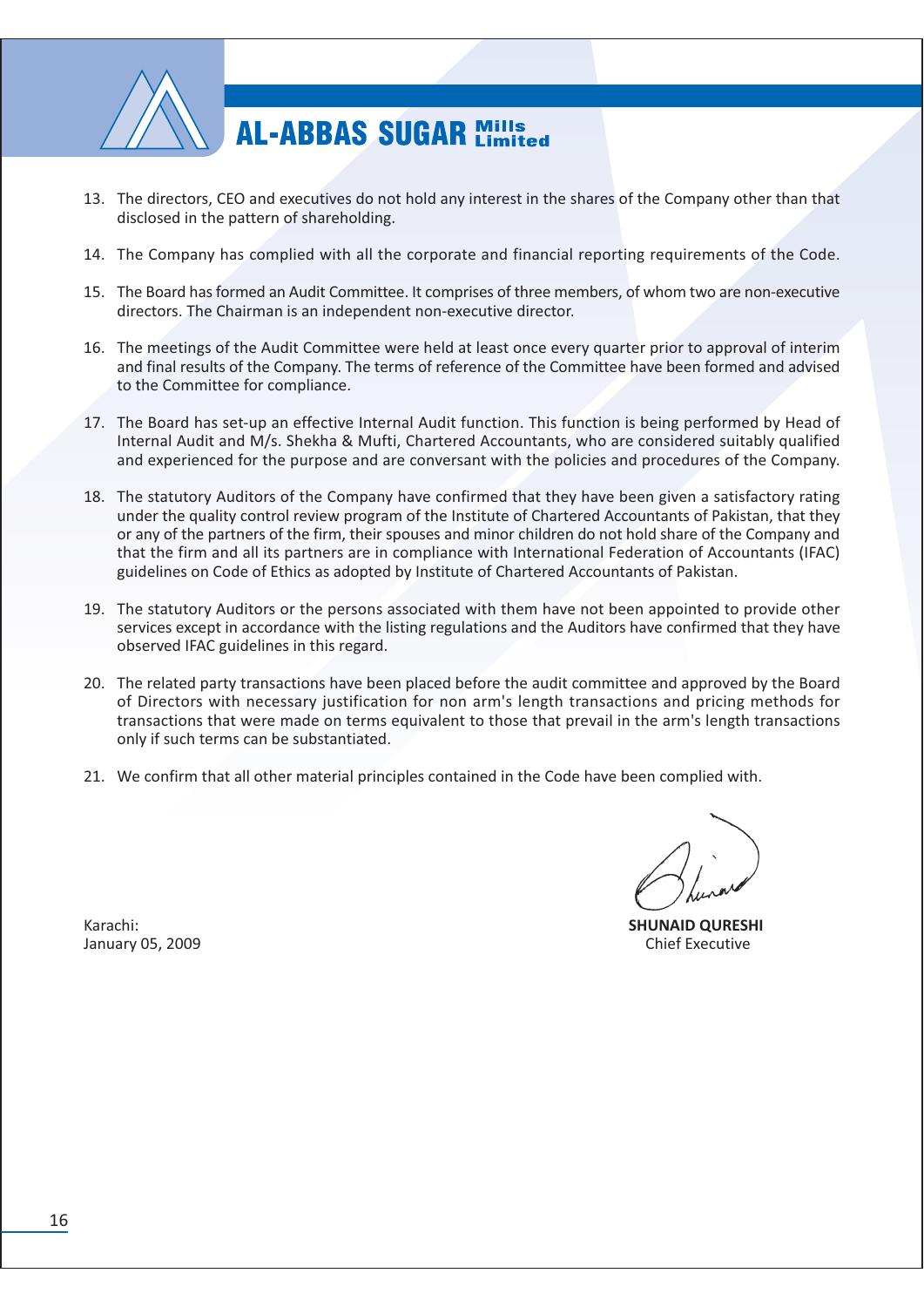

- 13. The directors, CEO and executives do not hold any interest in the shares of the Company other than that disclosed in the pattern of shareholding.
- 14. The Company has complied with all the corporate and financial reporting requirements of the Code.
- 15. The Board has formed an Audit Committee. It comprises of three members, of whom two are non-executive directors. The Chairman is an independent non-executive director.
- 16. The meetings of the Audit Committee were held at least once every quarter prior to approval of interim and final results of the Company. The terms of reference of the Committee have been formed and advised to the Committee for compliance.
- 17. The Board has set-up an effective Internal Audit function. This function is being performed by Head of Internal Audit and M/s. Shekha & Mufti, Chartered Accountants, who are considered suitably qualified and experienced for the purpose and are conversant with the policies and procedures of the Company.
- 18. The statutory Auditors of the Company have confirmed that they have been given a satisfactory rating under the quality control review program of the Institute of Chartered Accountants of Pakistan, that they or any of the partners of the firm, their spouses and minor children do not hold share of the Company and that the firm and all its partners are in compliance with International Federation of Accountants (IFAC) guidelines on Code of Ethics as adopted by Institute of Chartered Accountants of Pakistan.
- 19. The statutory Auditors or the persons associated with them have not been appointed to provide other services except in accordance with the listing regulations and the Auditors have confirmed that they have observed IFAC guidelines in this regard.
- 20. The related party transactions have been placed before the audit committee and approved by the Board of Directors with necessary justification for non arm's length transactions and pricing methods for transactions that were made on terms equivalent to those that prevail in the arm's length transactions only if such terms can be substantiated.
- 21. We confirm that all other material principles contained in the Code have been complied with.

**SHUNAID QURESHI Chief Executive** 

Karachi: January 05, 2009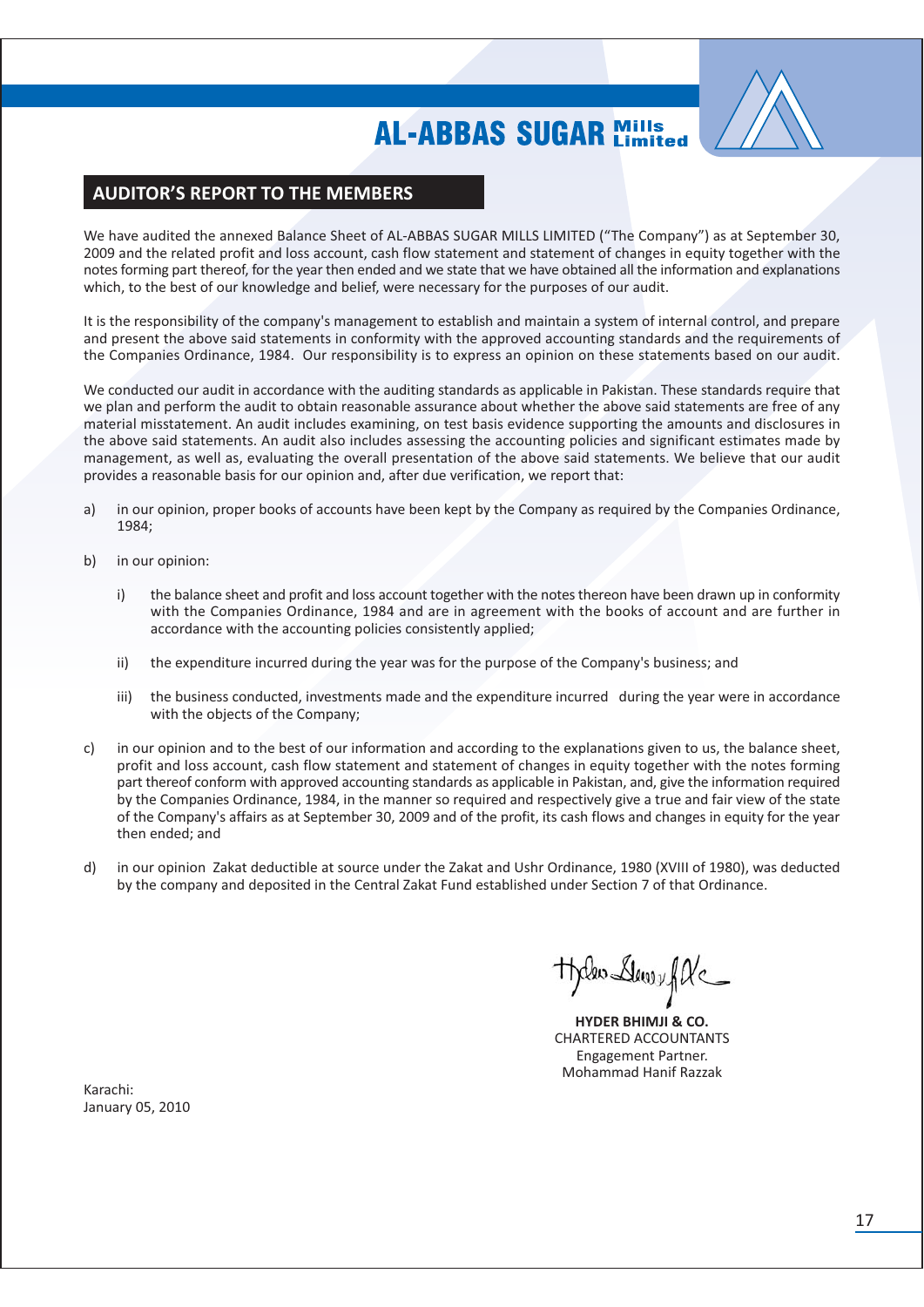

### **AUDITOR'S REPORT TO THE MEMBERS**

We have audited the annexed Balance Sheet of AL-ABBAS SUGAR MILLS LIMITED ("The Company") as at September 30, 2009 and the related profit and loss account, cash flow statement and statement of changes in equity together with the notes forming part thereof, for the year then ended and we state that we have obtained all the information and explanations which, to the best of our knowledge and belief, were necessary for the purposes of our audit.

It is the responsibility of the company's management to establish and maintain a system of internal control, and prepare and present the above said statements in conformity with the approved accounting standards and the requirements of the Companies Ordinance, 1984. Our responsibility is to express an opinion on these statements based on our audit.

We conducted our audit in accordance with the auditing standards as applicable in Pakistan. These standards require that we plan and perform the audit to obtain reasonable assurance about whether the above said statements are free of any material misstatement. An audit includes examining, on test basis evidence supporting the amounts and disclosures in the above said statements. An audit also includes assessing the accounting policies and significant estimates made by management, as well as, evaluating the overall presentation of the above said statements. We believe that our audit provides a reasonable basis for our opinion and, after due verification, we report that:

- in our opinion, proper books of accounts have been kept by the Company as required by the Companies Ordinance,  $\lambda$ 1984;
- $b)$ in our opinion:
	- the balance sheet and profit and loss account together with the notes thereon have been drawn up in conformity  $i)$ with the Companies Ordinance, 1984 and are in agreement with the books of account and are further in accordance with the accounting policies consistently applied;
	- the expenditure incurred during the year was for the purpose of the Company's business; and ii)
	- iii) the business conducted, investments made and the expenditure incurred during the vear were in accordance with the objects of the Company;
- $\mathsf{C}$ in our opinion and to the best of our information and according to the explanations given to us, the balance sheet, profit and loss account, cash flow statement and statement of changes in equity together with the notes forming part thereof conform with approved accounting standards as applicable in Pakistan, and, give the information required by the Companies Ordinance, 1984, in the manner so required and respectively give a true and fair view of the state of the Company's affairs as at September 30, 2009 and of the profit, its cash flows and changes in equity for the year then ended; and
- in our opinion Zakat deductible at source under the Zakat and Ushr Ordinance, 1980 (XVIII of 1980), was deducted  $d)$ by the company and deposited in the Central Zakat Fund established under Section 7 of that Ordinance.

theles Dewey fle

**HYDER BHIMJI & CO. CHARTERED ACCOUNTANTS Engagement Partner. Mohammad Hanif Razzak** 

Karachi: January 05, 2010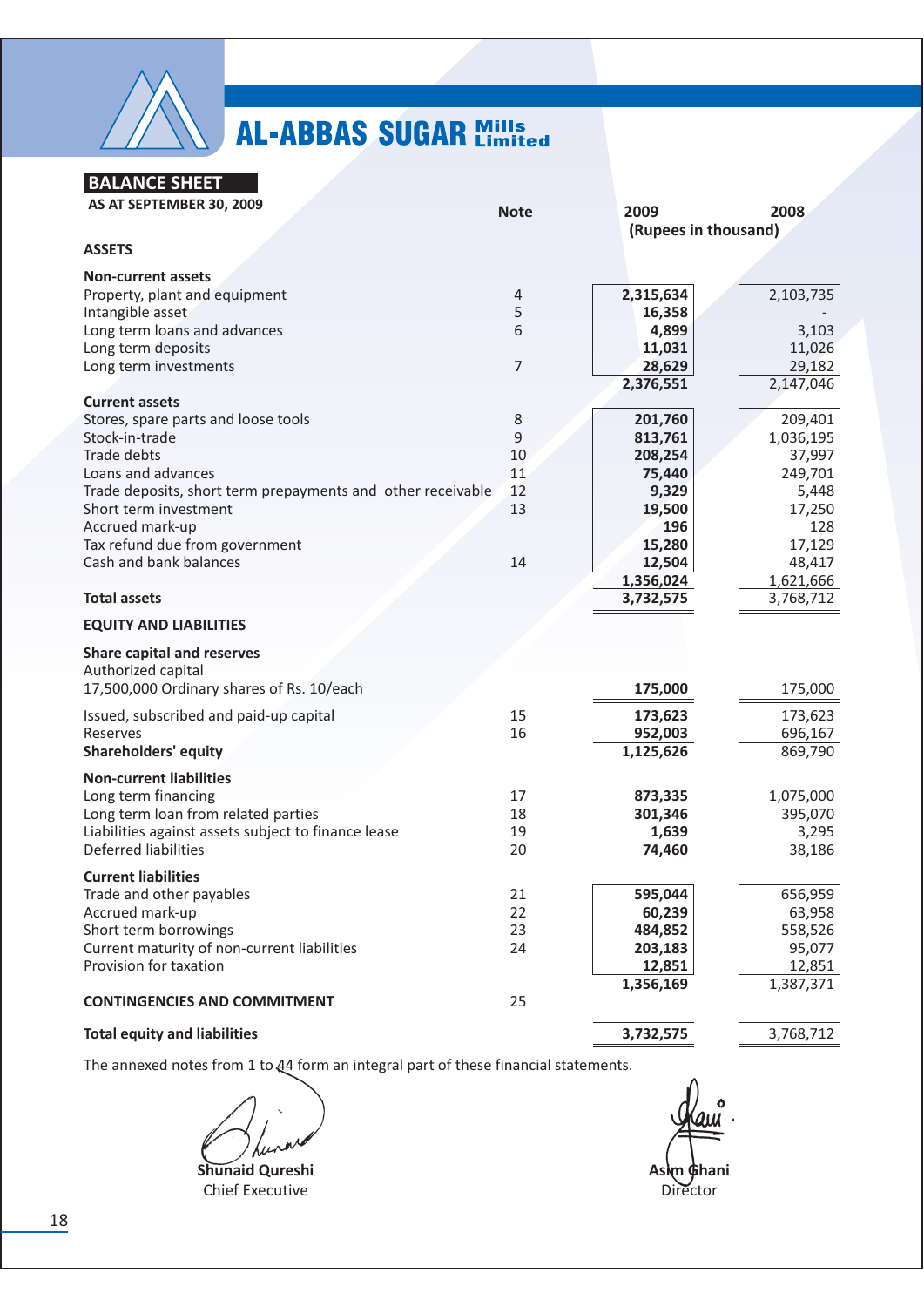

**BALANCE SHEET** 

| AS AT SEPTEMBER 30, 2009                                    | <b>Note</b> | 2009                 | 2008      |
|-------------------------------------------------------------|-------------|----------------------|-----------|
|                                                             |             | (Rupees in thousand) |           |
| <b>ASSETS</b>                                               |             |                      |           |
| <b>Non-current assets</b>                                   |             |                      |           |
| Property, plant and equipment                               | 4           | 2,315,634            | 2,103,735 |
| Intangible asset                                            | 5           | 16,358               |           |
| Long term loans and advances                                | 6           | 4,899                | 3,103     |
| Long term deposits                                          |             | 11,031               | 11,026    |
| Long term investments                                       | 7           | 28,629               | 29,182    |
|                                                             |             | 2,376,551            | 2,147,046 |
| <b>Current assets</b>                                       |             |                      |           |
| Stores, spare parts and loose tools                         | 8           | 201,760              | 209,401   |
| Stock-in-trade                                              | 9           | 813,761              | 1,036,195 |
| Trade debts                                                 | 10          | 208,254              | 37,997    |
| Loans and advances                                          | 11          | 75,440               | 249,701   |
| Trade deposits, short term prepayments and other receivable | 12          | 9,329                | 5,448     |
| Short term investment                                       | 13          | 19,500               | 17,250    |
| Accrued mark-up                                             |             | 196                  | 128       |
| Tax refund due from government                              |             | 15,280               | 17,129    |
| Cash and bank balances                                      | 14          | 12,504               | 48,417    |
|                                                             |             | 1,356,024            | 1,621,666 |
| <b>Total assets</b>                                         |             | 3,732,575            | 3,768,712 |
| <b>EQUITY AND LIABILITIES</b>                               |             |                      |           |
|                                                             |             |                      |           |
| <b>Share capital and reserves</b>                           |             |                      |           |
| Authorized capital                                          |             |                      |           |
| 17,500,000 Ordinary shares of Rs. 10/each                   |             | 175,000              | 175,000   |
| Issued, subscribed and paid-up capital                      | 15          | 173,623              | 173,623   |
| Reserves                                                    | 16          | 952,003              | 696,167   |
| <b>Shareholders' equity</b>                                 |             | 1,125,626            | 869,790   |
| <b>Non-current liabilities</b>                              |             |                      |           |
| Long term financing                                         | 17          | 873,335              | 1,075,000 |
| Long term loan from related parties                         | 18          | 301,346              | 395,070   |
| Liabilities against assets subject to finance lease         | 19          | 1,639                | 3,295     |
| Deferred liabilities                                        | 20          | 74,460               | 38,186    |
|                                                             |             |                      |           |
| <b>Current liabilities</b>                                  |             |                      |           |
| Trade and other payables                                    | 21          | 595,044              | 656,959   |
| Accrued mark-up                                             | 22          | 60,239               | 63,958    |
| Short term borrowings                                       | 23          | 484,852              | 558,526   |
| Current maturity of non-current liabilities                 | 24          | 203,183              | 95,077    |
| Provision for taxation                                      |             | 12,851               | 12,851    |
|                                                             |             | 1,356,169            | 1,387,371 |
| <b>CONTINGENCIES AND COMMITMENT</b>                         | 25          |                      |           |
| <b>Total equity and liabilities</b>                         |             | 3,732,575            | 3,768,712 |
|                                                             |             |                      |           |

Shunaid Qureshi **Chief Executive** 

Asm Chani Director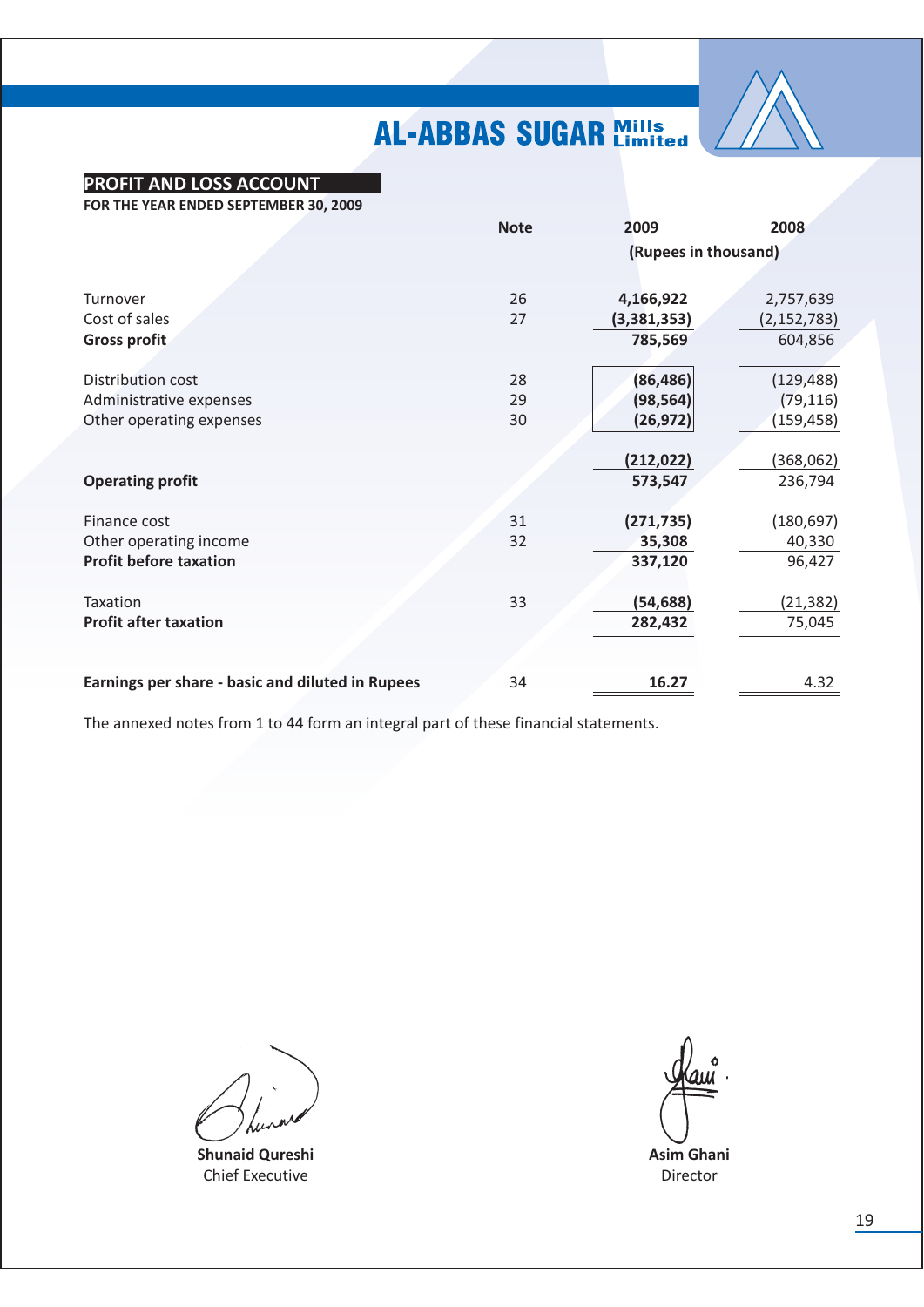

### **PROFIT AND LOSS ACCOUNT**

FOR THE YEAR ENDED SEPTEMBER 30, 2009

|                                                  | <b>Note</b> | 2009                 | 2008          |
|--------------------------------------------------|-------------|----------------------|---------------|
|                                                  |             | (Rupees in thousand) |               |
| Turnover                                         | 26          | 4,166,922            | 2,757,639     |
| Cost of sales                                    | 27          | (3,381,353)          | (2, 152, 783) |
| <b>Gross profit</b>                              |             | 785,569              | 604,856       |
| Distribution cost                                | 28          | (86, 486)            | (129, 488)    |
| Administrative expenses                          | 29          | (98, 564)            | (79, 116)     |
| Other operating expenses                         | 30          | (26, 972)            | (159, 458)    |
|                                                  |             | (212, 022)           | (368,062)     |
| <b>Operating profit</b>                          |             | 573,547              | 236,794       |
| Finance cost                                     | 31          | (271, 735)           | (180, 697)    |
| Other operating income                           | 32          | 35,308               | 40,330        |
| <b>Profit before taxation</b>                    |             | 337,120              | 96,427        |
| Taxation                                         | 33          | (54, 688)            | (21,382)      |
| <b>Profit after taxation</b>                     |             | 282,432              | 75,045        |
|                                                  |             |                      |               |
| Earnings per share - basic and diluted in Rupees | 34          | 16.27                | 4.32          |

**Shunaid Qureshi** Chief Executive

**Asim Ghani** Director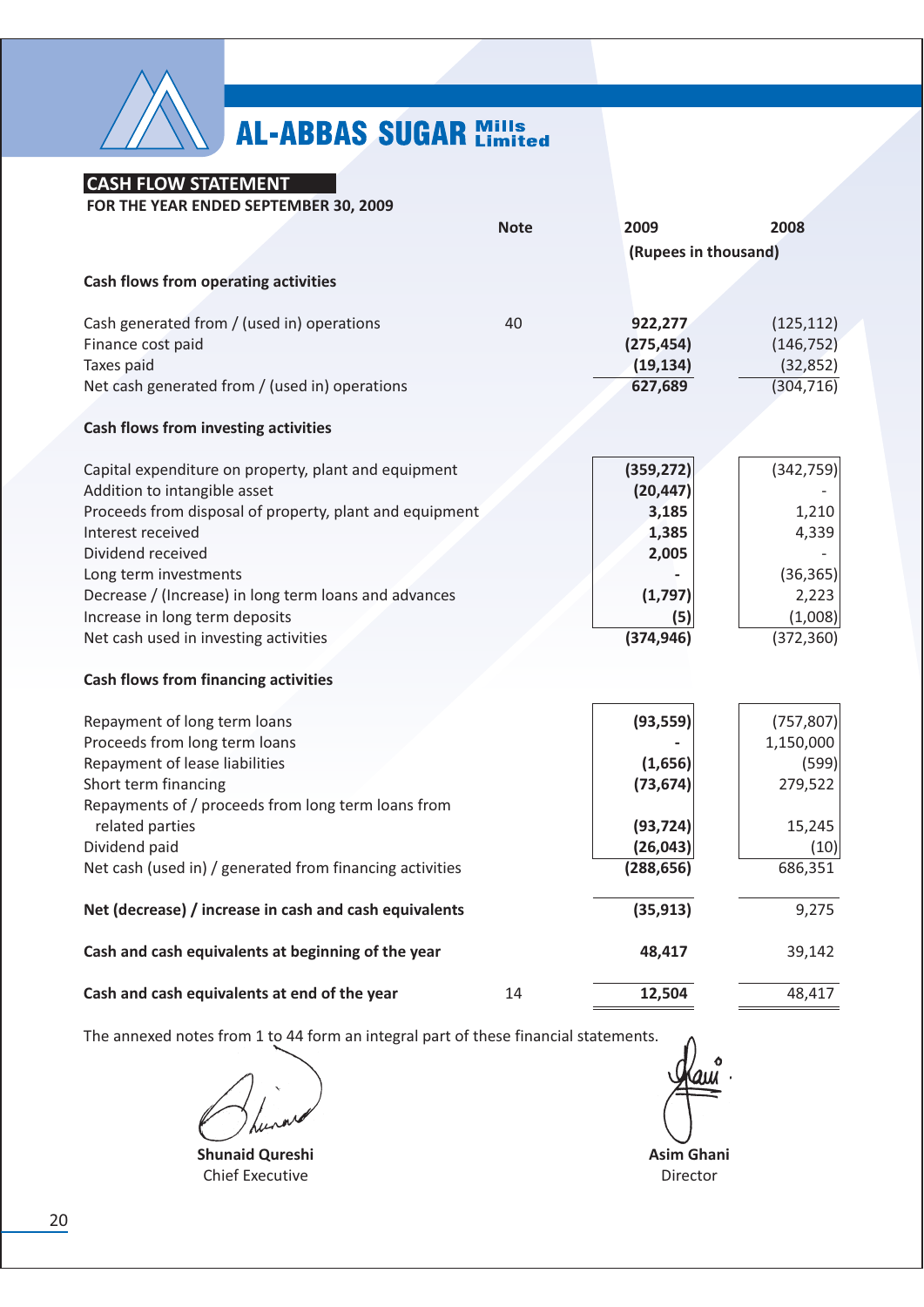

### **CASH FLOW STATEMENT**

FOR THE YEAR ENDED SEPTEMBER 30, 2009

|                                                          | <b>Note</b> | 2009                 | 2008                     |
|----------------------------------------------------------|-------------|----------------------|--------------------------|
|                                                          |             | (Rupees in thousand) |                          |
| <b>Cash flows from operating activities</b>              |             |                      |                          |
| Cash generated from / (used in) operations               | 40          | 922,277              |                          |
| Finance cost paid                                        |             | (275, 454)           | (125, 112)<br>(146, 752) |
| Taxes paid                                               |             | (19, 134)            | (32, 852)                |
| Net cash generated from / (used in) operations           |             | 627,689              | (304, 716)               |
| <b>Cash flows from investing activities</b>              |             |                      |                          |
| Capital expenditure on property, plant and equipment     |             | (359, 272)           | (342, 759)               |
| Addition to intangible asset                             |             | (20, 447)            |                          |
| Proceeds from disposal of property, plant and equipment  |             | 3,185                | 1,210                    |
| Interest received                                        |             | 1,385                | 4,339                    |
| Dividend received                                        |             | 2,005                |                          |
| Long term investments                                    |             |                      | (36, 365)                |
| Decrease / (Increase) in long term loans and advances    |             | (1,797)              | 2,223                    |
| Increase in long term deposits                           |             | (5)                  | (1,008)                  |
| Net cash used in investing activities                    |             | (374, 946)           | (372, 360)               |
| <b>Cash flows from financing activities</b>              |             |                      |                          |
| Repayment of long term loans                             |             | (93, 559)            | (757, 807)               |
| Proceeds from long term loans                            |             |                      | 1,150,000                |
| Repayment of lease liabilities                           |             | (1,656)              | (599)                    |
| Short term financing                                     |             | (73, 674)            | 279,522                  |
| Repayments of / proceeds from long term loans from       |             |                      |                          |
| related parties                                          |             | (93, 724)            | 15,245                   |
| Dividend paid                                            |             | (26, 043)            | (10)                     |
| Net cash (used in) / generated from financing activities |             | (288, 656)           | 686,351                  |
| Net (decrease) / increase in cash and cash equivalents   |             | (35, 913)            | 9,275                    |
| Cash and cash equivalents at beginning of the year       |             | 48,417               | 39,142                   |
| Cash and cash equivalents at end of the year             | 14          | 12,504               | 48,417                   |

**Shunaid Qureshi Chief Executive** 

**Asim Ghani** Director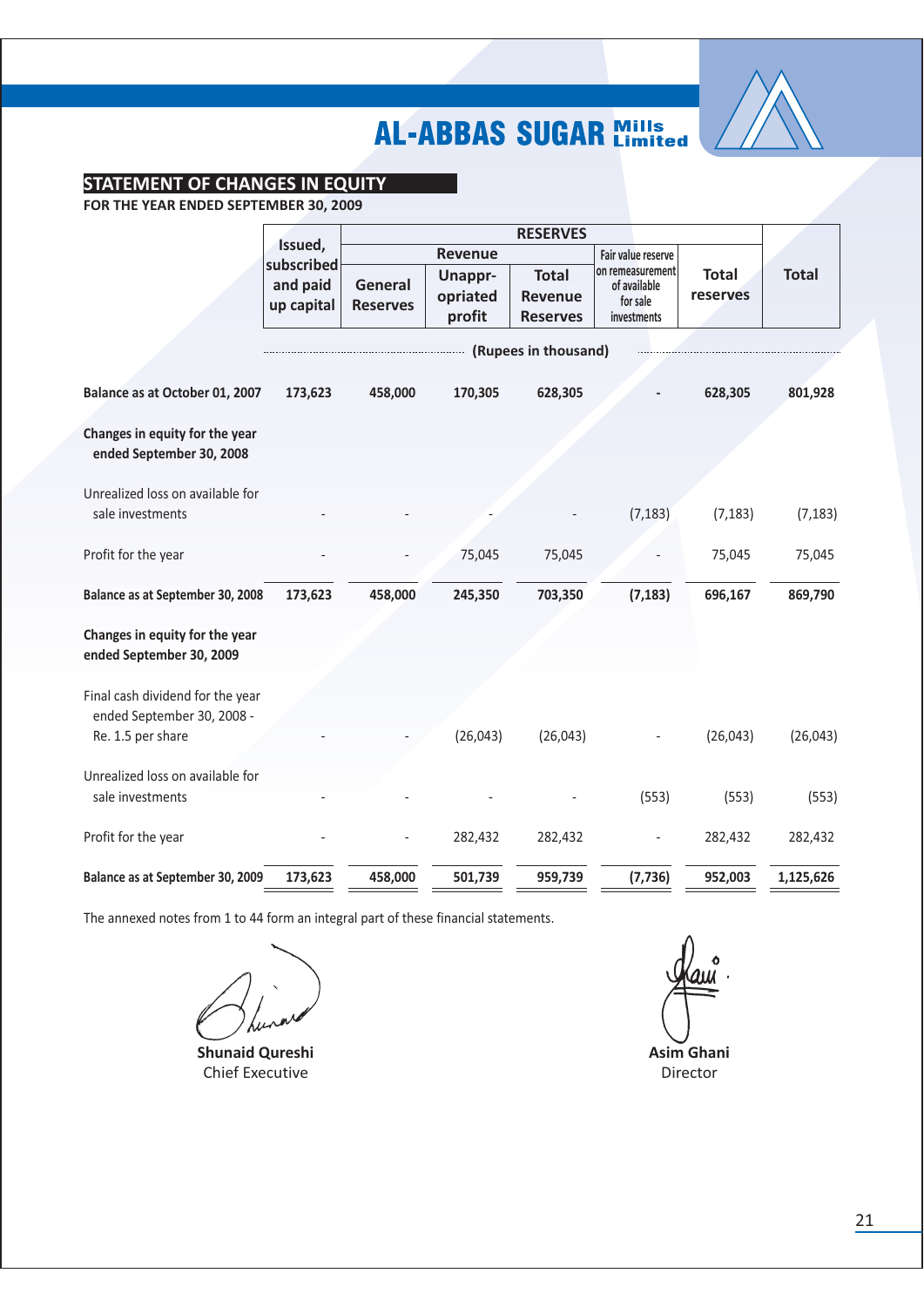

### **STATEMENT OF CHANGES IN EQUITY**

FOR THE YEAR ENDED SEPTEMBER 30, 2009

|                                                                | Issued,             | <b>RESERVES</b> |                |                      |                                  |              |              |  |
|----------------------------------------------------------------|---------------------|-----------------|----------------|----------------------|----------------------------------|--------------|--------------|--|
|                                                                | subscribed          |                 | <b>Revenue</b> |                      | Fair value reserve               |              |              |  |
|                                                                | and paid<br>General |                 | <b>Unappr-</b> | <b>Total</b>         | on remeasurement<br>of available | <b>Total</b> | <b>Total</b> |  |
|                                                                | up capital          | <b>Reserves</b> | opriated       | <b>Revenue</b>       | for sale                         | reserves     |              |  |
|                                                                |                     |                 | profit         | <b>Reserves</b>      | investments                      |              |              |  |
|                                                                |                     |                 |                | (Rupees in thousand) |                                  |              |              |  |
| Balance as at October 01, 2007                                 | 173,623             | 458,000         | 170,305        | 628,305              |                                  | 628,305      | 801,928      |  |
| Changes in equity for the year<br>ended September 30, 2008     |                     |                 |                |                      |                                  |              |              |  |
| Unrealized loss on available for                               |                     |                 |                |                      |                                  |              |              |  |
| sale investments                                               |                     |                 |                |                      | (7, 183)                         | (7, 183)     | (7, 183)     |  |
| Profit for the year                                            |                     |                 | 75,045         | 75,045               |                                  | 75,045       | 75,045       |  |
| Balance as at September 30, 2008                               | 173,623             | 458,000         | 245,350        | 703,350              | (7, 183)                         | 696,167      | 869,790      |  |
| Changes in equity for the year<br>ended September 30, 2009     |                     |                 |                |                      |                                  |              |              |  |
| Final cash dividend for the year<br>ended September 30, 2008 - |                     |                 |                |                      |                                  |              |              |  |
| Re. 1.5 per share                                              |                     |                 | (26, 043)      | (26, 043)            |                                  | (26, 043)    | (26, 043)    |  |
| Unrealized loss on available for                               |                     |                 |                |                      |                                  |              |              |  |
| sale investments                                               |                     |                 |                |                      | (553)                            | (553)        | (553)        |  |
| Profit for the year                                            |                     |                 | 282,432        | 282,432              |                                  | 282,432      | 282,432      |  |
| Balance as at September 30, 2009                               | 173,623             | 458,000         | 501,739        | 959,739              | (7, 736)                         | 952,003      | 1,125,626    |  |

**Shunaid Qureshi Chief Executive** 

Asim Ghani Director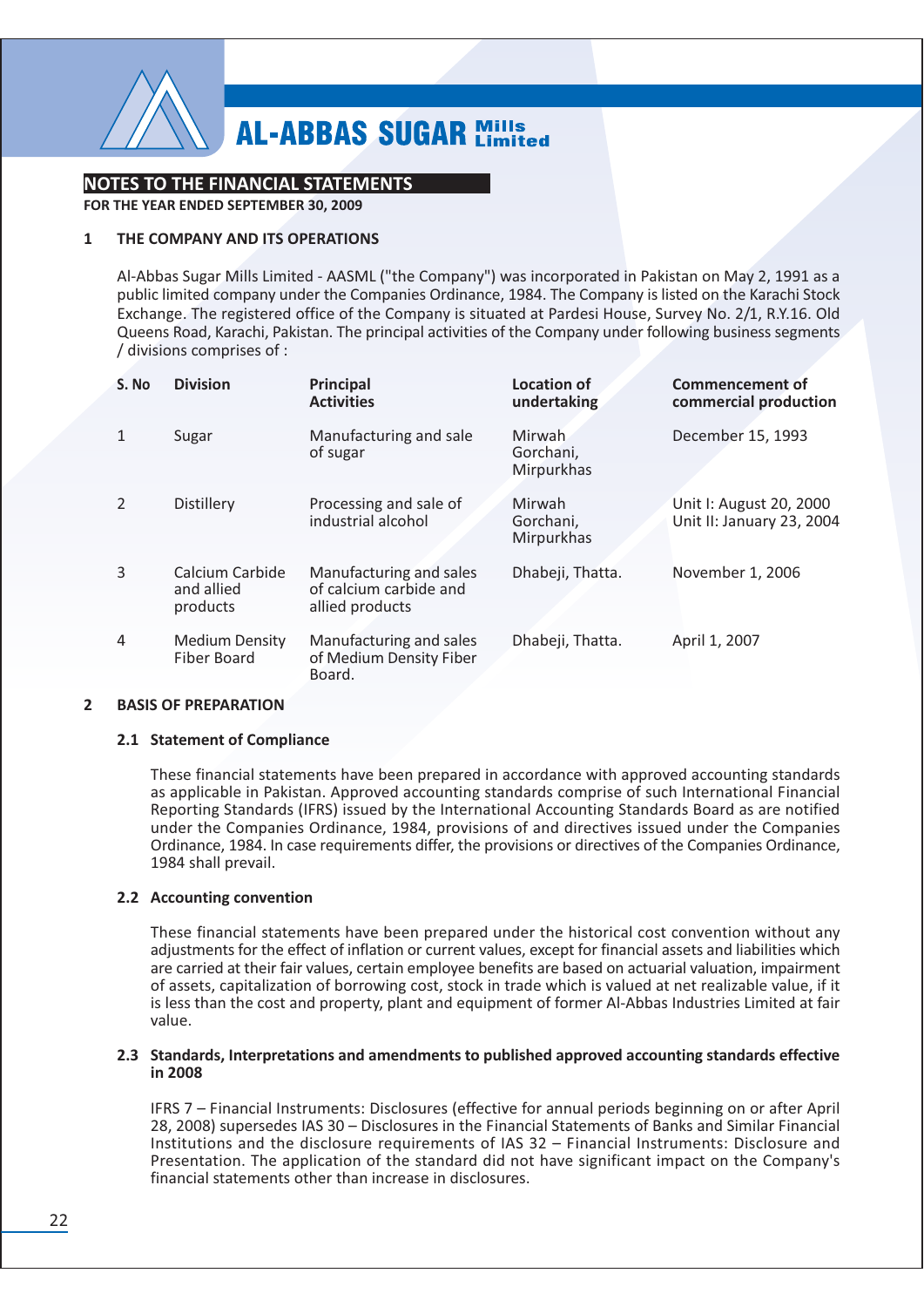

### **NOTES TO THE FINANCIAL STATEMENTS**

FOR THE YEAR ENDED SEPTEMBER 30, 2009

#### $\mathbf{1}$ THE COMPANY AND ITS OPERATIONS

Al-Abbas Sugar Mills Limited - AASML ("the Company") was incorporated in Pakistan on May 2, 1991 as a public limited company under the Companies Ordinance, 1984. The Company is listed on the Karachi Stock Exchange. The registered office of the Company is situated at Pardesi House, Survey No. 2/1, R.Y.16. Old Queens Road, Karachi, Pakistan. The principal activities of the Company under following business segments / divisions comprises of :

| S. No          | <b>Division</b>                             | <b>Principal</b><br><b>Activities</b>                                | <b>Location of</b><br>undertaking  | <b>Commencement of</b><br>commercial production      |
|----------------|---------------------------------------------|----------------------------------------------------------------------|------------------------------------|------------------------------------------------------|
|                | Sugar                                       | Manufacturing and sale<br>of sugar                                   | Mirwah.<br>Gorchani,<br>Mirpurkhas | December 15, 1993                                    |
| $\mathcal{P}$  | Distillery                                  | Processing and sale of<br>industrial alcohol                         | Mirwah<br>Gorchani,<br>Mirpurkhas  | Unit I: August 20, 2000<br>Unit II: January 23, 2004 |
| 3              | Calcium Carbide<br>and allied<br>products   | Manufacturing and sales<br>of calcium carbide and<br>allied products | Dhabeji, Thatta.                   | November 1, 2006                                     |
| $\overline{4}$ | <b>Medium Density</b><br><b>Fiber Board</b> | Manufacturing and sales<br>of Medium Density Fiber<br>Board.         | Dhabeji, Thatta.                   | April 1, 2007                                        |

#### $\overline{2}$ **BASIS OF PREPARATION**

#### 2.1 Statement of Compliance

These financial statements have been prepared in accordance with approved accounting standards as applicable in Pakistan. Approved accounting standards comprise of such International Financial Reporting Standards (IFRS) issued by the International Accounting Standards Board as are notified under the Companies Ordinance, 1984, provisions of and directives issued under the Companies Ordinance, 1984. In case requirements differ, the provisions or directives of the Companies Ordinance, 1984 shall prevail.

#### 2.2 Accounting convention

These financial statements have been prepared under the historical cost convention without any adjustments for the effect of inflation or current values, except for financial assets and liabilities which are carried at their fair values, certain employee benefits are based on actuarial valuation, impairment of assets, capitalization of borrowing cost, stock in trade which is valued at net realizable value, if it is less than the cost and property, plant and equipment of former Al-Abbas Industries Limited at fair value.

#### 2.3 Standards, Interpretations and amendments to published approved accounting standards effective in 2008

IFRS 7 - Financial Instruments: Disclosures (effective for annual periods beginning on or after April 28, 2008) supersedes IAS 30 - Disclosures in the Financial Statements of Banks and Similar Financial Institutions and the disclosure requirements of IAS 32 - Financial Instruments: Disclosure and Presentation. The application of the standard did not have significant impact on the Company's financial statements other than increase in disclosures.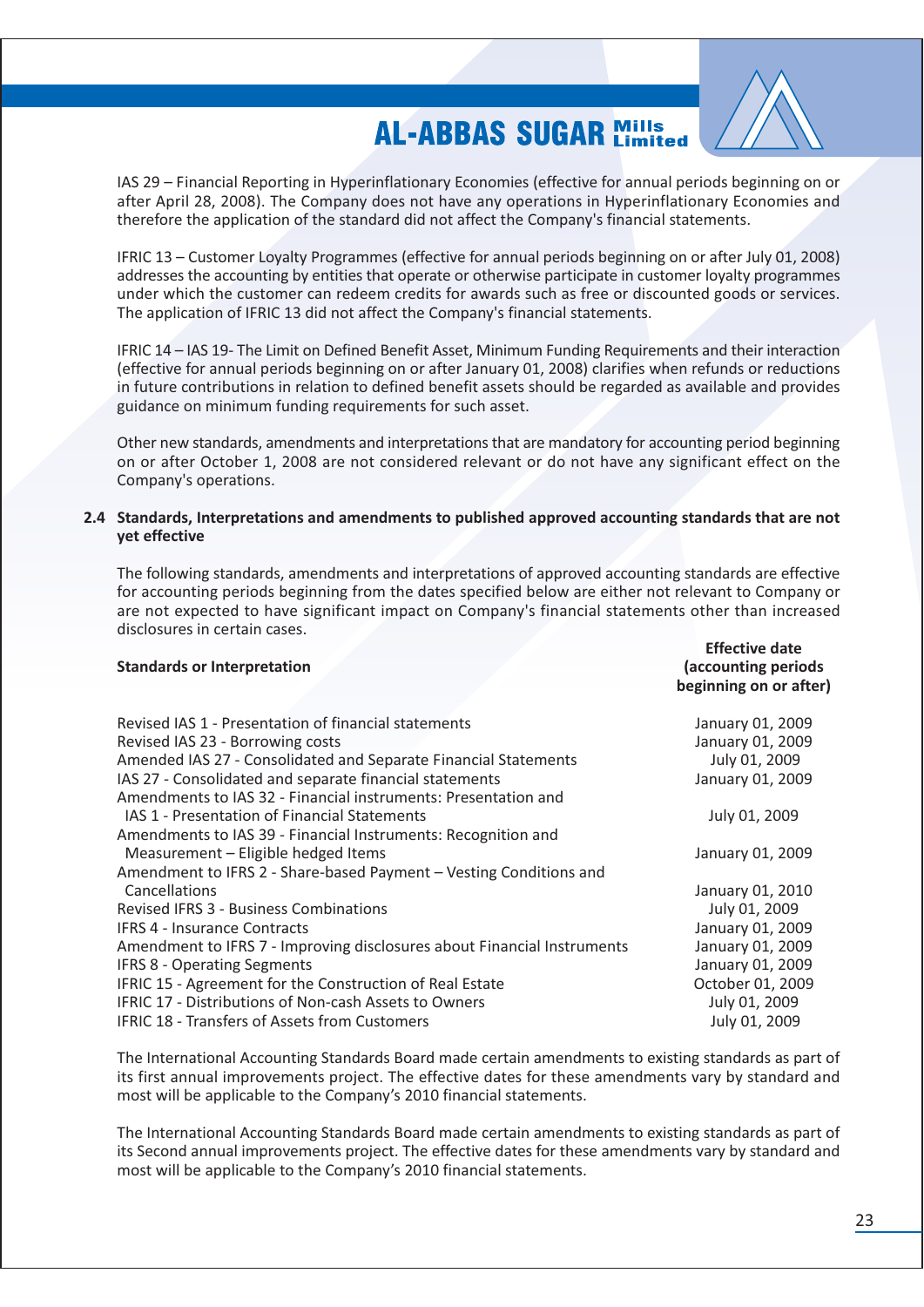

 $Effortiva data$ 

IAS 29 – Financial Reporting in Hyperinflationary Economies (effective for annual periods beginning on or after April 28, 2008). The Company does not have any operations in Hyperinflationary Economies and therefore the application of the standard did not affect the Company's financial statements.

IFRIC 13 – Customer Lovalty Programmes (effective for annual periods beginning on or after July 01, 2008) addresses the accounting by entities that operate or otherwise participate in customer loyalty programmes under which the customer can redeem credits for awards such as free or discounted goods or services. The application of IFRIC 13 did not affect the Company's financial statements.

IFRIC 14 – IAS 19- The Limit on Defined Benefit Asset. Minimum Funding Requirements and their interaction (effective for annual periods beginning on or after January 01, 2008) clarifies when refunds or reductions in future contributions in relation to defined benefit assets should be regarded as available and provides guidance on minimum funding requirements for such asset.

Other new standards, amendments and interpretations that are mandatory for accounting period beginning on or after October 1, 2008 are not considered relevant or do not have any significant effect on the Company's operations.

#### 2.4 Standards, Interpretations and amendments to published approved accounting standards that are not vet effective

The following standards, amendments and interpretations of approved accounting standards are effective for accounting periods beginning from the dates specified below are either not relevant to Company or are not expected to have significant impact on Company's financial statements other than increased disclosures in certain cases.

| <b>Standards or Interpretation</b>                                      | LIICLLIVE UQLE<br>(accounting periods<br>beginning on or after) |  |  |  |
|-------------------------------------------------------------------------|-----------------------------------------------------------------|--|--|--|
| Revised IAS 1 - Presentation of financial statements                    | January 01, 2009                                                |  |  |  |
| Revised IAS 23 - Borrowing costs                                        | January 01, 2009                                                |  |  |  |
| Amended IAS 27 - Consolidated and Separate Financial Statements         | July 01, 2009                                                   |  |  |  |
| IAS 27 - Consolidated and separate financial statements                 | January 01, 2009                                                |  |  |  |
| Amendments to IAS 32 - Financial instruments: Presentation and          |                                                                 |  |  |  |
| IAS 1 - Presentation of Financial Statements                            | July 01, 2009                                                   |  |  |  |
| Amendments to IAS 39 - Financial Instruments: Recognition and           |                                                                 |  |  |  |
| Measurement - Eligible hedged Items                                     | January 01, 2009                                                |  |  |  |
| Amendment to IFRS 2 - Share-based Payment - Vesting Conditions and      |                                                                 |  |  |  |
| Cancellations                                                           | January 01, 2010                                                |  |  |  |
| <b>Revised IFRS 3 - Business Combinations</b>                           | July 01, 2009                                                   |  |  |  |
| <b>IFRS 4 - Insurance Contracts</b>                                     | January 01, 2009                                                |  |  |  |
| Amendment to IFRS 7 - Improving disclosures about Financial Instruments | January 01, 2009                                                |  |  |  |
| <b>IFRS 8 - Operating Segments</b>                                      | January 01, 2009                                                |  |  |  |
| IFRIC 15 - Agreement for the Construction of Real Estate                | October 01, 2009                                                |  |  |  |
| <b>IFRIC 17 - Distributions of Non-cash Assets to Owners</b>            | July 01, 2009                                                   |  |  |  |
| <b>IFRIC 18 - Transfers of Assets from Customers</b>                    | July 01, 2009                                                   |  |  |  |
|                                                                         |                                                                 |  |  |  |

The International Accounting Standards Board made certain amendments to existing standards as part of its first annual improvements project. The effective dates for these amendments vary by standard and most will be applicable to the Company's 2010 financial statements.

The International Accounting Standards Board made certain amendments to existing standards as part of its Second annual improvements project. The effective dates for these amendments vary by standard and most will be applicable to the Company's 2010 financial statements.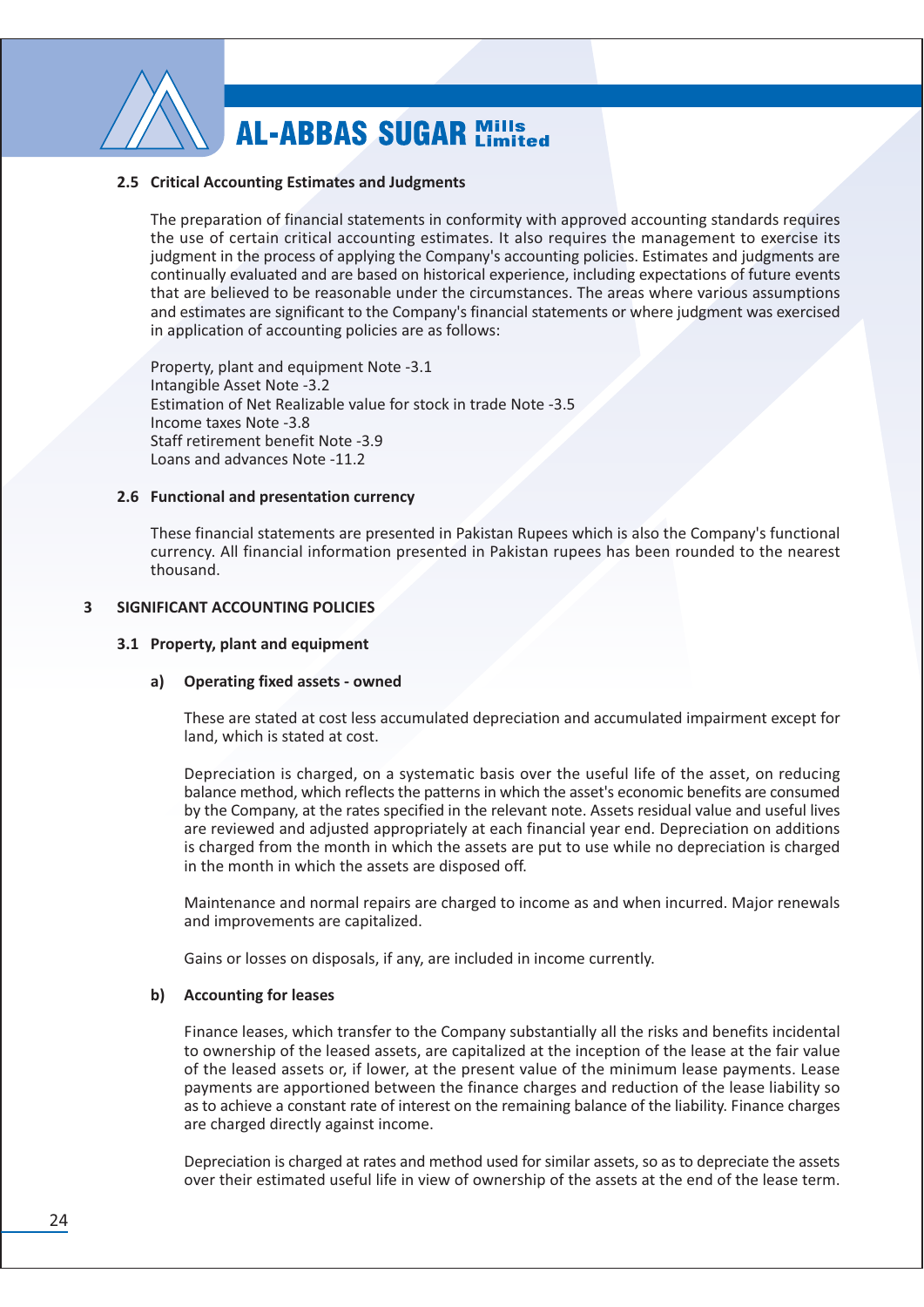

#### 2.5 Critical Accounting Estimates and Judgments

The preparation of financial statements in conformity with approved accounting standards requires the use of certain critical accounting estimates. It also requires the management to exercise its judgment in the process of applying the Company's accounting policies. Estimates and judgments are continually evaluated and are based on historical experience, including expectations of future events that are believed to be reasonable under the circumstances. The areas where various assumptions and estimates are significant to the Company's financial statements or where judgment was exercised in application of accounting policies are as follows:

Property, plant and equipment Note -3.1 Intangible Asset Note -3.2 Estimation of Net Realizable value for stock in trade Note -3.5 Income taxes Note -3.8 Staff retirement benefit Note -3.9 Loans and advances Note -11.2

#### 2.6 Functional and presentation currency

These financial statements are presented in Pakistan Rupees which is also the Company's functional currency. All financial information presented in Pakistan rupees has been rounded to the nearest thousand.

#### SIGNIFICANT ACCOUNTING POLICIES  $\overline{\mathbf{3}}$

#### 3.1 Property, plant and equipment

#### a) Operating fixed assets - owned

These are stated at cost less accumulated depreciation and accumulated impairment except for land, which is stated at cost.

Depreciation is charged, on a systematic basis over the useful life of the asset, on reducing balance method, which reflects the patterns in which the asset's economic benefits are consumed by the Company, at the rates specified in the relevant note. Assets residual value and useful lives are reviewed and adjusted appropriately at each financial year end. Depreciation on additions is charged from the month in which the assets are put to use while no depreciation is charged in the month in which the assets are disposed off.

Maintenance and normal repairs are charged to income as and when incurred. Major renewals and improvements are capitalized.

Gains or losses on disposals, if any, are included in income currently.

#### b) Accounting for leases

Finance leases, which transfer to the Company substantially all the risks and benefits incidental to ownership of the leased assets, are capitalized at the inception of the lease at the fair value of the leased assets or, if lower, at the present value of the minimum lease payments. Lease payments are apportioned between the finance charges and reduction of the lease liability so as to achieve a constant rate of interest on the remaining balance of the liability. Finance charges are charged directly against income.

Depreciation is charged at rates and method used for similar assets, so as to depreciate the assets over their estimated useful life in view of ownership of the assets at the end of the lease term.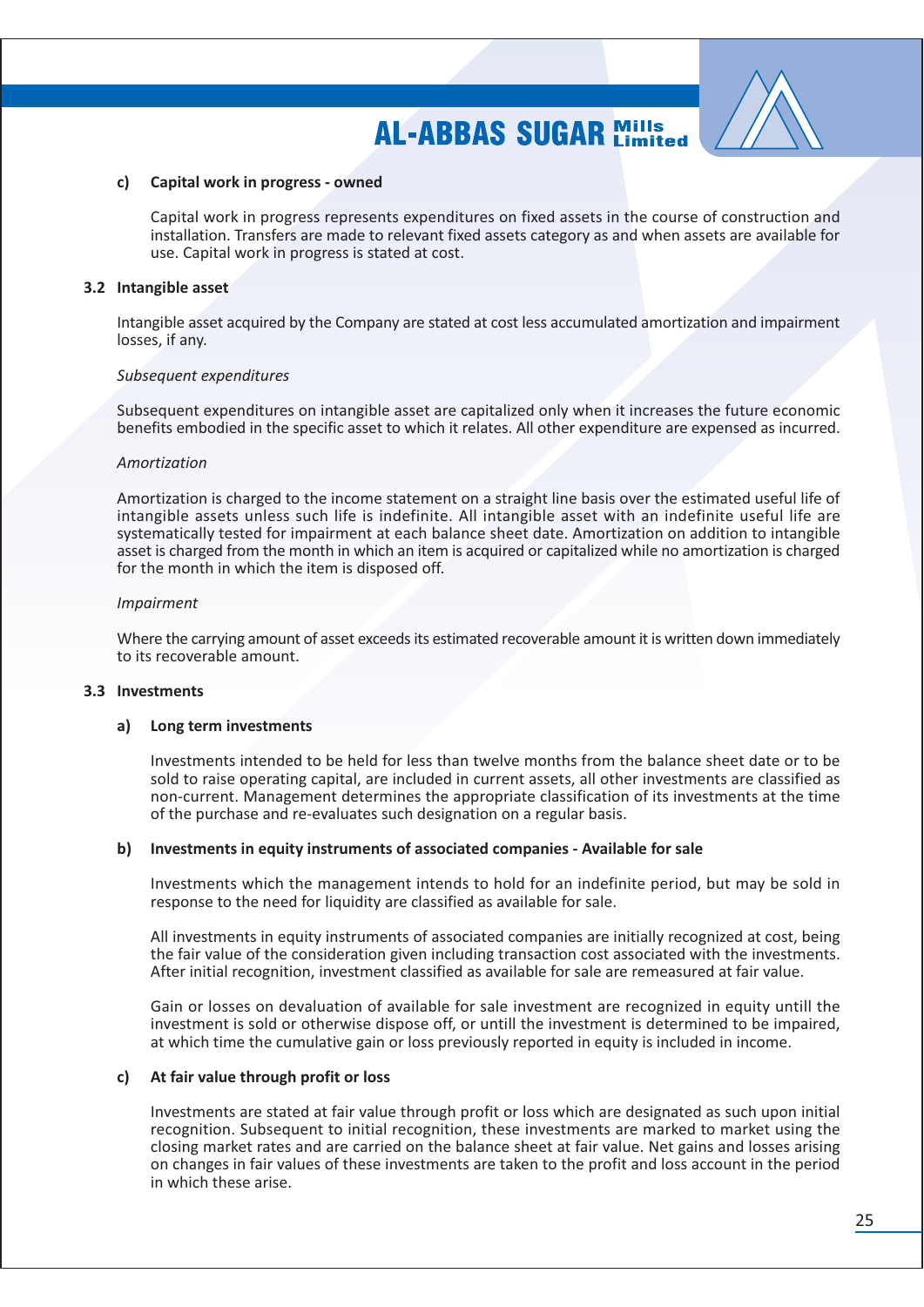

#### Capital work in progress - owned  $c$ )

Capital work in progress represents expenditures on fixed assets in the course of construction and installation. Transfers are made to relevant fixed assets category as and when assets are available for use. Capital work in progress is stated at cost.

#### 3.2 Intangible asset

Intangible asset acquired by the Company are stated at cost less accumulated amortization and impairment losses, if any.

#### Subsequent expenditures

Subsequent expenditures on intangible asset are capitalized only when it increases the future economic benefits embodied in the specific asset to which it relates. All other expenditure are expensed as incurred.

#### Amortization

Amortization is charged to the income statement on a straight line basis over the estimated useful life of intangible assets unless such life is indefinite. All intangible asset with an indefinite useful life are systematically tested for impairment at each balance sheet date. Amortization on addition to intangible asset is charged from the month in which an item is acquired or capitalized while no amortization is charged for the month in which the item is disposed off.

#### **Impairment**

Where the carrying amount of asset exceeds its estimated recoverable amount it is written down immediately to its recoverable amount.

#### 3.3 Investments

#### Long term investments a)

Investments intended to be held for less than twelve months from the balance sheet date or to be sold to raise operating capital, are included in current assets, all other investments are classified as non-current. Management determines the appropriate classification of its investments at the time of the purchase and re-evaluates such designation on a regular basis.

#### b) Investments in equity instruments of associated companies - Available for sale

Investments which the management intends to hold for an indefinite period, but may be sold in response to the need for liquidity are classified as available for sale.

All investments in equity instruments of associated companies are initially recognized at cost, being the fair value of the consideration given including transaction cost associated with the investments. After initial recognition, investment classified as available for sale are remeasured at fair value.

Gain or losses on devaluation of available for sale investment are recognized in equity untill the investment is sold or otherwise dispose off, or untill the investment is determined to be impaired, at which time the cumulative gain or loss previously reported in equity is included in income.

### c) At fair value through profit or loss

Investments are stated at fair value through profit or loss which are designated as such upon initial recognition. Subsequent to initial recognition, these investments are marked to market using the closing market rates and are carried on the balance sheet at fair value. Net gains and losses arising on changes in fair values of these investments are taken to the profit and loss account in the period in which these arise.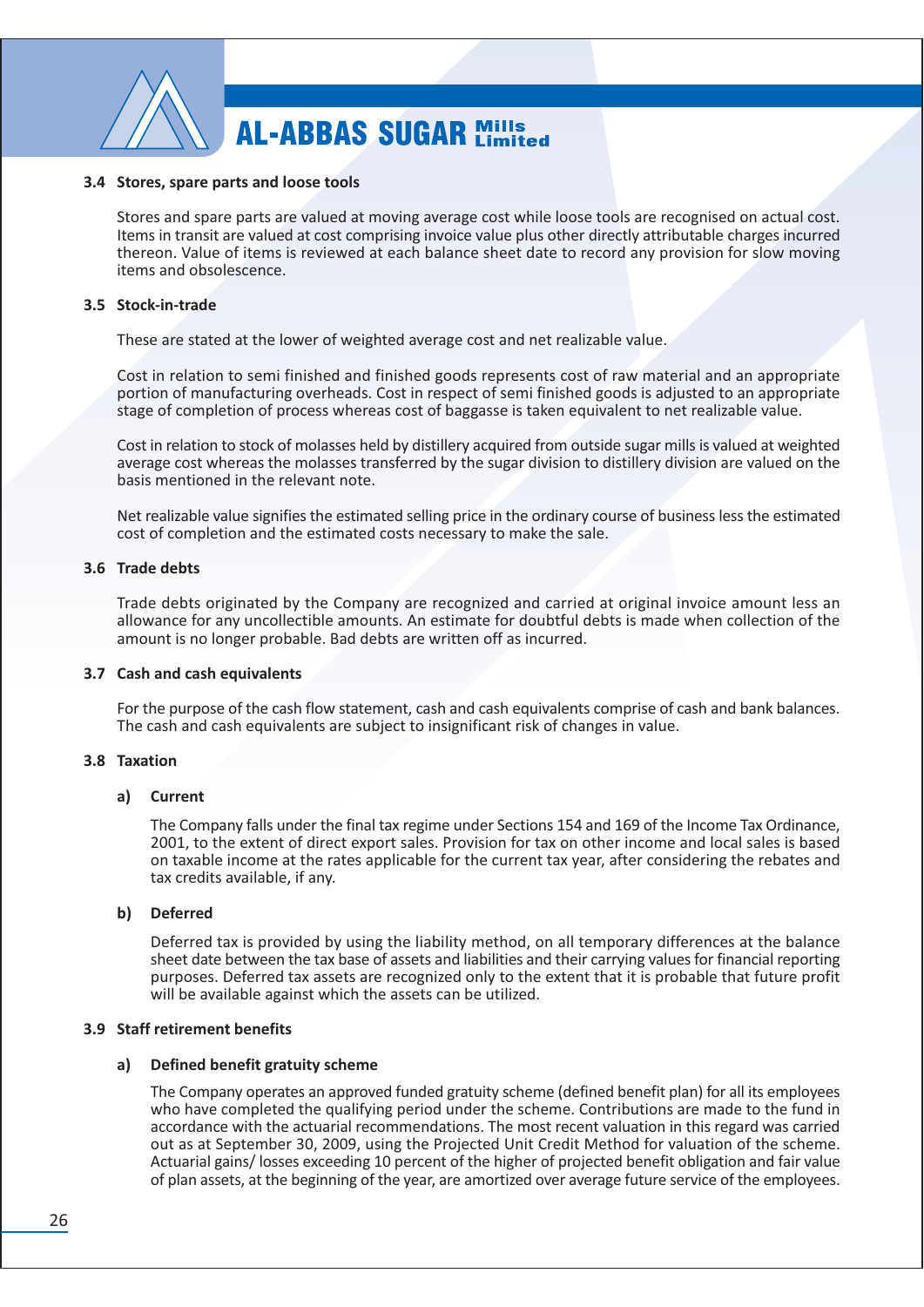

#### 3.4 Stores, spare parts and loose tools

Stores and spare parts are valued at moving average cost while loose tools are recognised on actual cost. Items in transit are valued at cost comprising invoice value plus other directly attributable charges incurred thereon. Value of items is reviewed at each balance sheet date to record any provision for slow moving items and obsolescence.

#### 3.5 Stock-in-trade

These are stated at the lower of weighted average cost and net realizable value.

Cost in relation to semi finished and finished goods represents cost of raw material and an appropriate portion of manufacturing overheads. Cost in respect of semi finished goods is adjusted to an appropriate stage of completion of process whereas cost of baggasse is taken equivalent to net realizable value.

Cost in relation to stock of molasses held by distillery acquired from outside sugar mills is valued at weighted average cost whereas the molasses transferred by the sugar division to distillery division are valued on the basis mentioned in the relevant note.

Net realizable value signifies the estimated selling price in the ordinary course of business less the estimated cost of completion and the estimated costs necessary to make the sale.

#### 3.6 Trade debts

Trade debts originated by the Company are recognized and carried at original invoice amount less an allowance for any uncollectible amounts. An estimate for doubtful debts is made when collection of the amount is no longer probable. Bad debts are written off as incurred.

#### 3.7 Cash and cash equivalents

For the purpose of the cash flow statement, cash and cash equivalents comprise of cash and bank balances. The cash and cash equivalents are subject to insignificant risk of changes in value.

#### 3.8 Taxation

#### **Current** a)

The Company falls under the final tax regime under Sections 154 and 169 of the Income Tax Ordinance, 2001, to the extent of direct export sales. Provision for tax on other income and local sales is based on taxable income at the rates applicable for the current tax year, after considering the rebates and tax credits available, if any.

#### b) Deferred

Deferred tax is provided by using the liability method, on all temporary differences at the balance sheet date between the tax base of assets and liabilities and their carrying values for financial reporting purposes. Deferred tax assets are recognized only to the extent that it is probable that future profit will be available against which the assets can be utilized.

#### 3.9 Staff retirement benefits

#### a) Defined benefit gratuity scheme

The Company operates an approved funded gratuity scheme (defined benefit plan) for all its employees who have completed the qualifying period under the scheme. Contributions are made to the fund in accordance with the actuarial recommendations. The most recent valuation in this regard was carried out as at September 30, 2009, using the Projected Unit Credit Method for valuation of the scheme. Actuarial gains/ losses exceeding 10 percent of the higher of projected benefit obligation and fair value of plan assets, at the beginning of the year, are amortized over average future service of the employees.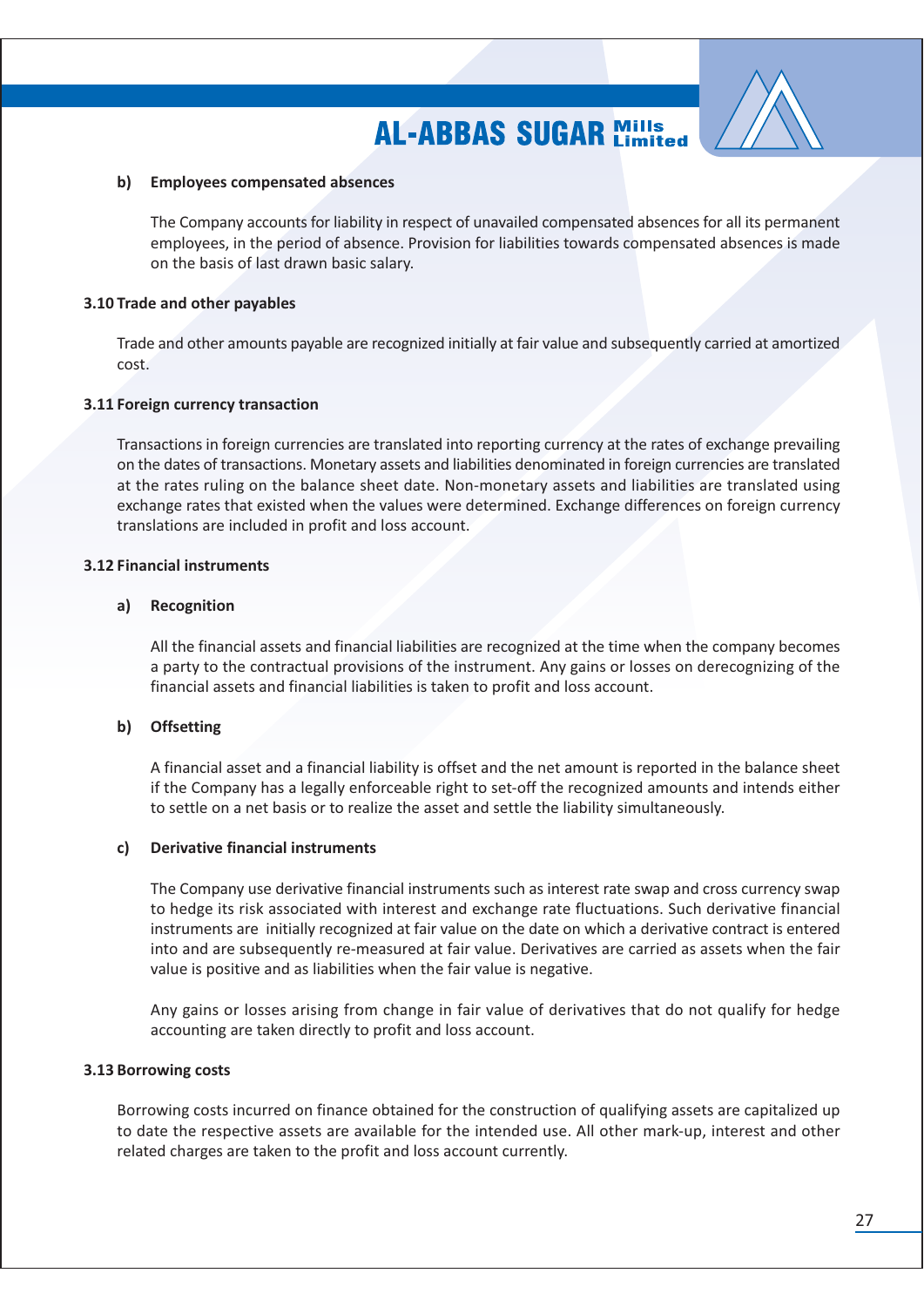

#### b) Employees compensated absences

The Company accounts for liability in respect of unavailed compensated absences for all its permanent employees, in the period of absence. Provision for liabilities towards compensated absences is made on the basis of last drawn basic salary.

#### 3.10 Trade and other payables

Trade and other amounts payable are recognized initially at fair value and subsequently carried at amortized cost.

### 3.11 Foreign currency transaction

Transactions in foreign currencies are translated into reporting currency at the rates of exchange prevailing on the dates of transactions. Monetary assets and liabilities denominated in foreign currencies are translated at the rates ruling on the balance sheet date. Non-monetary assets and liabilities are translated using exchange rates that existed when the values were determined. Exchange differences on foreign currency translations are included in profit and loss account.

#### **3.12 Financial instruments**

#### Recognition a)

All the financial assets and financial liabilities are recognized at the time when the company becomes a party to the contractual provisions of the instrument. Any gains or losses on derecognizing of the financial assets and financial liabilities is taken to profit and loss account.

### b) Offsetting

A financial asset and a financial liability is offset and the net amount is reported in the balance sheet if the Company has a legally enforceable right to set-off the recognized amounts and intends either to settle on a net basis or to realize the asset and settle the liability simultaneously.

#### c) **Derivative financial instruments**

The Company use derivative financial instruments such as interest rate swap and cross currency swap to hedge its risk associated with interest and exchange rate fluctuations. Such derivative financial instruments are initially recognized at fair value on the date on which a derivative contract is entered into and are subsequently re-measured at fair value. Derivatives are carried as assets when the fair value is positive and as liabilities when the fair value is negative.

Any gains or losses arising from change in fair value of derivatives that do not qualify for hedge accounting are taken directly to profit and loss account.

#### 3.13 Borrowing costs

Borrowing costs incurred on finance obtained for the construction of qualifying assets are capitalized up to date the respective assets are available for the intended use. All other mark-up, interest and other related charges are taken to the profit and loss account currently.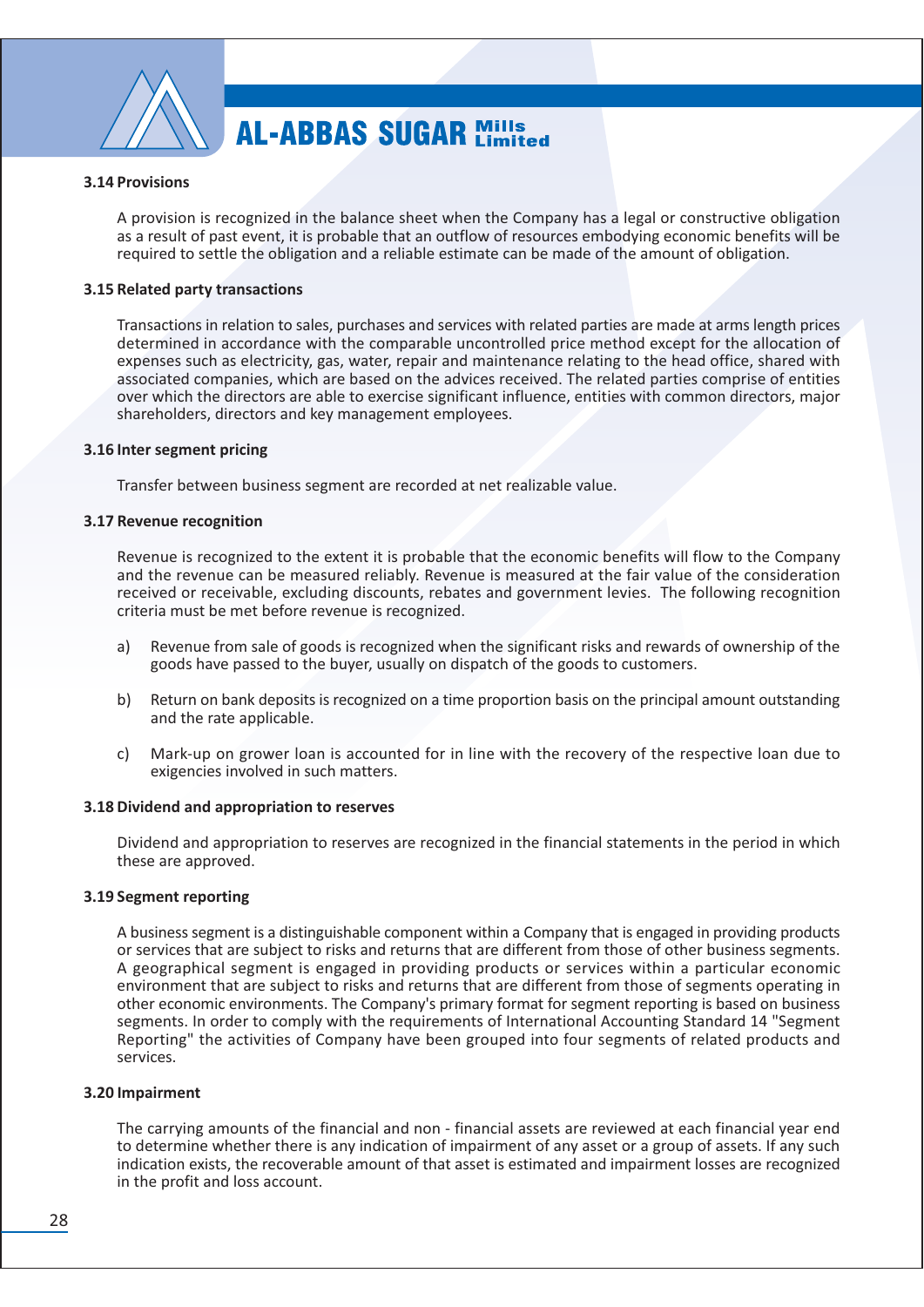

### **3.14 Provisions**

A provision is recognized in the balance sheet when the Company has a legal or constructive obligation as a result of past event, it is probable that an outflow of resources embodying economic benefits will be required to settle the obligation and a reliable estimate can be made of the amount of obligation.

#### 3.15 Related party transactions

Transactions in relation to sales, purchases and services with related parties are made at arms length prices determined in accordance with the comparable uncontrolled price method except for the allocation of expenses such as electricity, gas, water, repair and maintenance relating to the head office, shared with associated companies, which are based on the advices received. The related parties comprise of entities over which the directors are able to exercise significant influence, entities with common directors, major shareholders, directors and key management employees.

#### 3.16 Inter segment pricing

Transfer between business segment are recorded at net realizable value.

#### 3.17 Revenue recognition

Revenue is recognized to the extent it is probable that the economic benefits will flow to the Company and the revenue can be measured reliably. Revenue is measured at the fair value of the consideration received or receivable, excluding discounts, rebates and government levies. The following recognition criteria must be met before revenue is recognized.

- Revenue from sale of goods is recognized when the significant risks and rewards of ownership of the a) goods have passed to the buyer, usually on dispatch of the goods to customers.
- b) Return on bank deposits is recognized on a time proportion basis on the principal amount outstanding and the rate applicable.
- $\mathsf{C}$ Mark-up on grower loan is accounted for in line with the recovery of the respective loan due to exigencies involved in such matters.

#### 3.18 Dividend and appropriation to reserves

Dividend and appropriation to reserves are recognized in the financial statements in the period in which these are approved.

#### 3.19 Segment reporting

A business segment is a distinguishable component within a Company that is engaged in providing products or services that are subject to risks and returns that are different from those of other business segments. A geographical segment is engaged in providing products or services within a particular economic environment that are subject to risks and returns that are different from those of segments operating in other economic environments. The Company's primary format for segment reporting is based on business segments. In order to comply with the requirements of International Accounting Standard 14 "Segment Reporting" the activities of Company have been grouped into four segments of related products and services.

#### 3.20 Impairment

The carrying amounts of the financial and non - financial assets are reviewed at each financial year end to determine whether there is any indication of impairment of any asset or a group of assets. If any such indication exists, the recoverable amount of that asset is estimated and impairment losses are recognized in the profit and loss account.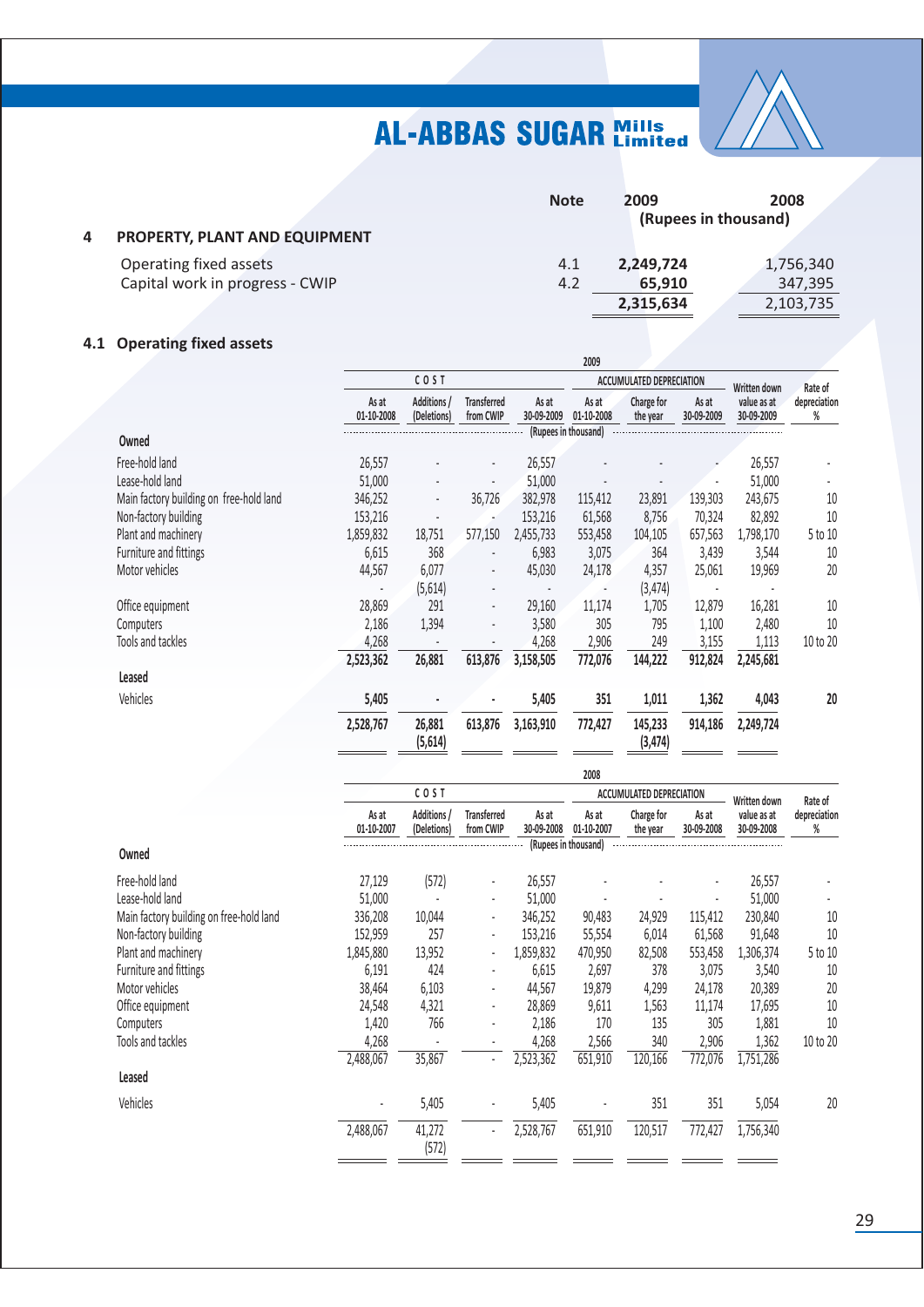

| 4 | PROPERTY, PLANT AND EQUIPMENT   | <b>Note</b> | 2009<br>(Rupees in thousand) | 2008      |
|---|---------------------------------|-------------|------------------------------|-----------|
|   | Operating fixed assets          | 4.1         | 2,249,724                    | 1,756,340 |
|   | Capital work in progress - CWIP | 4.2         | 65,910                       | 347,395   |
|   |                                 |             | 2,315,634                    | 2,103,735 |
|   |                                 |             |                              |           |

### 4.1 Operating fixed assets

|                                         |                     |                            |                                            |                     | <b>LUUJ</b>          |                          |                     |                                           |                              |
|-----------------------------------------|---------------------|----------------------------|--------------------------------------------|---------------------|----------------------|--------------------------|---------------------|-------------------------------------------|------------------------------|
|                                         |                     | COST                       |                                            |                     |                      | ACCUMULATED DEPRECIATION |                     | Written down                              | Rate of                      |
|                                         | As at<br>01-10-2008 | Additions /<br>(Deletions) | <b>Transferred</b><br>from CWIP            | As at<br>30-09-2009 | As at<br>01-10-2008  | Charge for<br>the year   | As at<br>30-09-2009 | value as at<br>30-09-2009                 | depreciation<br>%            |
| Owned                                   |                     |                            |                                            |                     | (Rupees in thousand) |                          |                     |                                           |                              |
| Free-hold land<br>Lease-hold land       | 26,557<br>51,000    |                            |                                            | 26,557<br>51,000    |                      |                          |                     | 26,557<br>51,000                          |                              |
| Main factory building on free-hold land | 346,252             |                            | 36,726                                     | 382,978             | 115,412              | 23,891                   | 139,303             | 243,675                                   | 10                           |
| Non-factory building                    | 153,216             | $\overline{a}$             |                                            | 153,216             | 61,568               | 8,756                    | 70,324              | 82,892                                    | 10                           |
| Plant and machinery                     | 1,859,832           | 18,751                     | 577,150                                    | 2,455,733           | 553,458              | 104,105                  | 657,563             | 1,798,170                                 | 5 to 10                      |
| Furniture and fittings                  | 6,615               | 368                        |                                            | 6,983               | 3,075                | 364                      | 3,439               | 3,544                                     | 10                           |
| Motor vehicles                          | 44,567              | 6,077                      |                                            | 45,030              | 24,178               | 4,357                    | 25,061              | 19,969                                    | 20                           |
|                                         |                     | (5,614)                    |                                            |                     |                      | (3, 474)                 |                     |                                           |                              |
| Office equipment                        | 28,869              | 291                        | $\overline{a}$                             | 29,160              | 11,174               | 1,705                    | 12,879              | 16,281                                    | 10                           |
| Computers                               | 2,186               | 1,394                      |                                            | 3,580               | 305                  | 795                      | 1,100               | 2,480                                     | 10                           |
| Tools and tackles                       | 4,268               | $\overline{\phantom{a}}$   |                                            | 4,268               | 2,906                | 249                      | 3,155               | 1,113                                     | 10 to 20                     |
|                                         | 2,523,362           | 26,881                     | 613,876                                    | 3,158,505           | 772,076              | 144,222                  | 912,824             | 2,245,681                                 |                              |
| Leased                                  |                     |                            |                                            |                     |                      |                          |                     |                                           |                              |
| Vehicles                                | 5,405               | ÷,                         |                                            | 5,405               | 351                  | 1,011                    | 1,362               | 4,043                                     | 20                           |
|                                         | 2,528,767           | 26,881<br>(5,614)          | 613,876                                    | 3,163,910           | 772,427              | 145,233<br>(3, 474)      | 914,186             | 2,249,724                                 |                              |
|                                         |                     |                            |                                            |                     | 2008                 |                          |                     |                                           |                              |
|                                         |                     | COST                       |                                            |                     |                      | ACCUMULATED DEPRECIATION |                     |                                           |                              |
|                                         | As at<br>01-10-2007 | Additions /<br>(Deletions) | <b>Transferred</b><br>from CWIP            | As at<br>30-09-2008 | As at<br>01-10-2007  | Charge for<br>the year   | As at<br>30-09-2008 | Written down<br>value as at<br>30-09-2008 | Rate of<br>depreciation<br>% |
| Owned                                   |                     |                            |                                            |                     | (Rupees in thousand) |                          |                     |                                           |                              |
|                                         |                     |                            |                                            |                     |                      |                          |                     |                                           |                              |
| Free-hold land                          | 27,129              | (572)                      | $\overline{a}$                             | 26,557              |                      |                          |                     | 26,557                                    |                              |
| Lease-hold land                         | 51,000              | $\overline{a}$             |                                            | 51,000              |                      |                          |                     | 51,000                                    |                              |
| Main factory building on free-hold land | 336,208             | 10,044                     |                                            | 346,252             | 90,483               | 24,929                   | 115,412             | 230,840                                   | 10                           |
| Non-factory building                    | 152,959             | 257                        | $\overline{a}$                             | 153,216             | 55,554               | 6,014                    | 61,568              | 91,648                                    | 10                           |
| Plant and machinery                     | 1,845,880           | 13,952                     |                                            | 1,859,832           | 470,950              | 82,508                   | 553,458             | 1,306,374                                 | 5 to 10                      |
| Furniture and fittings                  | 6,191               | 424                        |                                            | 6,615               | 2,697                | 378                      | 3,075               | 3,540                                     | 10                           |
| Motor vehicles                          | 38,464              | 6,103                      | $\overline{\phantom{a}}$                   | 44,567              | 19,879               | 4,299                    | 24,178              | 20,389                                    | 20                           |
| Office equipment                        | 24,548              | 4,321                      | $\overline{a}$                             | 28,869              | 9,611                | 1,563                    | 11,174              | 17,695                                    | 10                           |
| Computers                               | 1,420               | 766                        | l,                                         | 2,186               | 170                  | 135                      | 305                 | 1,881                                     | 10                           |
| Tools and tackles                       | 4.268<br>2,488,067  | $\overline{a}$<br>35,867   | $\overline{\phantom{a}}$<br>$\overline{a}$ | 4,268               | 2,566<br>651,910     | 340<br>120,166           | 2,906<br>772,076    | 1,362<br>1,751,286                        | 10 to 20                     |
| Leased                                  |                     |                            |                                            | 2,523,362           |                      |                          |                     |                                           |                              |
|                                         |                     |                            |                                            |                     |                      |                          |                     |                                           |                              |
| Vehicles                                |                     | 5,405                      |                                            | 5,405               |                      | 351                      | 351                 | 5,054                                     | 20                           |
|                                         | 2,488,067           | 41,272<br>(572)            |                                            | 2,528,767           | 651,910              | 120,517                  | 772,427             | 1,756,340                                 |                              |
|                                         |                     |                            |                                            |                     |                      |                          |                     |                                           |                              |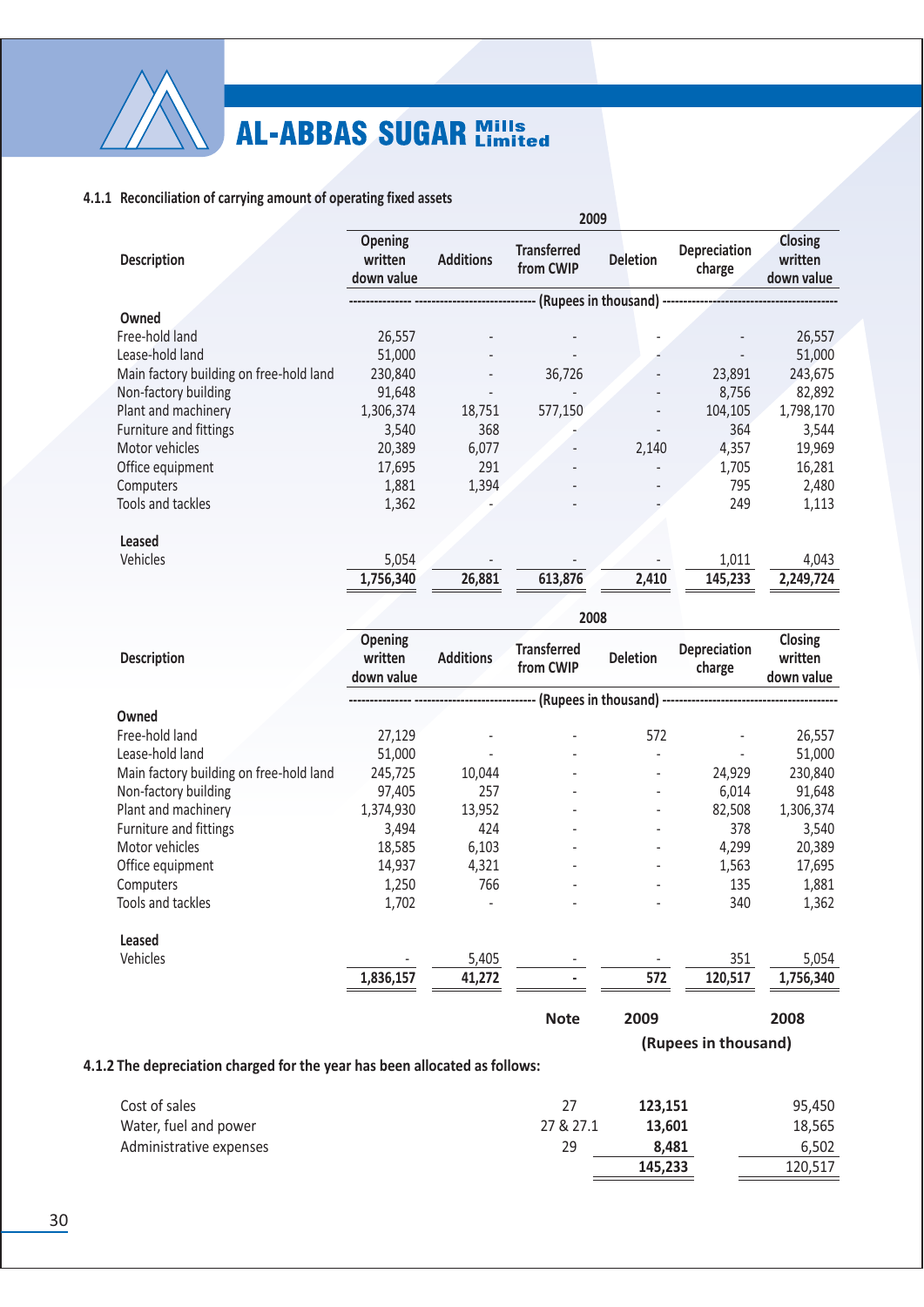

### 4.1.1 Reconciliation of carrying amount of operating fixed assets

|                                         |                                         |                  | 2009                            |                 |                                                  |                                         |
|-----------------------------------------|-----------------------------------------|------------------|---------------------------------|-----------------|--------------------------------------------------|-----------------------------------------|
| <b>Description</b>                      | <b>Opening</b><br>written<br>down value | <b>Additions</b> | <b>Transferred</b><br>from CWIP | <b>Deletion</b> | Depreciation<br>charge                           | <b>Closing</b><br>written<br>down value |
|                                         |                                         |                  |                                 |                 | - (Rupees in thousand) ------------------------- |                                         |
| Owned                                   |                                         |                  |                                 |                 |                                                  |                                         |
| Free-hold land                          | 26,557                                  |                  |                                 |                 |                                                  | 26,557                                  |
| Lease-hold land                         | 51,000                                  |                  |                                 |                 |                                                  | 51,000                                  |
| Main factory building on free-hold land | 230,840                                 |                  | 36,726                          |                 | 23,891                                           | 243,675                                 |
| Non-factory building                    | 91,648                                  |                  |                                 |                 | 8,756                                            | 82,892                                  |
| Plant and machinery                     | 1,306,374                               | 18,751           | 577,150                         |                 | 104,105                                          | 1,798,170                               |
| <b>Furniture and fittings</b>           | 3,540                                   | 368              |                                 |                 | 364                                              | 3,544                                   |
| Motor vehicles                          | 20,389                                  | 6,077            |                                 | 2,140           | 4,357                                            | 19,969                                  |
| Office equipment                        | 17,695                                  | 291              |                                 |                 | 1,705                                            | 16,281                                  |
| Computers                               | 1,881                                   | 1,394            |                                 |                 | 795                                              | 2,480                                   |
| <b>Tools and tackles</b>                | 1,362                                   |                  |                                 |                 | 249                                              | 1,113                                   |
| Leased                                  |                                         |                  |                                 |                 |                                                  |                                         |
| Vehicles                                | 5,054                                   |                  |                                 |                 | 1,011                                            | 4,043                                   |
|                                         | 1,756,340                               | 26,881           | 613,876                         | 2,410           | 145,233                                          | 2,249,724                               |
|                                         |                                         |                  |                                 |                 |                                                  |                                         |

| <b>Description</b>                      |                                  |                  | 2008                            |                 |                                                    |                                  |
|-----------------------------------------|----------------------------------|------------------|---------------------------------|-----------------|----------------------------------------------------|----------------------------------|
|                                         | Opening<br>written<br>down value | <b>Additions</b> | <b>Transferred</b><br>from CWIP | <b>Deletion</b> | Depreciation<br>charge                             | Closing<br>written<br>down value |
|                                         |                                  |                  |                                 |                 | -- (Rupees in thousand) -------------------------- |                                  |
| Owned                                   |                                  |                  |                                 |                 |                                                    |                                  |
| Free-hold land                          | 27,129                           |                  |                                 | 572             |                                                    | 26,557                           |
| Lease-hold land                         | 51,000                           |                  |                                 |                 |                                                    | 51,000                           |
| Main factory building on free-hold land | 245,725                          | 10,044           |                                 |                 | 24,929                                             | 230,840                          |
| Non-factory building                    | 97,405                           | 257              |                                 |                 | 6,014                                              | 91,648                           |
| Plant and machinery                     | 1,374,930                        | 13,952           |                                 |                 | 82,508                                             | 1,306,374                        |
| Furniture and fittings                  | 3,494                            | 424              |                                 |                 | 378                                                | 3,540                            |
| Motor vehicles                          | 18,585                           | 6,103            |                                 |                 | 4,299                                              | 20,389                           |
| Office equipment                        | 14,937                           | 4,321            | $\overline{\phantom{a}}$        |                 | 1,563                                              | 17,695                           |
| Computers                               | 1,250                            | 766              |                                 |                 | 135                                                | 1,881                            |
| Tools and tackles                       | 1,702                            |                  |                                 |                 | 340                                                | 1,362                            |
| Leased                                  |                                  |                  |                                 |                 |                                                    |                                  |
| Vehicles                                |                                  | 5,405            |                                 |                 | 351                                                | 5,054                            |
|                                         | 1,836,157                        | 41,272           |                                 | 572             | 120,517                                            | 1,756,340                        |
|                                         |                                  |                  | <b>Note</b>                     | 2009            |                                                    | 2008                             |

(Rupees in thousand)

### 4.1.2 The depreciation charged for the year has been allocated as follows:

| Cost of sales           |           | 123.151 | 95.450  |
|-------------------------|-----------|---------|---------|
| Water, fuel and power   | 27 & 27.1 | 13.601  | 18,565  |
| Administrative expenses | 29        | 8.481   | 6.502   |
|                         |           | 145,233 | 120.517 |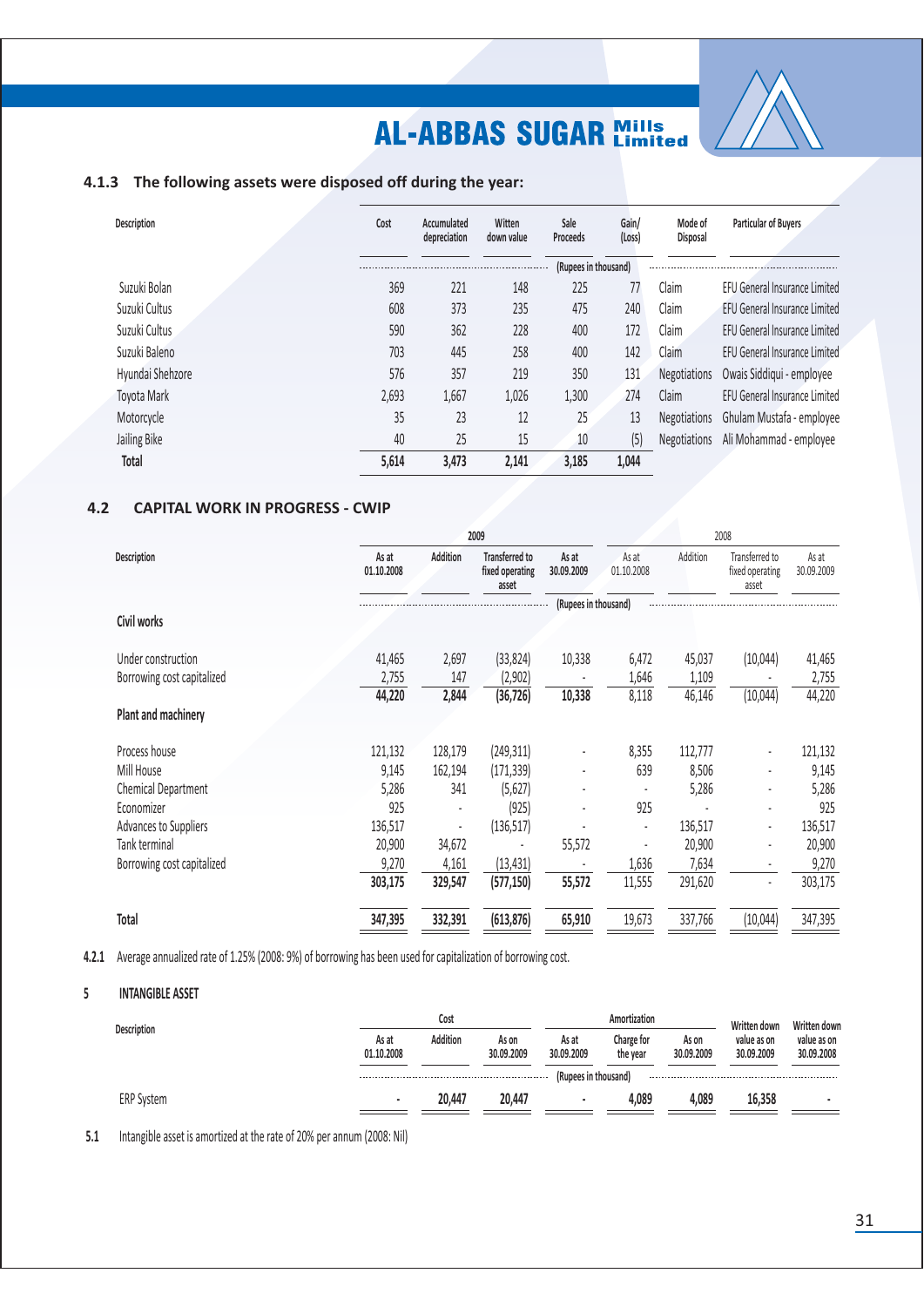

### 4.1.3 The following assets were disposed off during the year:

| <b>Description</b> | Cost  | Accumulated<br>depreciation | Witten<br>down value | Sale<br>Proceeds     | Gain/<br>(Loss) | Mode of<br><b>Disposal</b> | Particular of Buyers                 |
|--------------------|-------|-----------------------------|----------------------|----------------------|-----------------|----------------------------|--------------------------------------|
|                    |       |                             |                      | (Rupees in thousand) |                 |                            |                                      |
| Suzuki Bolan       | 369   | 221                         | 148                  | 225                  | 77              | Claim                      | <b>FFU General Insurance Limited</b> |
| Suzuki Cultus      | 608   | 373                         | 235                  | 475                  | 240             | Claim                      | <b>EFU General Insurance Limited</b> |
| Suzuki Cultus      | 590   | 362                         | 228                  | 400                  | 172             | Claim                      | EFU General Insurance Limited        |
| Suzuki Baleno      | 703   | 445                         | 258                  | 400                  | 142             | Claim                      | EFU General Insurance Limited        |
| Hyundai Shehzore   | 576   | 357                         | 219                  | 350                  | 131             | <b>Negotiations</b>        | Owais Siddiqui - employee            |
| Toyota Mark        | 2,693 | 1,667                       | 1,026                | 1,300                | 274             | Claim                      | <b>EFU General Insurance Limited</b> |
| Motorcycle         | 35    | 23                          | 12                   | 25                   | 13              | <b>Negotiations</b>        | Ghulam Mustafa - employee            |
| Jailing Bike       | 40    | 25                          | 15                   | 10                   | (5)             | <b>Negotiations</b>        | Ali Mohammad - employee              |
| Total              | 5,614 | 3,473                       | 2.141                | 3,185                | 1,044           |                            |                                      |

#### $4.2$ **CAPITAL WORK IN PROGRESS - CWIP**

| As at<br>01.10.2008 | <b>Addition</b> | <b>Transferred to</b><br>fixed operating<br>asset | As at<br>30.09.2009 | As at<br>01.10.2008 | Addition                      | Transferred to<br>fixed operating<br>asset | As at<br>30.09.2009 |
|---------------------|-----------------|---------------------------------------------------|---------------------|---------------------|-------------------------------|--------------------------------------------|---------------------|
|                     |                 |                                                   |                     |                     |                               |                                            |                     |
|                     |                 |                                                   |                     |                     |                               |                                            |                     |
|                     |                 |                                                   |                     |                     |                               |                                            | 41,465              |
| 2,755               | 147             | (2,902)                                           |                     | 1,646               | 1,109                         |                                            | 2,755               |
| 44,220              | 2,844           | (36, 726)                                         | 10,338              | 8,118               | 46,146                        | (10, 044)                                  | 44,220              |
|                     |                 |                                                   |                     |                     |                               |                                            |                     |
| 121,132             | 128,179         | (249, 311)                                        | ۰                   | 8,355               | 112,777                       |                                            | 121,132             |
| 9,145               | 162,194         | (171, 339)                                        |                     | 639                 | 8,506                         | ٠                                          | 9,145               |
| 5,286               | 341             | (5,627)                                           |                     |                     | 5,286                         |                                            | 5,286               |
| 925                 |                 | (925)                                             |                     | 925                 |                               |                                            | 925                 |
| 136,517             |                 | (136, 517)                                        |                     |                     | 136,517                       |                                            | 136,517             |
| 20,900              | 34,672          |                                                   | 55,572              |                     | 20,900                        | ٠                                          | 20,900              |
| 9,270               | 4,161           | (13, 431)                                         |                     | 1,636               | 7,634                         |                                            | 9,270               |
| 303,175             | 329,547         | (577, 150)                                        | 55,572              | 11,555              | 291,620                       | $\overline{a}$                             | 303,175             |
| 347,395             | 332,391         | (613, 876)                                        | 65,910              | 19,673              | 337,766                       | (10,044)                                   | 347,395             |
|                     | 41,465          | 2,697                                             | 2009<br>(33, 824)   | 10,338              | (Rupees in thousand)<br>6,472 | 45,037                                     | 2008<br>(10,044)    |

4.2.1 Average annualized rate of 1.25% (2008: 9%) of borrowing has been used for capitalization of borrowing cost.

#### **INTANGIBLE ASSET**  $5\phantom{a}$

| <b>Description</b> |                     | Cost     |                     |                      | Amortization           |                     | Written down              | Written down              |
|--------------------|---------------------|----------|---------------------|----------------------|------------------------|---------------------|---------------------------|---------------------------|
|                    | As at<br>01.10.2008 | Addition | As on<br>30.09.2009 | As at<br>30.09.2009  | Charge for<br>the year | As on<br>30.09.2009 | value as on<br>30.09.2009 | value as on<br>30.09.2008 |
|                    |                     |          |                     | (Rupees in thousand) |                        |                     |                           |                           |
| <b>ERP System</b>  | $\blacksquare$      | 20.447   | 20.447              |                      | 4.089                  | 4.089               | 16.358                    |                           |

5.1 Intangible asset is amortized at the rate of 20% per annum (2008: Nil)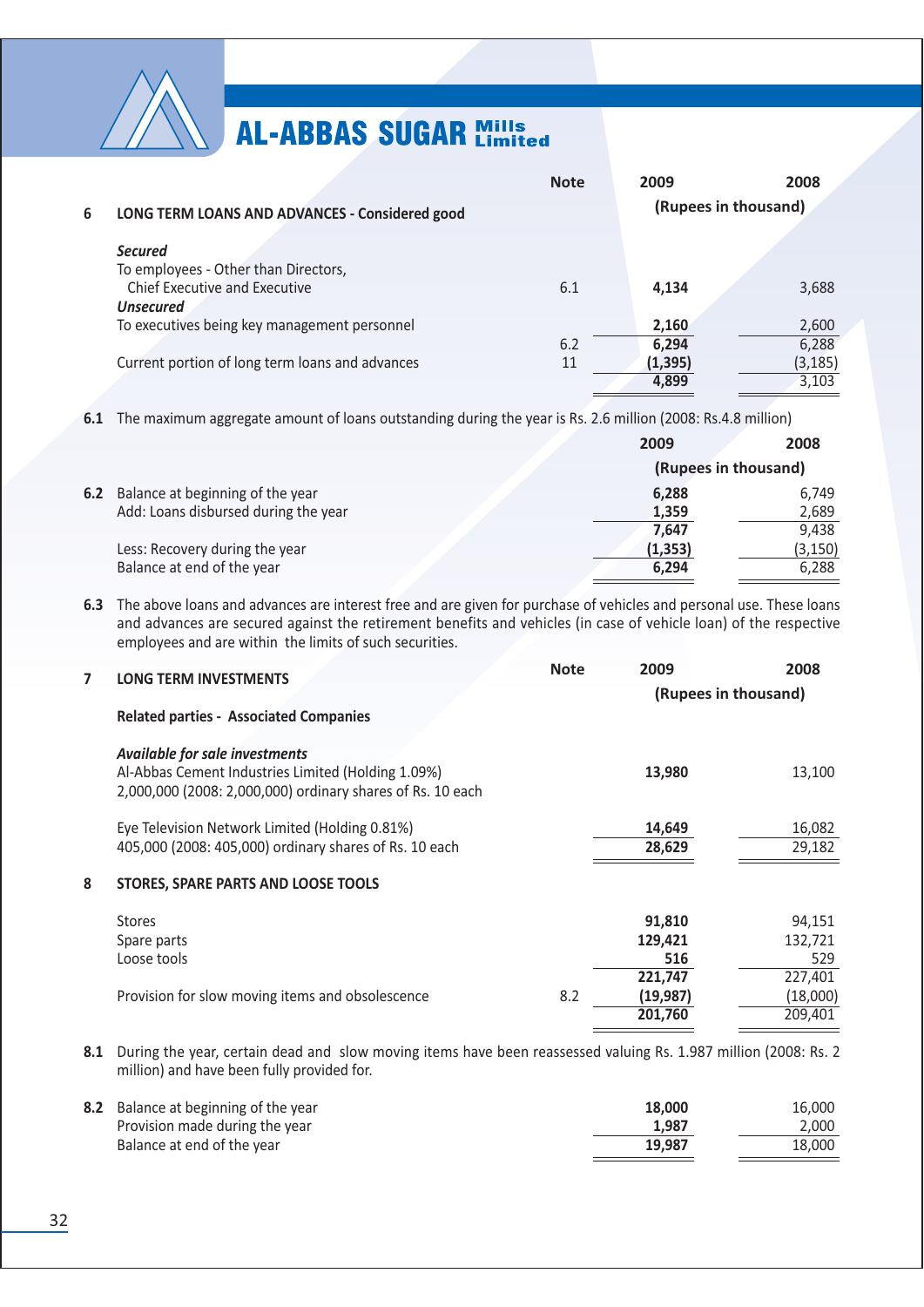

|   |                                                 | <b>Note</b> | 2009                 | 2008     |
|---|-------------------------------------------------|-------------|----------------------|----------|
| 6 | LONG TERM LOANS AND ADVANCES - Considered good  |             | (Rupees in thousand) |          |
|   | <b>Secured</b>                                  |             |                      |          |
|   | To employees - Other than Directors,            |             |                      |          |
|   | <b>Chief Executive and Executive</b>            | 6.1         | 4.134                | 3,688    |
|   | <b>Unsecured</b>                                |             |                      |          |
|   | To executives being key management personnel    |             | 2,160                | 2,600    |
|   |                                                 | 6.2         | 6,294                | 6,288    |
|   | Current portion of long term loans and advances | 11          | (1, 395)             | (3, 185) |
|   |                                                 |             | 4.899                | 3,103    |
|   |                                                 |             |                      |          |

6.1 The maximum aggregate amount of loans outstanding during the year is Rs. 2.6 million (2008: Rs.4.8 million)

|                                      | 2009     | 2008                 |
|--------------------------------------|----------|----------------------|
|                                      |          | (Rupees in thousand) |
| 6.2 Balance at beginning of the year | 6,288    | 6,749                |
| Add: Loans disbursed during the year | 1,359    | 2,689                |
|                                      | 7.647    | 9.438                |
| Less: Recovery during the year       | (1, 353) | (3, 150)             |
| Balance at end of the year           | 6,294    | 6.288                |

6.3 The above loans and advances are interest free and are given for purchase of vehicles and personal use. These loans and advances are secured against the retirement benefits and vehicles (in case of vehicle loan) of the respective employees and are within the limits of such securities.

| 7 | <b>LONG TERM INVESTMENTS</b>                                                                                                                              | <b>Note</b> | 2009<br>(Rupees in thousand)    | 2008                           |
|---|-----------------------------------------------------------------------------------------------------------------------------------------------------------|-------------|---------------------------------|--------------------------------|
|   | <b>Related parties - Associated Companies</b>                                                                                                             |             |                                 |                                |
|   | <b>Available for sale investments</b><br>Al-Abbas Cement Industries Limited (Holding 1.09%)<br>2,000,000 (2008: 2,000,000) ordinary shares of Rs. 10 each |             | 13,980                          | 13,100                         |
|   | Eye Television Network Limited (Holding 0.81%)<br>405,000 (2008: 405,000) ordinary shares of Rs. 10 each                                                  |             | 14,649<br>28,629                | 16,082<br>29,182               |
| 8 | STORES, SPARE PARTS AND LOOSE TOOLS                                                                                                                       |             |                                 |                                |
|   | <b>Stores</b><br>Spare parts<br>Loose tools                                                                                                               |             | 91,810<br>129,421<br>516        | 94,151<br>132,721<br>529       |
|   | Provision for slow moving items and obsolescence                                                                                                          | 8.2         | 221,747<br>(19, 987)<br>201,760 | 227,401<br>(18,000)<br>209,401 |

8.1 During the year, certain dead and slow moving items have been reassessed valuing Rs. 1.987 million (2008: Rs. 2 million) and have been fully provided for.

| 8.2 Balance at beginning of the year | 18.000 | 16.000 |
|--------------------------------------|--------|--------|
| Provision made during the year       | 1.987  | 2.000  |
| Balance at end of the year           | 19.987 | 18.000 |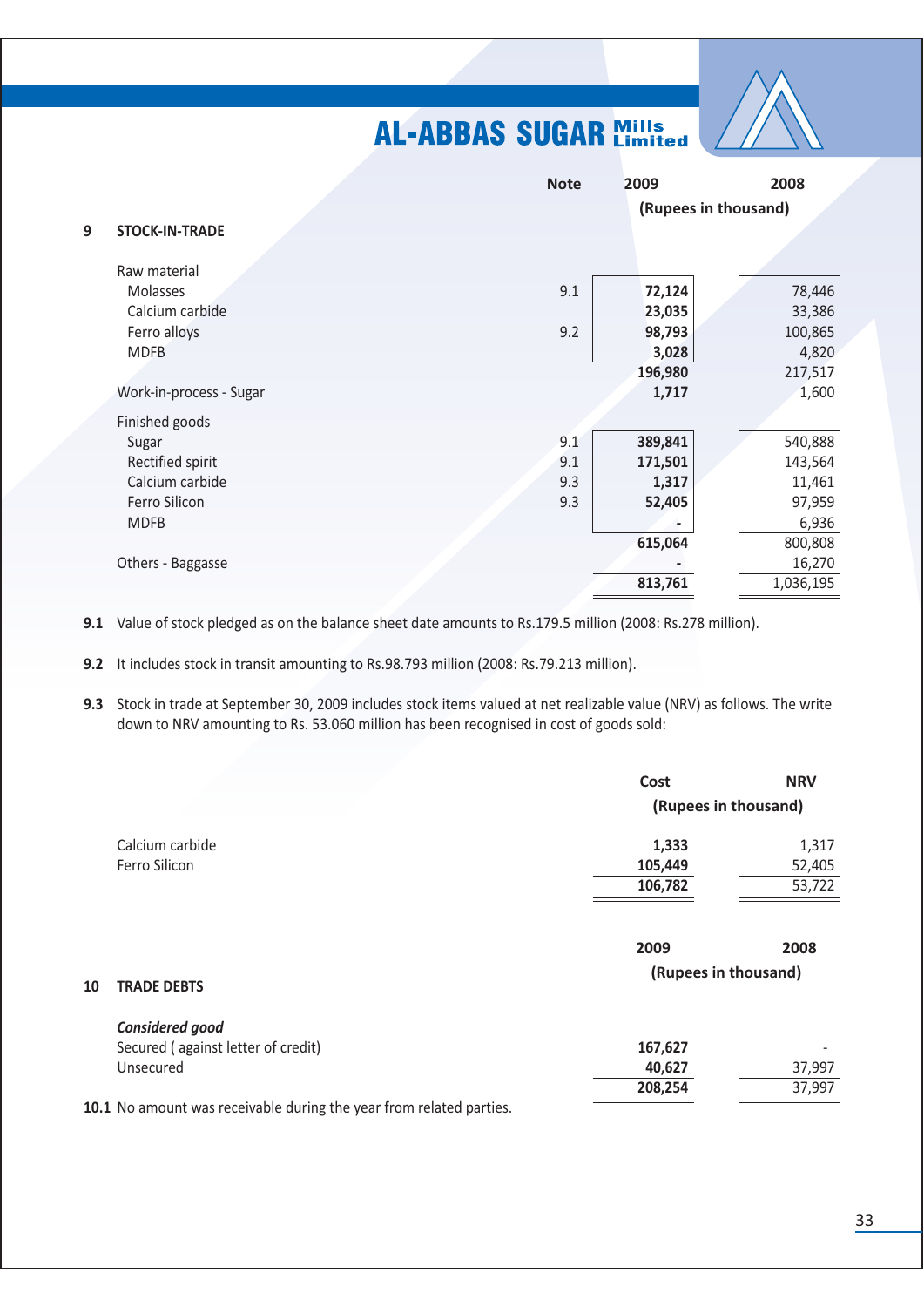

|   |                         | <b>Note</b> | 2009    | 2008                 |
|---|-------------------------|-------------|---------|----------------------|
|   |                         |             |         | (Rupees in thousand) |
| 9 | <b>STOCK-IN-TRADE</b>   |             |         |                      |
|   |                         |             |         |                      |
|   | Raw material            |             |         |                      |
|   | Molasses                | 9.1         | 72,124  | 78,446               |
|   | Calcium carbide         |             | 23,035  | 33,386               |
|   | Ferro alloys            | 9.2         | 98,793  | 100,865              |
|   | <b>MDFB</b>             |             | 3,028   | 4,820                |
|   |                         |             | 196,980 | 217,517              |
|   | Work-in-process - Sugar |             | 1,717   | 1,600                |
|   | Finished goods          |             |         |                      |
|   | Sugar                   | 9.1         | 389,841 | 540,888              |
|   | Rectified spirit        | 9.1         | 171,501 | 143,564              |
|   | Calcium carbide         | 9.3         | 1,317   | 11,461               |
|   | Ferro Silicon           | 9.3         | 52,405  | 97,959               |
|   | <b>MDFB</b>             |             |         | 6,936                |
|   |                         |             | 615,064 | 800,808              |
|   | Others - Baggasse       |             |         | 16,270               |
|   |                         |             | 813,761 | 1,036,195            |

9.1 Value of stock pledged as on the balance sheet date amounts to Rs.179.5 million (2008: Rs.278 million).

9.2 It includes stock in transit amounting to Rs.98.793 million (2008: Rs.79.213 million).

9.3 Stock in trade at September 30, 2009 includes stock items valued at net realizable value (NRV) as follows. The write down to NRV amounting to Rs. 53.060 million has been recognised in cost of goods sold:

|    |                                                                     | Cost                         | <b>NRV</b> |
|----|---------------------------------------------------------------------|------------------------------|------------|
|    |                                                                     | (Rupees in thousand)         |            |
|    | Calcium carbide                                                     | 1,333                        | 1,317      |
|    | Ferro Silicon                                                       | 105,449                      | 52,405     |
|    |                                                                     | 106,782                      | 53,722     |
| 10 | <b>TRADE DEBTS</b>                                                  | 2009<br>(Rupees in thousand) | 2008       |
|    |                                                                     |                              |            |
|    | Considered good                                                     |                              |            |
|    | Secured (against letter of credit)                                  | 167,627                      |            |
|    | Unsecured                                                           | 40,627                       | 37,997     |
|    |                                                                     | 208,254                      | 37,997     |
|    | 10.1 No amount was receivable during the year from related parties. |                              |            |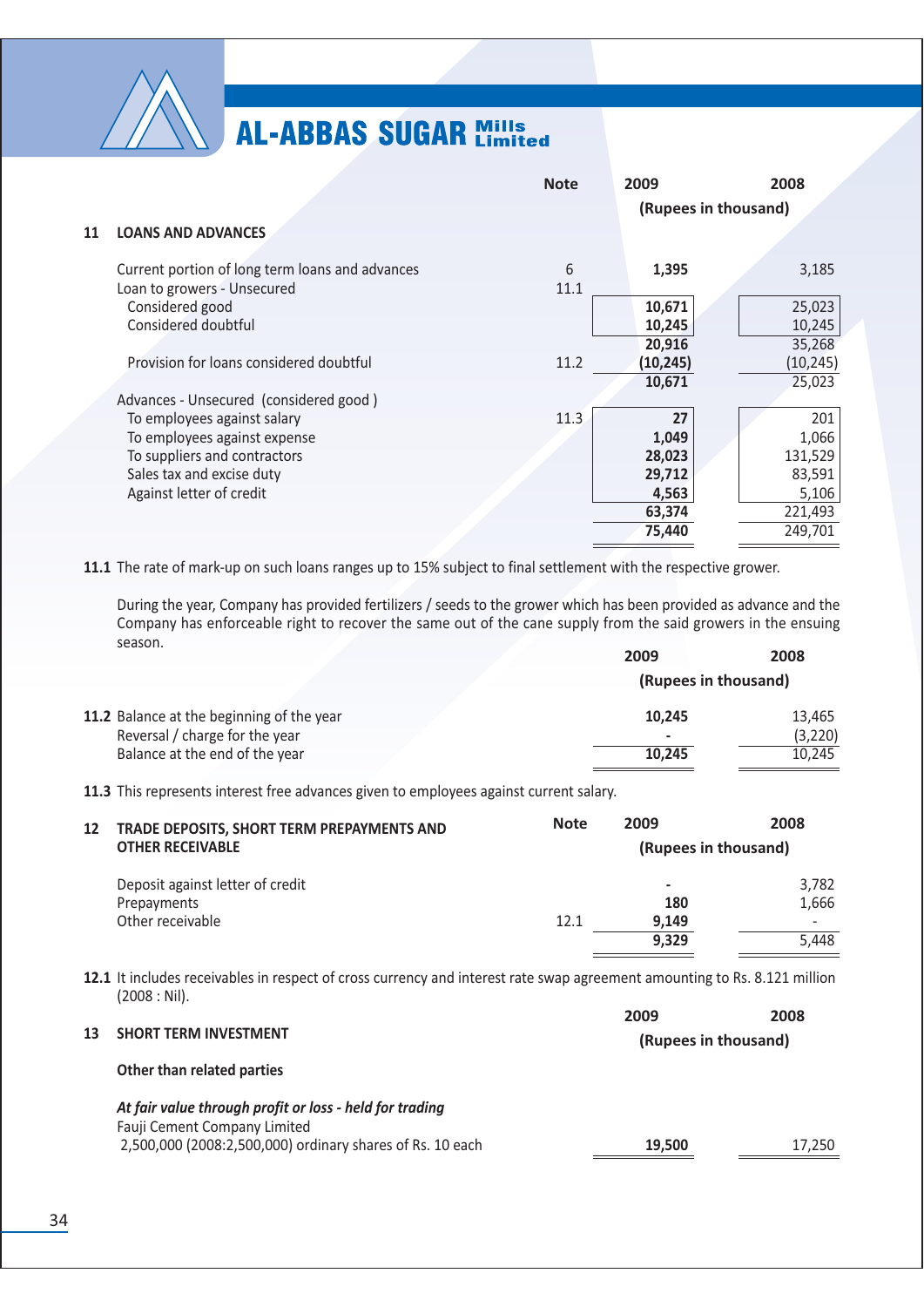

|    |                                                                                                                                                      | <b>Note</b> | 2009<br>(Rupees in thousand)                                 | 2008                                                             |
|----|------------------------------------------------------------------------------------------------------------------------------------------------------|-------------|--------------------------------------------------------------|------------------------------------------------------------------|
| 11 | <b>LOANS AND ADVANCES</b>                                                                                                                            |             |                                                              |                                                                  |
|    | Current portion of long term loans and advances<br>Loan to growers - Unsecured                                                                       | 6<br>11.1   | 1,395                                                        | 3,185                                                            |
|    | Considered good<br>Considered doubtful                                                                                                               |             | 10,671<br>10,245<br>20,916                                   | 25,023<br>10,245<br>35,268                                       |
|    | Provision for loans considered doubtful                                                                                                              | 11.2        | (10, 245)<br>10,671                                          | (10, 245)<br>25,023                                              |
|    | Advances - Unsecured (considered good)                                                                                                               |             |                                                              |                                                                  |
|    | To employees against salary<br>To employees against expense<br>To suppliers and contractors<br>Sales tax and excise duty<br>Against letter of credit | 11.3        | 27<br>1,049<br>28,023<br>29,712<br>4,563<br>63,374<br>75,440 | 201<br>1,066<br>131,529<br>83,591<br>5,106<br>221,493<br>249,701 |
|    |                                                                                                                                                      |             |                                                              |                                                                  |

11.1 The rate of mark-up on such loans ranges up to 15% subject to final settlement with the respective grower.

During the year, Company has provided fertilizers / seeds to the grower which has been provided as advance and the Company has enforceable right to recover the same out of the cane supply from the said growers in the ensuing season. 2009 2008

|                                           |        | (Rupees in thousand) |
|-------------------------------------------|--------|----------------------|
| 11.2 Balance at the beginning of the year | 10.245 | 13.465               |
| Reversal / charge for the year            |        | (3,220)              |
| Balance at the end of the year            | 10.245 | 10.245               |
|                                           |        |                      |

11.3 This represents interest free advances given to employees against current salary.

| 12 | TRADE DEPOSITS, SHORT TERM PREPAYMENTS AND | <b>Note</b> | 2009                 | 2008                     |
|----|--------------------------------------------|-------------|----------------------|--------------------------|
|    | <b>OTHER RECEIVABLE</b>                    |             | (Rupees in thousand) |                          |
|    | Deposit against letter of credit           |             | $\,$                 | 3,782                    |
|    | Prepayments                                |             | 180                  | 1,666                    |
|    | Other receivable                           | 12.1        | 9.149                | $\overline{\phantom{0}}$ |
|    |                                            |             | 9,329                | 5.448                    |
|    |                                            |             |                      |                          |

12.1 It includes receivables in respect of cross currency and interest rate swap agreement amounting to Rs. 8.121 million  $(2008: Nil).$  $\overline{a}$ 

|    |                                                                                         | 2009                 | 2008   |
|----|-----------------------------------------------------------------------------------------|----------------------|--------|
| 13 | <b>SHORT TERM INVESTMENT</b>                                                            | (Rupees in thousand) |        |
|    | Other than related parties                                                              |                      |        |
|    | At fair value through profit or loss - held for trading<br>Fauji Cement Company Limited |                      |        |
|    | 2,500,000 (2008:2,500,000) ordinary shares of Rs. 10 each                               | 19,500               | 17.250 |
|    |                                                                                         |                      |        |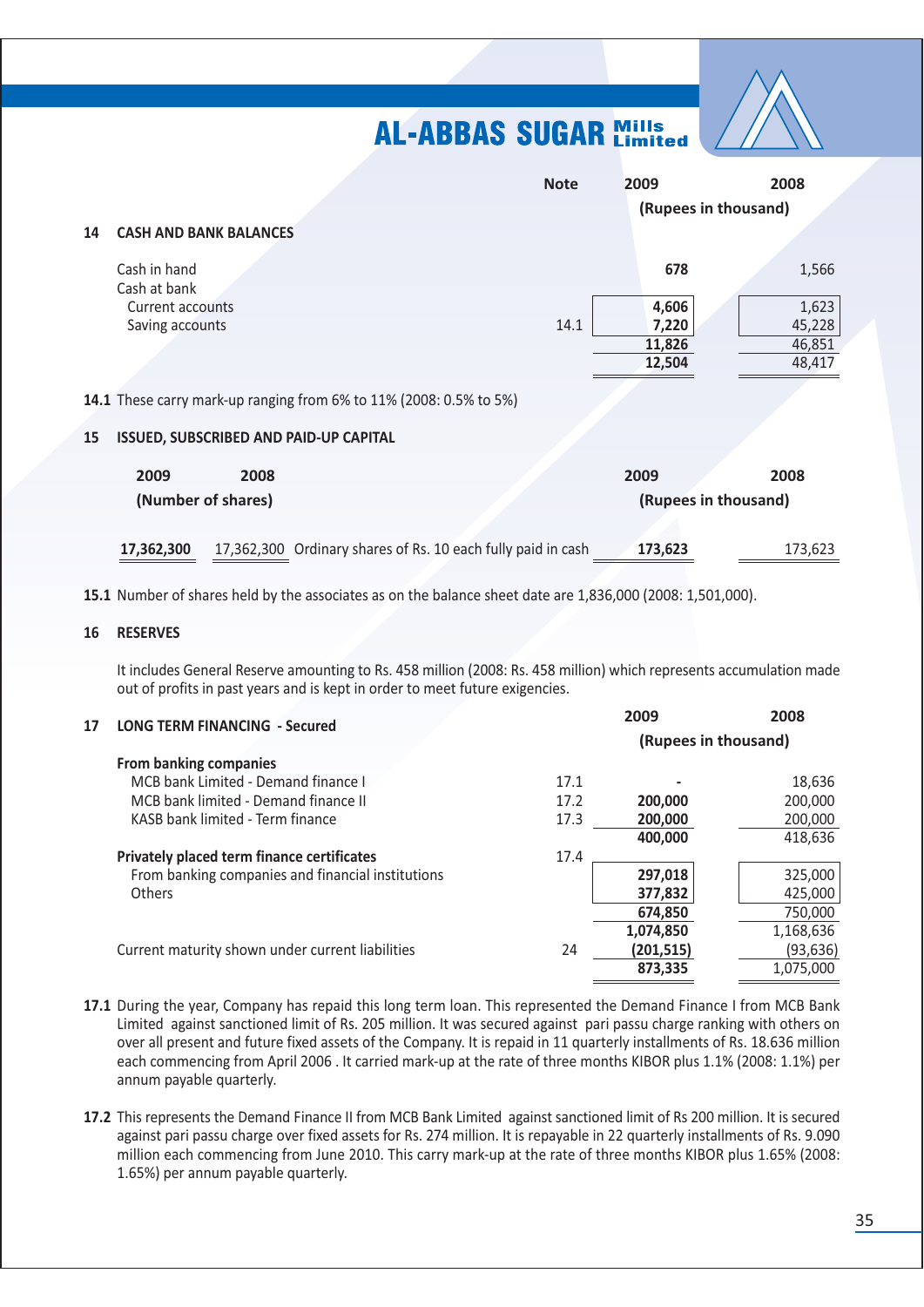

|    |                                                                            | <b>Note</b> | 2009                 | 2008    |
|----|----------------------------------------------------------------------------|-------------|----------------------|---------|
|    |                                                                            |             | (Rupees in thousand) |         |
| 14 | <b>CASH AND BANK BALANCES</b>                                              |             |                      |         |
|    | Cash in hand<br>Cash at bank                                               |             | 678                  | 1,566   |
|    | <b>Current accounts</b>                                                    |             | 4,606                | 1,623   |
|    | Saving accounts                                                            | 14.1        | 7,220                | 45,228  |
|    |                                                                            |             | 11,826               | 46,851  |
|    |                                                                            |             | 12,504               | 48,417  |
|    | <b>14.1</b> These carry mark-up ranging from 6% to 11% (2008: 0.5% to 5%)  |             |                      |         |
| 15 | ISSUED, SUBSCRIBED AND PAID-UP CAPITAL                                     |             |                      |         |
|    | 2009<br>2008                                                               |             | 2009                 | 2008    |
|    | (Number of shares)                                                         |             | (Rupees in thousand) |         |
|    |                                                                            |             |                      |         |
|    | 17,362,300 Ordinary shares of Rs. 10 each fully paid in cash<br>17,362,300 |             | 173,623              | 173,623 |

15.1 Number of shares held by the associates as on the balance sheet date are 1,836,000 (2008: 1,501,000).

#### 16 RESERVES

It includes General Reserve amounting to Rs. 458 million (2008: Rs. 458 million) which represents accumulation made out of profits in past years and is kept in order to meet future exigencies.

| 17 | <b>LONG TERM FINANCING - Secured</b>              |      | 2009                 | 2008      |
|----|---------------------------------------------------|------|----------------------|-----------|
|    |                                                   |      | (Rupees in thousand) |           |
|    | <b>From banking companies</b>                     |      |                      |           |
|    | MCB bank Limited - Demand finance I               | 17.1 |                      | 18,636    |
|    | MCB bank limited - Demand finance II              | 17.2 | 200,000              | 200,000   |
|    | KASB bank limited - Term finance                  | 17.3 | 200,000              | 200,000   |
|    |                                                   |      | 400,000              | 418,636   |
|    | <b>Privately placed term finance certificates</b> | 17.4 |                      |           |
|    | From banking companies and financial institutions |      | 297,018              | 325,000   |
|    | <b>Others</b>                                     |      | 377,832              | 425,000   |
|    |                                                   |      | 674.850              | 750,000   |
|    |                                                   |      | 1,074,850            | 1,168,636 |
|    | Current maturity shown under current liabilities  | 24   | (201, 515)           | (93, 636) |
|    |                                                   |      | 873,335              | 1,075,000 |
|    |                                                   |      |                      |           |

- 17.1 During the year, Company has repaid this long term loan. This represented the Demand Finance I from MCB Bank Limited against sanctioned limit of Rs. 205 million. It was secured against pari passu charge ranking with others on over all present and future fixed assets of the Company. It is repaid in 11 quarterly installments of Rs. 18.636 million each commencing from April 2006. It carried mark-up at the rate of three months KIBOR plus 1.1% (2008: 1.1%) per annum payable quarterly.
- 17.2 This represents the Demand Finance II from MCB Bank Limited against sanctioned limit of Rs 200 million. It is secured against pari passu charge over fixed assets for Rs. 274 million. It is repayable in 22 quarterly installments of Rs. 9.090 million each commencing from June 2010. This carry mark-up at the rate of three months KIBOR plus 1.65% (2008: 1.65%) per annum payable quarterly.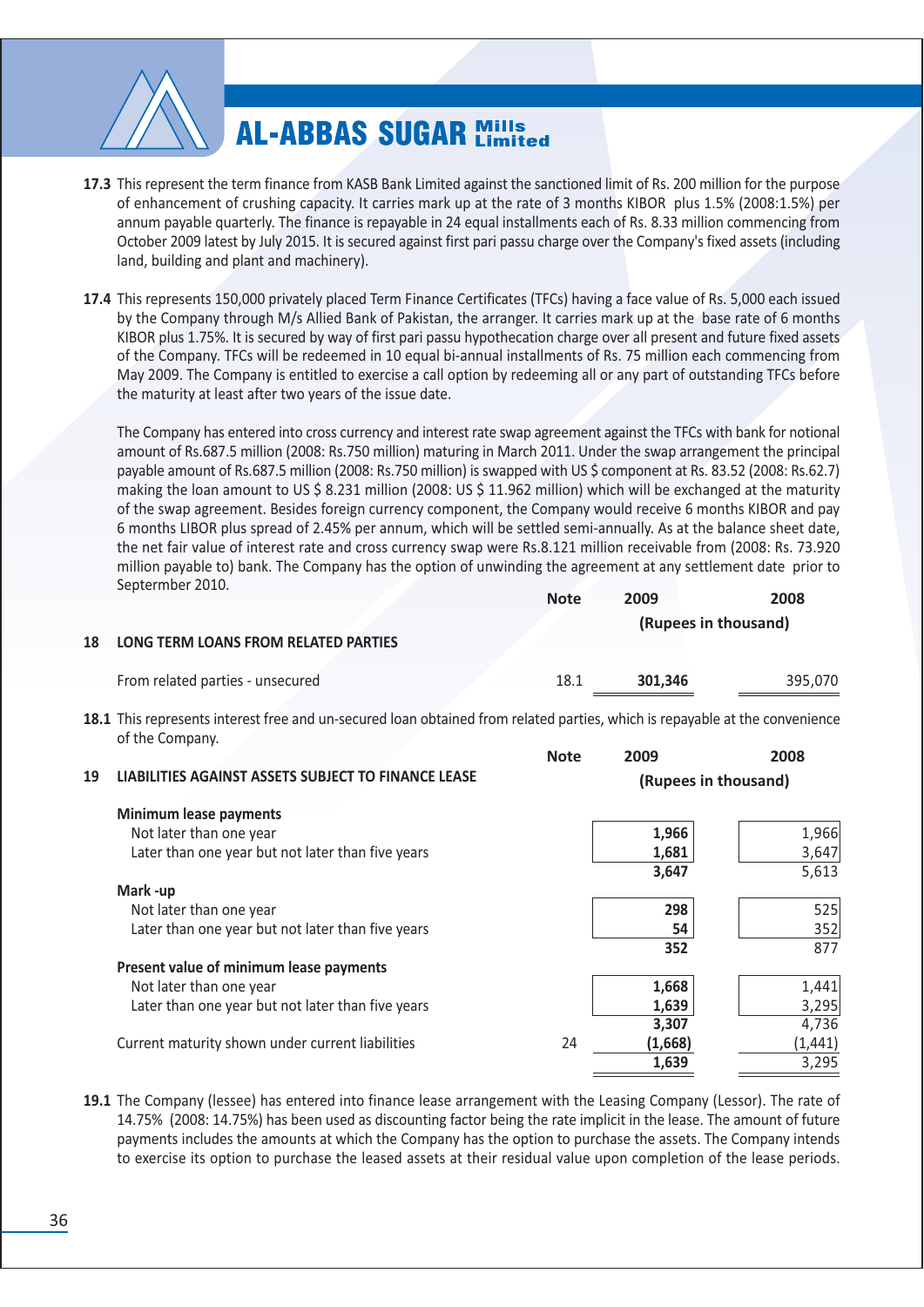

- 17.3 This represent the term finance from KASB Bank Limited against the sanctioned limit of Rs. 200 million for the purpose of enhancement of crushing capacity. It carries mark up at the rate of 3 months KIBOR plus 1.5% (2008:1.5%) per annum payable quarterly. The finance is repayable in 24 equal installments each of Rs. 8.33 million commencing from October 2009 latest by July 2015. It is secured against first pari passu charge over the Company's fixed assets (including land, building and plant and machinery).
- 17.4 This represents 150,000 privately placed Term Finance Certificates (TFCs) having a face value of Rs. 5,000 each issued by the Company through M/s Allied Bank of Pakistan, the arranger. It carries mark up at the base rate of 6 months KIBOR plus 1.75%. It is secured by way of first pari passu hypothecation charge over all present and future fixed assets of the Company. TFCs will be redeemed in 10 equal bi-annual installments of Rs. 75 million each commencing from May 2009. The Company is entitled to exercise a call option by redeeming all or any part of outstanding TFCs before the maturity at least after two years of the issue date.

The Company has entered into cross currency and interest rate swap agreement against the TFCs with bank for notional amount of Rs.687.5 million (2008: Rs.750 million) maturing in March 2011. Under the swap arrangement the principal payable amount of Rs.687.5 million (2008: Rs.750 million) is swapped with US \$ component at Rs. 83.52 (2008: Rs.62.7) making the loan amount to US \$ 8.231 million (2008: US \$ 11.962 million) which will be exchanged at the maturity of the swap agreement. Besides foreign currency component, the Company would receive 6 months KIBOR and pay 6 months LIBOR plus spread of 2.45% per annum, which will be settled semi-annually. As at the balance sheet date, the net fair value of interest rate and cross currency swap were Rs.8.121 million receivable from (2008: Rs. 73.920 million payable to) bank. The Company has the option of unwinding the agreement at any settlement date prior to Septermber 2010.

|                                         | <b>Note</b> | 2009    | 2008                 |
|-----------------------------------------|-------------|---------|----------------------|
|                                         |             |         | (Rupees in thousand) |
| 18 LONG TERM LOANS FROM RELATED PARTIES |             |         |                      |
| From related parties - unsecured        | 18.1        | 301.346 | 395.070              |

18.1 This represents interest free and un-secured loan obtained from related parties, which is repayable at the convenience of the Company.  $2000$  $2008$ 

 $N<sub>of</sub>$ 

|    |                                                     | IVULE | zuuj                 | LUUU     |
|----|-----------------------------------------------------|-------|----------------------|----------|
| 19 | LIABILITIES AGAINST ASSETS SUBJECT TO FINANCE LEASE |       | (Rupees in thousand) |          |
|    | <b>Minimum lease payments</b>                       |       |                      |          |
|    | Not later than one year                             |       | 1,966                | 1,966    |
|    | Later than one year but not later than five years   |       | 1,681                | 3,647    |
|    |                                                     |       | 3,647                | 5,613    |
|    | Mark-up                                             |       |                      |          |
|    | Not later than one year                             |       | 298                  | 525      |
|    | Later than one year but not later than five years   |       | 54                   | 352      |
|    |                                                     |       | 352                  | 877      |
|    | Present value of minimum lease payments             |       |                      |          |
|    | Not later than one year                             |       | 1,668                | 1,441    |
|    | Later than one year but not later than five years   |       | 1,639                | 3,295    |
|    |                                                     |       | 3,307                | 4,736    |
|    | Current maturity shown under current liabilities    | 24    | (1,668)              | (1, 441) |
|    |                                                     |       | 1,639                | 3,295    |
|    |                                                     |       |                      |          |

19.1 The Company (lessee) has entered into finance lease arrangement with the Leasing Company (Lessor). The rate of 14.75% (2008: 14.75%) has been used as discounting factor being the rate implicit in the lease. The amount of future payments includes the amounts at which the Company has the option to purchase the assets. The Company intends to exercise its option to purchase the leased assets at their residual value upon completion of the lease periods.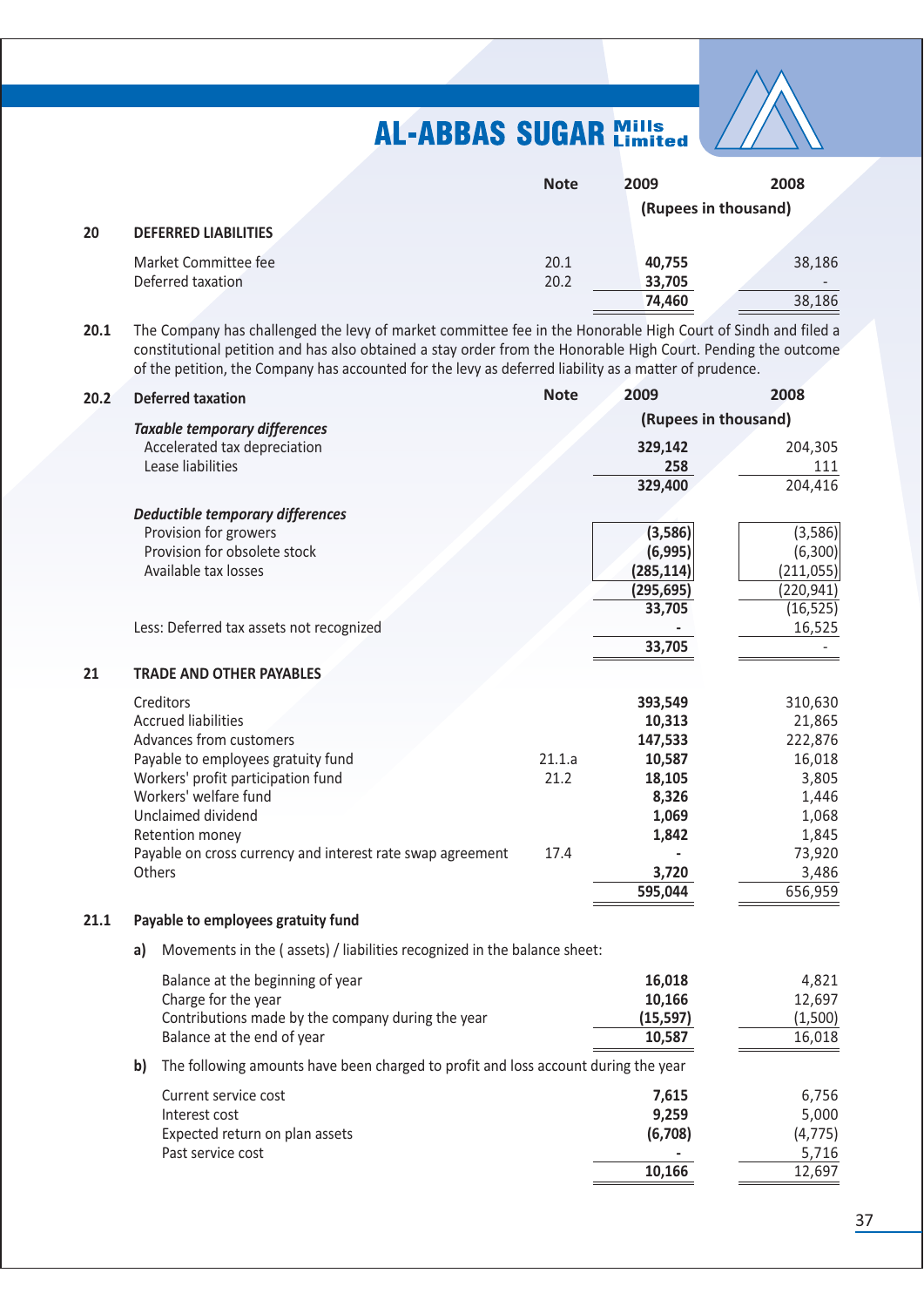

|    |                             | <b>Note</b> | 2009   | 2008<br>(Rupees in thousand) |
|----|-----------------------------|-------------|--------|------------------------------|
| 20 | <b>DEFERRED LIABILITIES</b> |             |        |                              |
|    | Market Committee fee        | 20.1        | 40,755 | 38,186                       |
|    | Deferred taxation           | 20.2        | 33,705 |                              |
|    |                             |             | 74,460 | 38,186                       |

The Company has challenged the levy of market committee fee in the Honorable High Court of Sindh and filed a  $20.1$ constitutional petition and has also obtained a stay order from the Honorable High Court. Pending the outcome of the petition, the Company has accounted for the levy as deferred liability as a matter of prudence.

| 20.2 |                                                                          | <b>Deferred taxation</b>                                                           | <b>Note</b> | 2009                 | 2008       |  |
|------|--------------------------------------------------------------------------|------------------------------------------------------------------------------------|-------------|----------------------|------------|--|
|      |                                                                          | <b>Taxable temporary differences</b>                                               |             | (Rupees in thousand) |            |  |
|      |                                                                          | Accelerated tax depreciation                                                       |             | 329,142              | 204,305    |  |
|      |                                                                          | Lease liabilities                                                                  |             | 258                  | 111        |  |
|      |                                                                          |                                                                                    |             | 329,400              | 204,416    |  |
|      |                                                                          |                                                                                    |             |                      |            |  |
|      |                                                                          | <b>Deductible temporary differences</b>                                            |             |                      |            |  |
|      |                                                                          | Provision for growers                                                              |             | (3,586)              | (3,586)    |  |
|      |                                                                          | Provision for obsolete stock                                                       |             | (6,995)              | (6,300)    |  |
|      |                                                                          | Available tax losses                                                               |             | (285, 114)           | (211,055)  |  |
|      |                                                                          |                                                                                    |             | (295, 695)           | (220, 941) |  |
|      |                                                                          |                                                                                    |             | 33,705               | (16, 525)  |  |
|      |                                                                          | Less: Deferred tax assets not recognized                                           |             |                      | 16,525     |  |
|      |                                                                          |                                                                                    |             | 33,705               |            |  |
| 21   |                                                                          | <b>TRADE AND OTHER PAYABLES</b>                                                    |             |                      |            |  |
|      |                                                                          | Creditors                                                                          |             | 393,549              | 310,630    |  |
|      |                                                                          | <b>Accrued liabilities</b>                                                         |             | 10,313               | 21,865     |  |
|      |                                                                          | Advances from customers                                                            |             | 147,533              | 222,876    |  |
|      |                                                                          | Payable to employees gratuity fund                                                 | 21.1.a      | 10,587               | 16,018     |  |
|      |                                                                          | Workers' profit participation fund                                                 | 21.2        | 18,105               | 3,805      |  |
|      |                                                                          | Workers' welfare fund                                                              |             | 8,326                | 1,446      |  |
|      |                                                                          | Unclaimed dividend                                                                 |             | 1,069                | 1,068      |  |
|      |                                                                          | Retention money                                                                    |             | 1,842                | 1,845      |  |
|      |                                                                          | Payable on cross currency and interest rate swap agreement                         | 17.4        |                      | 73,920     |  |
|      |                                                                          | Others                                                                             |             | 3,720                | 3,486      |  |
|      |                                                                          |                                                                                    |             | 595,044              | 656,959    |  |
| 21.1 |                                                                          | Payable to employees gratuity fund                                                 |             |                      |            |  |
|      | Movements in the (assets) / liabilities recognized in the balance sheet: |                                                                                    |             |                      |            |  |
|      | a)                                                                       |                                                                                    |             |                      |            |  |
|      |                                                                          | Balance at the beginning of year                                                   |             | 16,018               | 4,821      |  |
|      |                                                                          | Charge for the year                                                                |             | 10,166               | 12,697     |  |
|      |                                                                          | Contributions made by the company during the year                                  |             | (15, 597)            | (1,500)    |  |
|      |                                                                          | Balance at the end of year                                                         |             | 10,587               | 16,018     |  |
|      | b)                                                                       | The following amounts have been charged to profit and loss account during the year |             |                      |            |  |
|      |                                                                          | Current service cost                                                               |             | 7,615                | 6,756      |  |
|      |                                                                          | Interest cost                                                                      |             | 9,259                | 5,000      |  |
|      |                                                                          | Expected return on plan assets                                                     |             | (6,708)              | (4, 775)   |  |
|      |                                                                          | Past service cost                                                                  |             |                      | 5,716      |  |
|      |                                                                          |                                                                                    |             | 10,166               | 12,697     |  |
|      |                                                                          |                                                                                    |             |                      |            |  |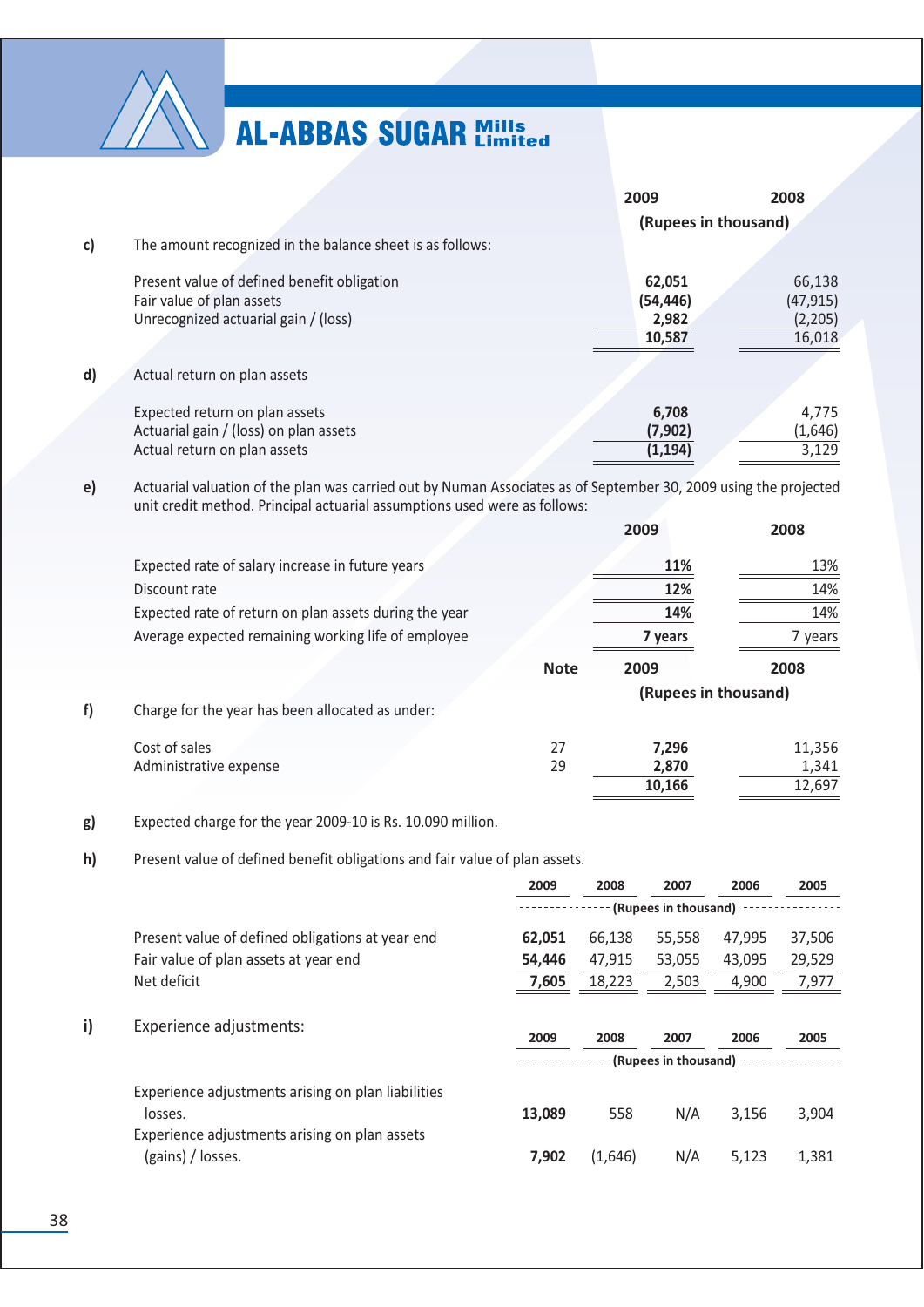

|              |                                                           | 2009                 | 2008      |
|--------------|-----------------------------------------------------------|----------------------|-----------|
|              |                                                           | (Rupees in thousand) |           |
| $\mathbf{c}$ | The amount recognized in the balance sheet is as follows: |                      |           |
|              | Present value of defined benefit obligation               | 62,051               | 66,138    |
|              | Fair value of plan assets                                 | (54, 446)            | (47, 915) |
|              | Unrecognized actuarial gain / (loss)                      | 2,982                | (2,205)   |
|              |                                                           | 10,587               | 16,018    |
| $\mathsf{d}$ | Actual return on plan assets                              |                      |           |
|              | Expected return on plan assets                            | 6,708                | 4,775     |
|              | Actuarial gain / (loss) on plan assets                    | (7,902)              | (1,646)   |
|              | Actual return on plan assets                              | (1, 194)             | 3,129     |

Actuarial valuation of the plan was carried out by Numan Associates as of September 30, 2009 using the projected unit credit method. Principal actuarial assumptions used were as follows:  $e)$ 

 $\overline{a}$  .  $\overline{a}$ 

|                                                        |             | 2009                 | 2008    |
|--------------------------------------------------------|-------------|----------------------|---------|
| Expected rate of salary increase in future years       |             | 11%                  | 13%     |
| Discount rate                                          |             | 12%                  | 14%     |
| Expected rate of return on plan assets during the year |             | 14%                  | 14%     |
| Average expected remaining working life of employee    |             | 7 years              | 7 years |
|                                                        | <b>Note</b> | 2009                 | 2008    |
| Charge for the year has been allocated as under:       |             | (Rupees in thousand) |         |
| Cost of sales                                          | 27          | 7,296                | 11,356  |
| Administrative expense                                 | 29          | 2,870                | 1,341   |
|                                                        |             | 10,166               | 12,697  |

Expected charge for the year 2009-10 is Rs. 10.090 million. g)

 $h)$ Present value of defined benefit obligations and fair value of plan assets.

|    |                                                                                                                | 2009                 | 2008    | 2007                         | 2006   | 2005   |
|----|----------------------------------------------------------------------------------------------------------------|----------------------|---------|------------------------------|--------|--------|
|    |                                                                                                                | (Rupees in thousand) |         |                              |        |        |
|    | Present value of defined obligations at year end                                                               | 62,051               | 66,138  | 55,558                       | 47,995 | 37,506 |
|    | Fair value of plan assets at year end                                                                          | 54,446               | 47,915  | 53,055                       | 43,095 | 29,529 |
|    | Net deficit                                                                                                    | 7,605                | 18,223  | 2,503                        | 4,900  | 7,977  |
| i) | Experience adjustments:                                                                                        | 2009                 | 2008    | 2007<br>(Rupees in thousand) | 2006   | 2005   |
|    | Experience adjustments arising on plan liabilities<br>losses.<br>Experience adjustments arising on plan assets | 13,089               | 558     | N/A                          | 3,156  | 3,904  |
|    | (gains) / losses.                                                                                              | 7,902                | (1,646) | N/A                          | 5,123  | 1,381  |

 $f$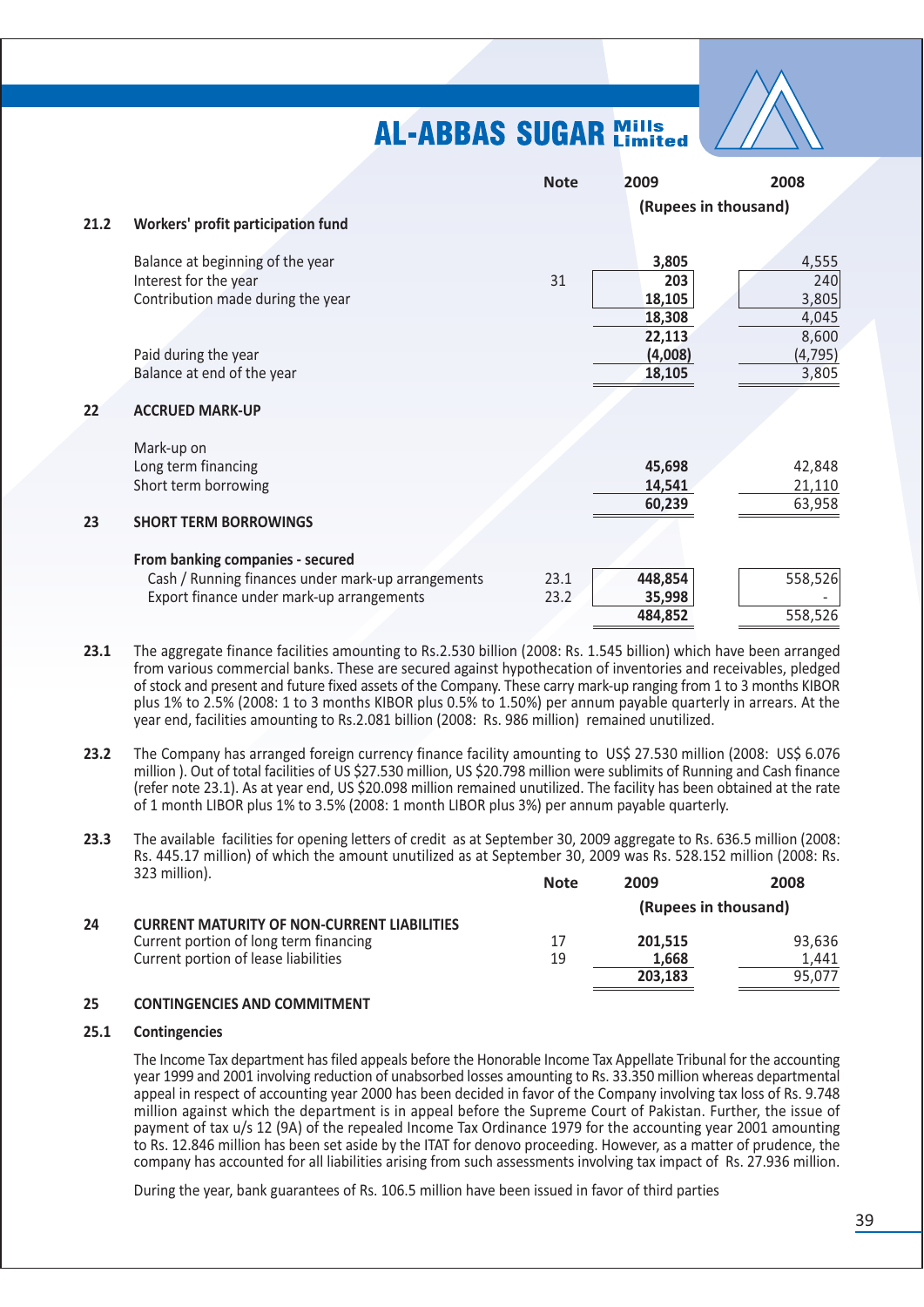

|      |                                                    | <b>Note</b> | 2009                 | 2008     |
|------|----------------------------------------------------|-------------|----------------------|----------|
|      |                                                    |             | (Rupees in thousand) |          |
| 21.2 | Workers' profit participation fund                 |             |                      |          |
|      | Balance at beginning of the year                   |             | 3,805                | 4,555    |
|      | Interest for the year                              | 31          | 203                  | 240      |
|      | Contribution made during the year                  |             | 18,105               | 3,805    |
|      |                                                    |             | 18,308               | 4,045    |
|      |                                                    |             | 22,113               | 8,600    |
|      | Paid during the year                               |             | (4,008)              | (4, 795) |
|      | Balance at end of the year                         |             | 18,105               | 3,805    |
|      |                                                    |             |                      |          |
| 22   | <b>ACCRUED MARK-UP</b>                             |             |                      |          |
|      | Mark-up on                                         |             |                      |          |
|      | Long term financing                                |             | 45,698               | 42,848   |
|      | Short term borrowing                               |             | 14,541               | 21,110   |
|      |                                                    |             | 60,239               | 63,958   |
| 23   | <b>SHORT TERM BORROWINGS</b>                       |             |                      |          |
|      |                                                    |             |                      |          |
|      | From banking companies - secured                   |             |                      |          |
|      | Cash / Running finances under mark-up arrangements | 23.1        | 448,854              | 558,526  |
|      | Export finance under mark-up arrangements          | 23.2        | 35,998               |          |
|      |                                                    |             | 484,852              | 558,526  |

- $23.1$ The aggregate finance facilities amounting to Rs.2.530 billion (2008: Rs. 1.545 billion) which have been arranged from various commercial banks. These are secured against hypothecation of inventories and receivables, pledged of stock and present and future fixed assets of the Company. These carry mark-up ranging from 1 to 3 months KIBOR plus 1% to 2.5% (2008: 1 to 3 months KIBOR plus 0.5% to 1.50%) per annum payable quarterly in arrears. At the year end, facilities amounting to Rs.2.081 billion (2008: Rs. 986 million) remained unutilized.
- $23.2$ The Company has arranged foreign currency finance facility amounting to US\$ 27.530 million (2008: US\$ 6.076 million). Out of total facilities of US \$27.530 million, US \$20.798 million were sublimits of Running and Cash finance (refer note 23.1). As at year end, US \$20.098 million remained unutilized. The facility has been obtained at the rate of 1 month LIBOR plus 1% to 3.5% (2008: 1 month LIBOR plus 3%) per annum payable quarterly.
- The available facilities for opening letters of credit as at September 30, 2009 aggregate to Rs. 636.5 million (2008:  $23.3$ Rs. 445.17 million) of which the amount unutilized as at September 30, 2009 was Rs. 528.152 million (2008: Rs. 323 million).  $\cdots$

|    |                                                    | <b>NOTE</b> | <b>2009</b>          | 2008   |
|----|----------------------------------------------------|-------------|----------------------|--------|
|    |                                                    |             | (Rupees in thousand) |        |
| 24 | <b>CURRENT MATURITY OF NON-CURRENT LIABILITIES</b> |             |                      |        |
|    | Current portion of long term financing             |             | 201.515              | 93.636 |
|    | Current portion of lease liabilities               | 19          | 1,668                | 1.441  |
|    |                                                    |             | 203.183              | 95.077 |
|    |                                                    |             |                      |        |

#### 25 **CONTINGENCIES AND COMMITMENT**

#### $25.1$ **Contingencies**

The Income Tax department has filed appeals before the Honorable Income Tax Appellate Tribunal for the accounting year 1999 and 2001 involving reduction of unabsorbed losses amounting to Rs. 33.350 million whereas departmental appeal in respect of accounting year 2000 has been decided in favor of the Company involving tax loss of Rs. 9.748 million against which the department is in appeal before the Supreme Court of Pakistan. Further, the issue of payment of tax u/s 12 (9A) of the repealed Income Tax Ordinance 1979 for the accounting year 2001 amounting to Rs. 12.846 million has been set aside by the ITAT for denovo proceeding. However, as a matter of prudence, the company has accounted for all liabilities arising from such assessments involving tax impact of Rs. 27.936 million.

During the year, bank guarantees of Rs. 106.5 million have been issued in favor of third parties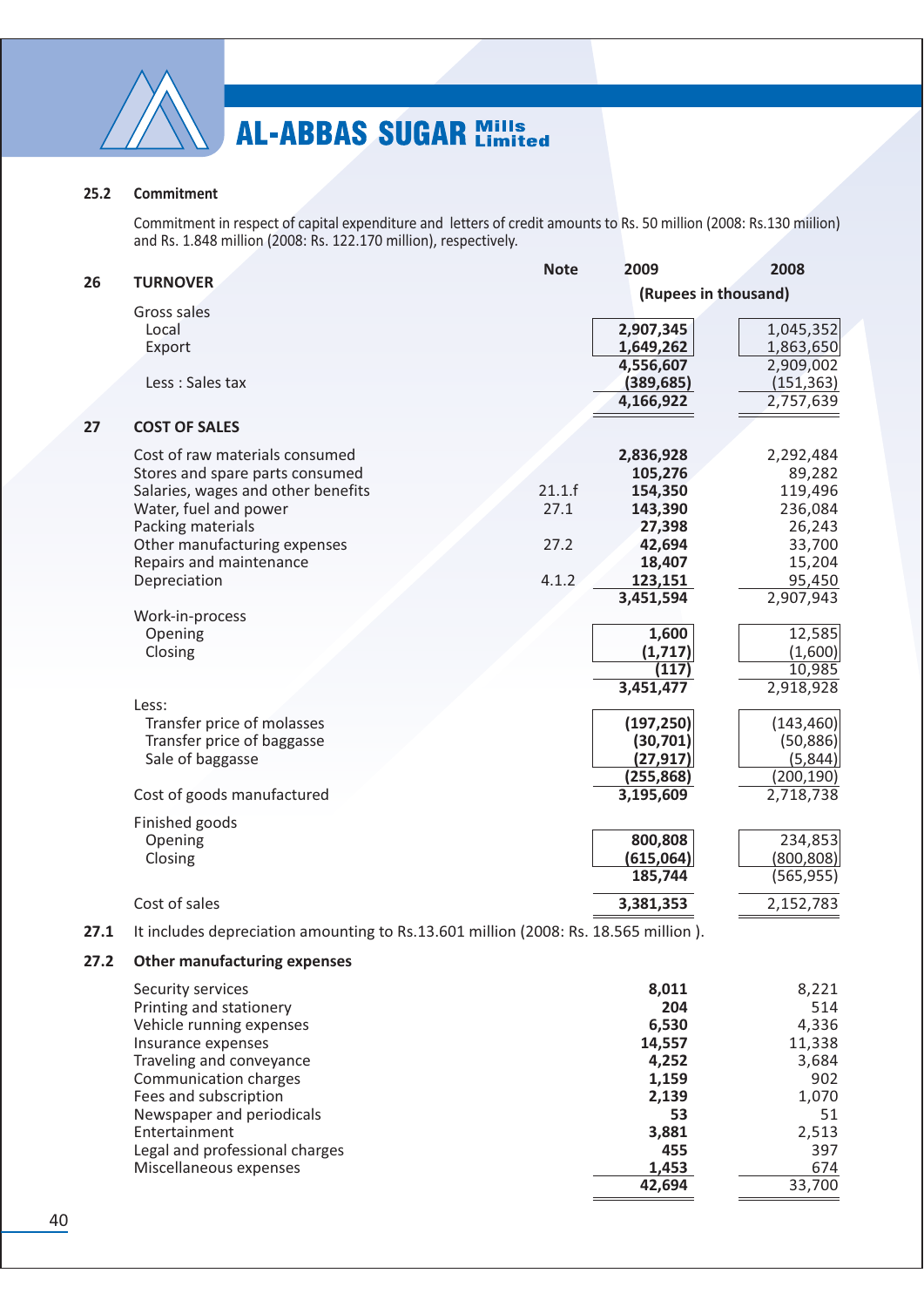

#### $25.2$ Commitment

Commitment in respect of capital expenditure and letters of credit amounts to Rs. 50 million (2008: Rs.130 million) and Rs. 1.848 million (2008: Rs. 122.170 million), respectively.

| 26   | <b>TURNOVER</b>                                                                     | <b>Note</b> | 2009                 | 2008       |
|------|-------------------------------------------------------------------------------------|-------------|----------------------|------------|
|      |                                                                                     |             | (Rupees in thousand) |            |
|      | Gross sales                                                                         |             |                      |            |
|      | Local                                                                               |             | 2,907,345            | 1,045,352  |
|      | Export                                                                              |             | 1,649,262            | 1,863,650  |
|      |                                                                                     |             | 4,556,607            | 2,909,002  |
|      | Less : Sales tax                                                                    |             | (389, 685)           | (151, 363) |
|      |                                                                                     |             | 4,166,922            | 2,757,639  |
| 27   | <b>COST OF SALES</b>                                                                |             |                      |            |
|      | Cost of raw materials consumed                                                      |             | 2,836,928            | 2,292,484  |
|      | Stores and spare parts consumed                                                     |             | 105,276              | 89,282     |
|      | Salaries, wages and other benefits                                                  | 21.1.f      | 154,350              | 119,496    |
|      | Water, fuel and power                                                               | 27.1        | 143,390              | 236,084    |
|      | Packing materials                                                                   |             | 27,398               | 26,243     |
|      | Other manufacturing expenses                                                        | 27.2        | 42,694               | 33,700     |
|      | Repairs and maintenance                                                             |             | 18,407               | 15,204     |
|      | Depreciation                                                                        | 4.1.2       | 123,151              | 95,450     |
|      |                                                                                     |             | 3,451,594            | 2,907,943  |
|      | Work-in-process                                                                     |             |                      |            |
|      | Opening                                                                             |             | 1,600                | 12,585     |
|      | Closing                                                                             |             | (1, 717)             | (1,600)    |
|      |                                                                                     |             | (117)                | 10,985     |
|      | Less:                                                                               |             | 3,451,477            | 2,918,928  |
|      | Transfer price of molasses                                                          |             | (197, 250)           | (143, 460) |
|      | Transfer price of baggasse                                                          |             | (30, 701)            | (50, 886)  |
|      | Sale of baggasse                                                                    |             | (27, 917)            | (5,844)    |
|      |                                                                                     |             | (255, 868)           | (200, 190) |
|      | Cost of goods manufactured                                                          |             | 3,195,609            | 2,718,738  |
|      |                                                                                     |             |                      |            |
|      | Finished goods<br>Opening                                                           |             | 800,808              | 234,853    |
|      | Closing                                                                             |             | (615,064)            | (800, 808) |
|      |                                                                                     |             | 185,744              | (565, 955) |
|      |                                                                                     |             |                      |            |
|      | Cost of sales                                                                       |             | 3,381,353            | 2,152,783  |
| 27.1 | It includes depreciation amounting to Rs.13.601 million (2008: Rs. 18.565 million). |             |                      |            |
| 27.2 | <b>Other manufacturing expenses</b>                                                 |             |                      |            |
|      | Security services                                                                   |             | 8,011                | 8,221      |
|      | Printing and stationery                                                             |             | 204                  | 514        |
|      | Vehicle running expenses                                                            |             | 6,530                | 4,336      |
|      | Insurance expenses                                                                  |             | 14,557               | 11,338     |
|      | Traveling and conveyance                                                            |             | 4,252                | 3,684      |
|      | Communication charges                                                               |             | 1,159                | 902        |
|      | Fees and subscription                                                               |             | 2,139                | 1,070      |
|      | Newspaper and periodicals                                                           |             | 53                   | 51         |
|      | Entertainment                                                                       |             | 3,881                | 2,513      |
|      | Legal and professional charges                                                      |             | 455                  | 397        |
|      | Miscellaneous expenses                                                              |             | 1,453                | 674        |
|      |                                                                                     |             | 42,694               | 33,700     |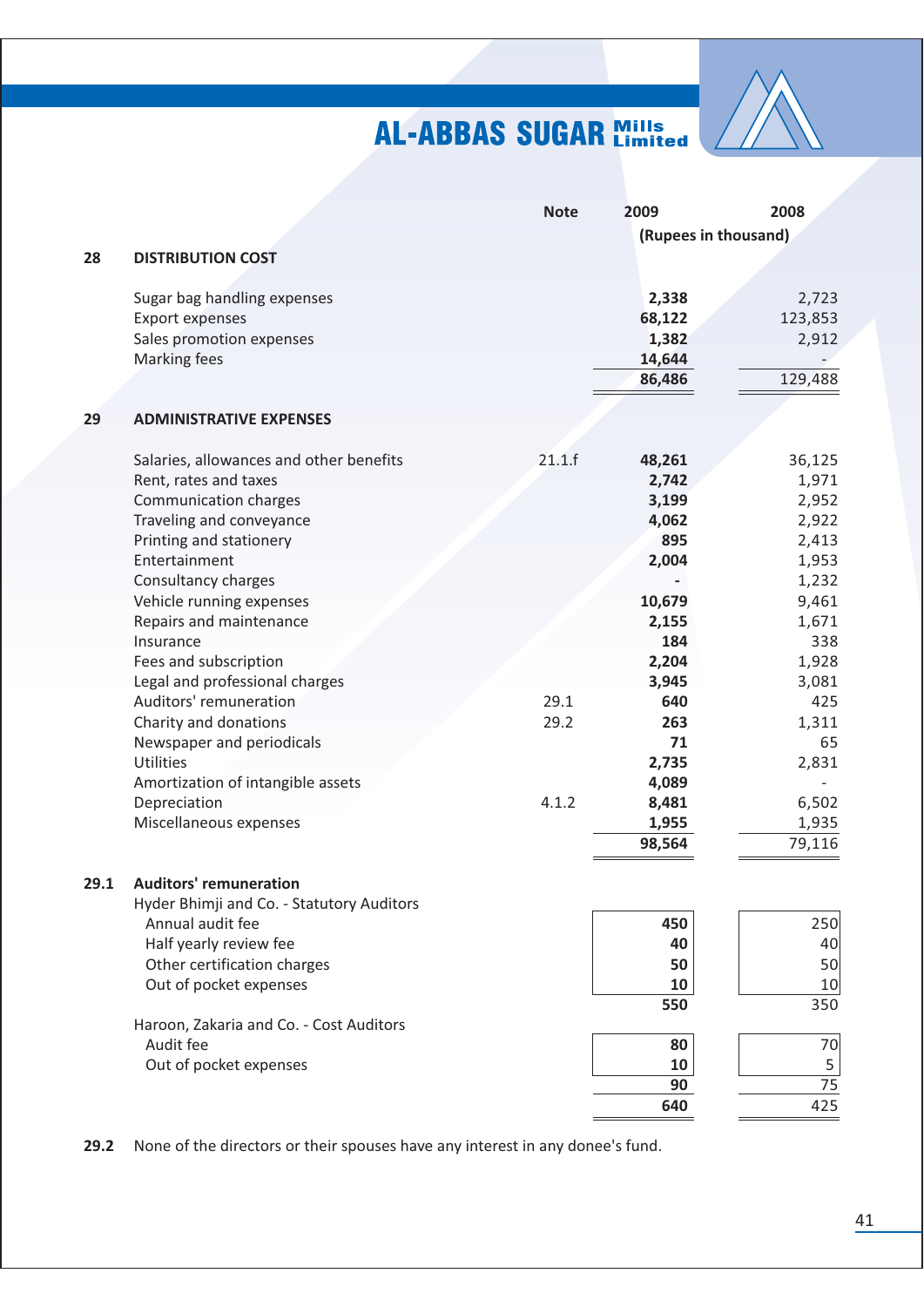

|      |                                           | <b>Note</b> | 2009                 | 2008    |
|------|-------------------------------------------|-------------|----------------------|---------|
|      |                                           |             | (Rupees in thousand) |         |
| 28   | <b>DISTRIBUTION COST</b>                  |             |                      |         |
|      |                                           |             |                      |         |
|      | Sugar bag handling expenses               |             | 2,338                | 2,723   |
|      | <b>Export expenses</b>                    |             | 68,122               | 123,853 |
|      | Sales promotion expenses                  |             | 1,382                | 2,912   |
|      | <b>Marking fees</b>                       |             | 14,644               |         |
|      |                                           |             | 86,486               | 129,488 |
|      |                                           |             |                      |         |
| 29   | <b>ADMINISTRATIVE EXPENSES</b>            |             |                      |         |
|      | Salaries, allowances and other benefits   | 21.1.f      | 48,261               | 36,125  |
|      | Rent, rates and taxes                     |             | 2,742                | 1,971   |
|      | Communication charges                     |             | 3,199                | 2,952   |
|      | Traveling and conveyance                  |             | 4,062                | 2,922   |
|      | Printing and stationery                   |             | 895                  | 2,413   |
|      | Entertainment                             |             | 2,004                | 1,953   |
|      | Consultancy charges                       |             |                      | 1,232   |
|      | Vehicle running expenses                  |             | 10,679               | 9,461   |
|      | Repairs and maintenance                   |             | 2,155                | 1,671   |
|      | Insurance                                 |             | 184                  | 338     |
|      | Fees and subscription                     |             | 2,204                | 1,928   |
|      | Legal and professional charges            |             | 3,945                | 3,081   |
|      | Auditors' remuneration                    | 29.1        | 640                  | 425     |
|      | Charity and donations                     | 29.2        | 263                  | 1,311   |
|      | Newspaper and periodicals                 |             | 71                   | 65      |
|      | <b>Utilities</b>                          |             | 2,735                | 2,831   |
|      | Amortization of intangible assets         |             | 4,089                |         |
|      | Depreciation                              | 4.1.2       | 8,481                | 6,502   |
|      | Miscellaneous expenses                    |             | 1,955                | 1,935   |
|      |                                           |             | 98,564               | 79,116  |
|      |                                           |             |                      |         |
| 29.1 | <b>Auditors' remuneration</b>             |             |                      |         |
|      | Hyder Bhimji and Co. - Statutory Auditors |             |                      |         |
|      | Annual audit fee                          |             | 450                  | 250     |
|      | Half yearly review fee                    |             | 40                   | 40      |
|      | Other certification charges               |             | 50                   | 50      |
|      | Out of pocket expenses                    |             | 10                   | 10      |
|      |                                           |             | 550                  | 350     |
|      | Haroon, Zakaria and Co. - Cost Auditors   |             |                      |         |
|      | Audit fee                                 |             | 80                   | 70      |
|      | Out of pocket expenses                    |             | 10                   | 5       |
|      |                                           |             | 90                   | 75      |
|      |                                           |             | 640                  | 425     |

29.2 None of the directors or their spouses have any interest in any donee's fund.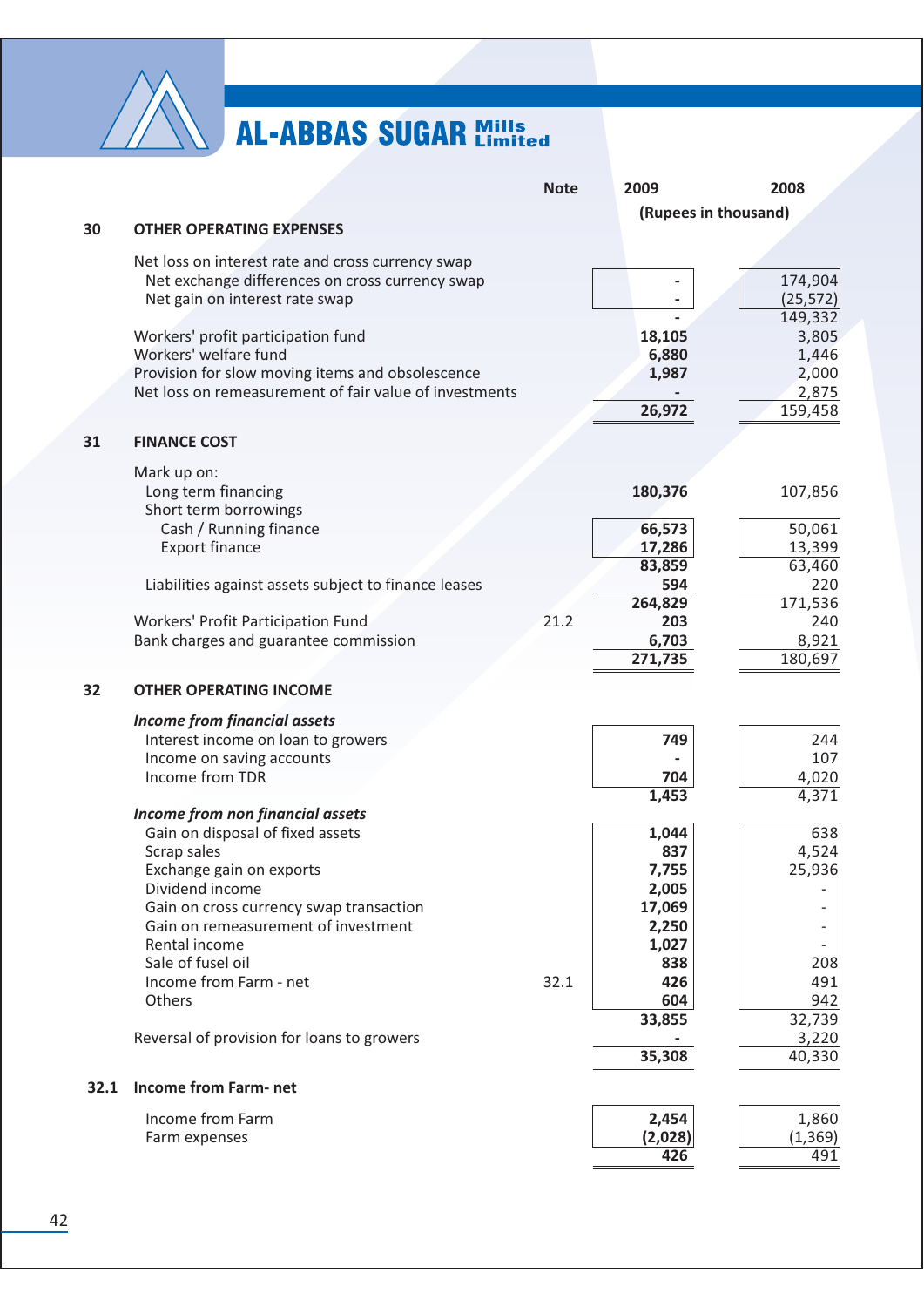

|      |                                                                                                      | <b>Note</b> | 2009 |         | 2008                 |
|------|------------------------------------------------------------------------------------------------------|-------------|------|---------|----------------------|
|      |                                                                                                      |             |      |         | (Rupees in thousand) |
| 30   | <b>OTHER OPERATING EXPENSES</b>                                                                      |             |      |         |                      |
|      |                                                                                                      |             |      |         |                      |
|      | Net loss on interest rate and cross currency swap<br>Net exchange differences on cross currency swap |             |      |         | 174,904              |
|      | Net gain on interest rate swap                                                                       |             |      |         | (25, 572)            |
|      |                                                                                                      |             |      |         | 149,332              |
|      | Workers' profit participation fund                                                                   |             |      | 18,105  | 3,805                |
|      | Workers' welfare fund                                                                                |             |      | 6,880   | 1,446                |
|      | Provision for slow moving items and obsolescence                                                     |             |      | 1,987   | 2,000                |
|      | Net loss on remeasurement of fair value of investments                                               |             |      |         | 2,875                |
|      |                                                                                                      |             |      | 26,972  | 159,458              |
|      |                                                                                                      |             |      |         |                      |
| 31   | <b>FINANCE COST</b>                                                                                  |             |      |         |                      |
|      | Mark up on:                                                                                          |             |      |         |                      |
|      | Long term financing                                                                                  |             |      | 180,376 | 107,856              |
|      | Short term borrowings                                                                                |             |      |         |                      |
|      | Cash / Running finance                                                                               |             |      | 66,573  | 50,061               |
|      | <b>Export finance</b>                                                                                |             |      | 17,286  | 13,399               |
|      |                                                                                                      |             |      | 83,859  | 63,460               |
|      | Liabilities against assets subject to finance leases                                                 |             |      | 594     | 220                  |
|      |                                                                                                      |             |      | 264,829 | 171,536              |
|      | Workers' Profit Participation Fund                                                                   | 21.2        |      | 203     | 240                  |
|      | Bank charges and guarantee commission                                                                |             |      | 6,703   | 8,921                |
|      |                                                                                                      |             |      | 271,735 | 180,697              |
| 32   | <b>OTHER OPERATING INCOME</b>                                                                        |             |      |         |                      |
|      |                                                                                                      |             |      |         |                      |
|      | <b>Income from financial assets</b>                                                                  |             |      |         |                      |
|      | Interest income on loan to growers                                                                   |             |      | 749     | 244                  |
|      | Income on saving accounts                                                                            |             |      |         | 107                  |
|      | Income from TDR                                                                                      |             |      | 704     | 4,020                |
|      | Income from non financial assets                                                                     |             |      | 1,453   | 4,371                |
|      | Gain on disposal of fixed assets                                                                     |             |      | 1,044   | 638                  |
|      | Scrap sales                                                                                          |             |      | 837     | 4,524                |
|      | Exchange gain on exports                                                                             |             |      | 7,755   | 25,936               |
|      | Dividend income                                                                                      |             |      | 2,005   |                      |
|      | Gain on cross currency swap transaction                                                              |             |      | 17,069  |                      |
|      | Gain on remeasurement of investment                                                                  |             |      | 2,250   |                      |
|      | Rental income                                                                                        |             |      | 1,027   |                      |
|      | Sale of fusel oil                                                                                    |             |      | 838     | 208                  |
|      | Income from Farm - net                                                                               | 32.1        |      | 426     | 491                  |
|      | Others                                                                                               |             |      | 604     | 942                  |
|      |                                                                                                      |             |      | 33,855  | 32,739               |
|      | Reversal of provision for loans to growers                                                           |             |      |         | 3,220                |
|      |                                                                                                      |             |      | 35,308  | 40,330               |
| 32.1 | <b>Income from Farm-net</b>                                                                          |             |      |         |                      |
|      |                                                                                                      |             |      |         |                      |
|      | Income from Farm                                                                                     |             |      | 2,454   | 1,860                |
|      | Farm expenses                                                                                        |             |      | (2,028) | (1, 369)             |
|      |                                                                                                      |             |      | 426     | 491                  |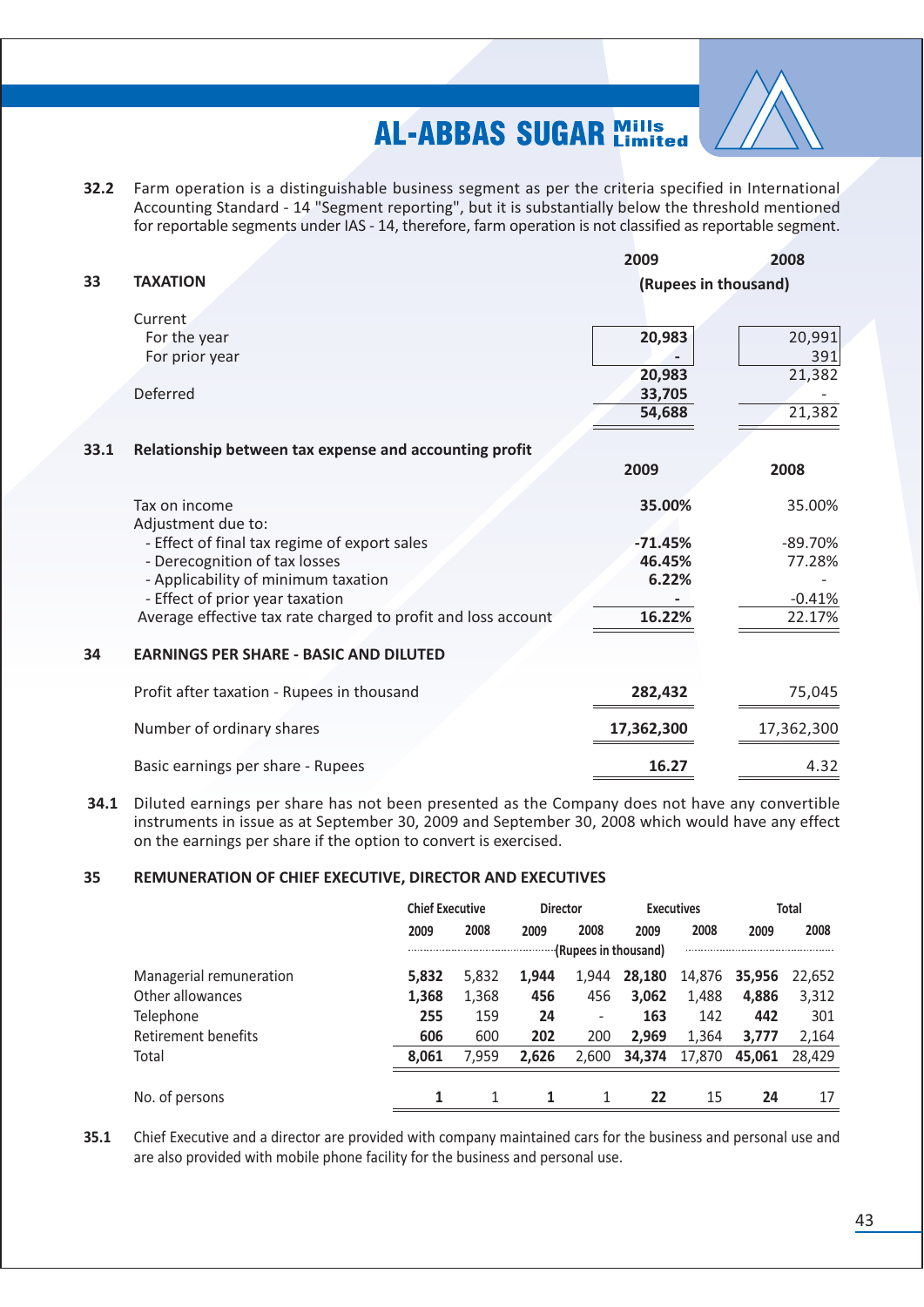

32.2 Farm operation is a distinguishable business segment as per the criteria specified in International Accounting Standard - 14 "Segment reporting", but it is substantially below the threshold mentioned for reportable segments under IAS - 14, therefore, farm operation is not classified as reportable segment.

|      |                                                               | 2009                 | 2008       |
|------|---------------------------------------------------------------|----------------------|------------|
| 33   | <b>TAXATION</b>                                               | (Rupees in thousand) |            |
|      | <b>Current</b>                                                |                      |            |
|      | For the year                                                  | 20,983               | 20,991     |
|      | For prior year                                                |                      | 391        |
|      |                                                               | 20,983               | 21,382     |
|      | Deferred                                                      | 33,705               |            |
|      |                                                               | 54,688               | 21,382     |
| 33.1 | Relationship between tax expense and accounting profit        |                      |            |
|      |                                                               | 2009                 | 2008       |
|      | Tax on income                                                 | 35.00%               | 35.00%     |
|      | Adjustment due to:                                            |                      |            |
|      | - Effect of final tax regime of export sales                  | $-71.45%$            | $-89.70%$  |
|      | - Derecognition of tax losses                                 | 46.45%               | 77.28%     |
|      | - Applicability of minimum taxation                           | 6.22%                |            |
|      | - Effect of prior year taxation                               |                      | $-0.41%$   |
|      | Average effective tax rate charged to profit and loss account | 16.22%               | 22.17%     |
| 34   | <b>EARNINGS PER SHARE - BASIC AND DILUTED</b>                 |                      |            |
|      | Profit after taxation - Rupees in thousand                    | 282,432              | 75,045     |
|      | Number of ordinary shares                                     | 17,362,300           | 17,362,300 |
|      | Basic earnings per share - Rupees                             | 16.27                | 4.32       |

34.1 Diluted earnings per share has not been presented as the Company does not have any convertible instruments in issue as at September 30, 2009 and September 30, 2008 which would have any effect on the earnings per share if the option to convert is exercised.

#### 35 REMUNERATION OF CHIEF EXECUTIVE, DIRECTOR AND EXECUTIVES

|                         | <b>Chief Executive</b> |       | <b>Director</b> |                          | <b>Executives</b> |        |        | <b>Total</b> |
|-------------------------|------------------------|-------|-----------------|--------------------------|-------------------|--------|--------|--------------|
|                         | 2009                   | 2008  | 2009            | 2008                     | 2009              | 2008   | 2009   | 2008         |
|                         |                        |       |                 | (Rupees in thousand)     |                   |        |        |              |
| Managerial remuneration | 5,832                  | 5,832 | 1,944           | 1,944                    | 28,180            | 14,876 | 35,956 | 22.652       |
| Other allowances        | 1,368                  | 1,368 | 456             | 456                      | 3,062             | 1.488  | 4.886  | 3,312        |
| Telephone               | 255                    | 159   | 24              | $\overline{\phantom{a}}$ | 163               | 142    | 442    | 301          |
| Retirement benefits     | 606                    | 600   | 202             | 200                      | 2.969             | 1.364  | 3.777  | 2,164        |
| Total                   | 8,061                  | 7.959 | 2,626           | 2.600                    | 34,374            | 17.870 | 45.061 | 28,429       |
|                         |                        |       |                 |                          |                   |        |        |              |
| No. of persons          |                        |       | 1               |                          | 22                | 15     | 24     | 17           |

 $35.1$ Chief Executive and a director are provided with company maintained cars for the business and personal use and are also provided with mobile phone facility for the business and personal use.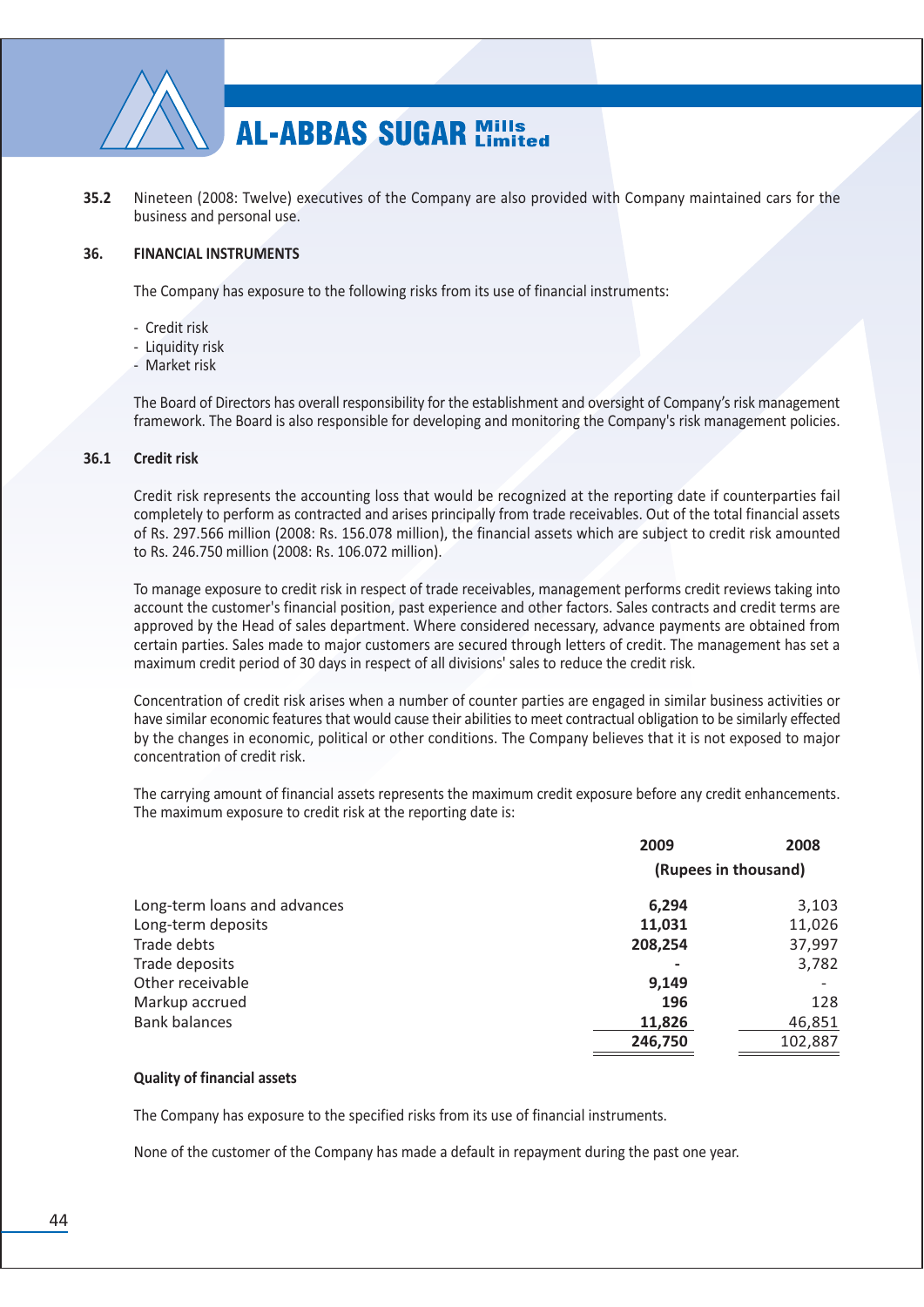

 $35.2$ Nineteen (2008: Twelve) executives of the Company are also provided with Company maintained cars for the business and personal use.

#### 36. **FINANCIAL INSTRUMENTS**

The Company has exposure to the following risks from its use of financial instruments:

- Credit risk
- Liquidity risk
- Market risk

The Board of Directors has overall responsibility for the establishment and oversight of Company's risk management framework. The Board is also responsible for developing and monitoring the Company's risk management policies.

#### $36.1$ **Credit risk**

Credit risk represents the accounting loss that would be recognized at the reporting date if counterparties fail completely to perform as contracted and arises principally from trade receivables. Out of the total financial assets of Rs. 297.566 million (2008: Rs. 156.078 million), the financial assets which are subject to credit risk amounted to Rs. 246.750 million (2008: Rs. 106.072 million).

To manage exposure to credit risk in respect of trade receivables, management performs credit reviews taking into account the customer's financial position, past experience and other factors. Sales contracts and credit terms are approved by the Head of sales department. Where considered necessary, advance payments are obtained from certain parties. Sales made to major customers are secured through letters of credit. The management has set a maximum credit period of 30 days in respect of all divisions' sales to reduce the credit risk.

Concentration of credit risk arises when a number of counter parties are engaged in similar business activities or have similar economic features that would cause their abilities to meet contractual obligation to be similarly effected by the changes in economic, political or other conditions. The Company believes that it is not exposed to major concentration of credit risk.

The carrying amount of financial assets represents the maximum credit exposure before any credit enhancements. The maximum exposure to credit risk at the reporting date is:

|                              | 2009                 | 2008    |
|------------------------------|----------------------|---------|
|                              | (Rupees in thousand) |         |
| Long-term loans and advances | 6,294                | 3,103   |
| Long-term deposits           | 11,031               | 11,026  |
| Trade debts                  | 208,254              | 37,997  |
| Trade deposits               | ۰                    | 3,782   |
| Other receivable             | 9,149                |         |
| Markup accrued               | 196                  | 128     |
| <b>Bank balances</b>         | 11,826               | 46,851  |
|                              | 246,750              | 102,887 |

#### **Quality of financial assets**

The Company has exposure to the specified risks from its use of financial instruments.

None of the customer of the Company has made a default in repayment during the past one year.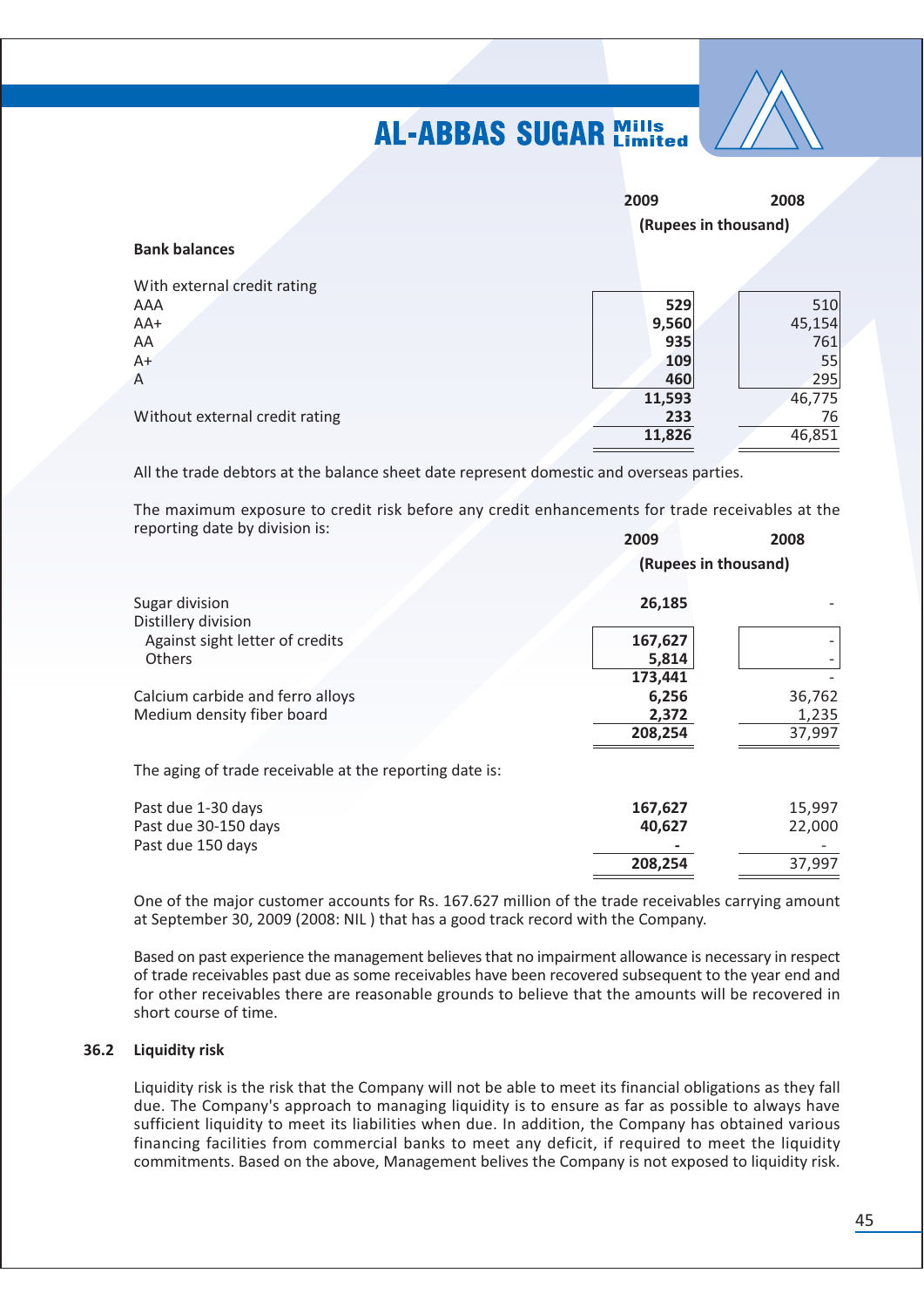

|                                | 2009<br>(Rupees in thousand) | 2008   |
|--------------------------------|------------------------------|--------|
| <b>Bank balances</b>           |                              |        |
| With external credit rating    |                              |        |
| AAA                            | 529                          | 510    |
| AA+                            | 9,560                        | 45,154 |
| AA                             | 935                          | 761    |
| $A+$                           | 109                          | 55     |
| $\overline{A}$                 | 460                          | 295    |
|                                | 11,593                       | 46,775 |
| Without external credit rating | 233                          | 76     |
|                                | 11,826                       | 46,851 |

All the trade debtors at the balance sheet date represent domestic and overseas parties.

The maximum exposure to credit risk before any credit enhancements for trade receivables at the reporting date by division is:  $\sim$   $\sim$   $\sim$ 

|                                                         | 2009    | 2008                 |  |
|---------------------------------------------------------|---------|----------------------|--|
|                                                         |         | (Rupees in thousand) |  |
| Sugar division                                          | 26,185  |                      |  |
| Distillery division                                     |         |                      |  |
| Against sight letter of credits                         | 167,627 |                      |  |
| Others                                                  | 5,814   |                      |  |
|                                                         | 173,441 |                      |  |
| Calcium carbide and ferro alloys                        | 6,256   | 36,762               |  |
| Medium density fiber board                              | 2,372   | 1,235                |  |
|                                                         | 208,254 | 37,997               |  |
| The aging of trade receivable at the reporting date is: |         |                      |  |
| Past due 1-30 days                                      | 167,627 | 15,997               |  |
| Past due 30-150 days                                    | 40,627  | 22,000               |  |
| Past due 150 days                                       |         |                      |  |
|                                                         | 208,254 | 37,997               |  |

One of the major customer accounts for Rs. 167.627 million of the trade receivables carrying amount at September 30, 2009 (2008: NIL) that has a good track record with the Company.

Based on past experience the management believes that no impairment allowance is necessary in respect of trade receivables past due as some receivables have been recovered subsequent to the year end and for other receivables there are reasonable grounds to believe that the amounts will be recovered in short course of time.

### 36.2 Liquidity risk

Liquidity risk is the risk that the Company will not be able to meet its financial obligations as they fall due. The Company's approach to managing liquidity is to ensure as far as possible to always have sufficient liquidity to meet its liabilities when due. In addition, the Company has obtained various financing facilities from commercial banks to meet any deficit, if required to meet the liquidity commitments. Based on the above, Management belives the Company is not exposed to liquidity risk.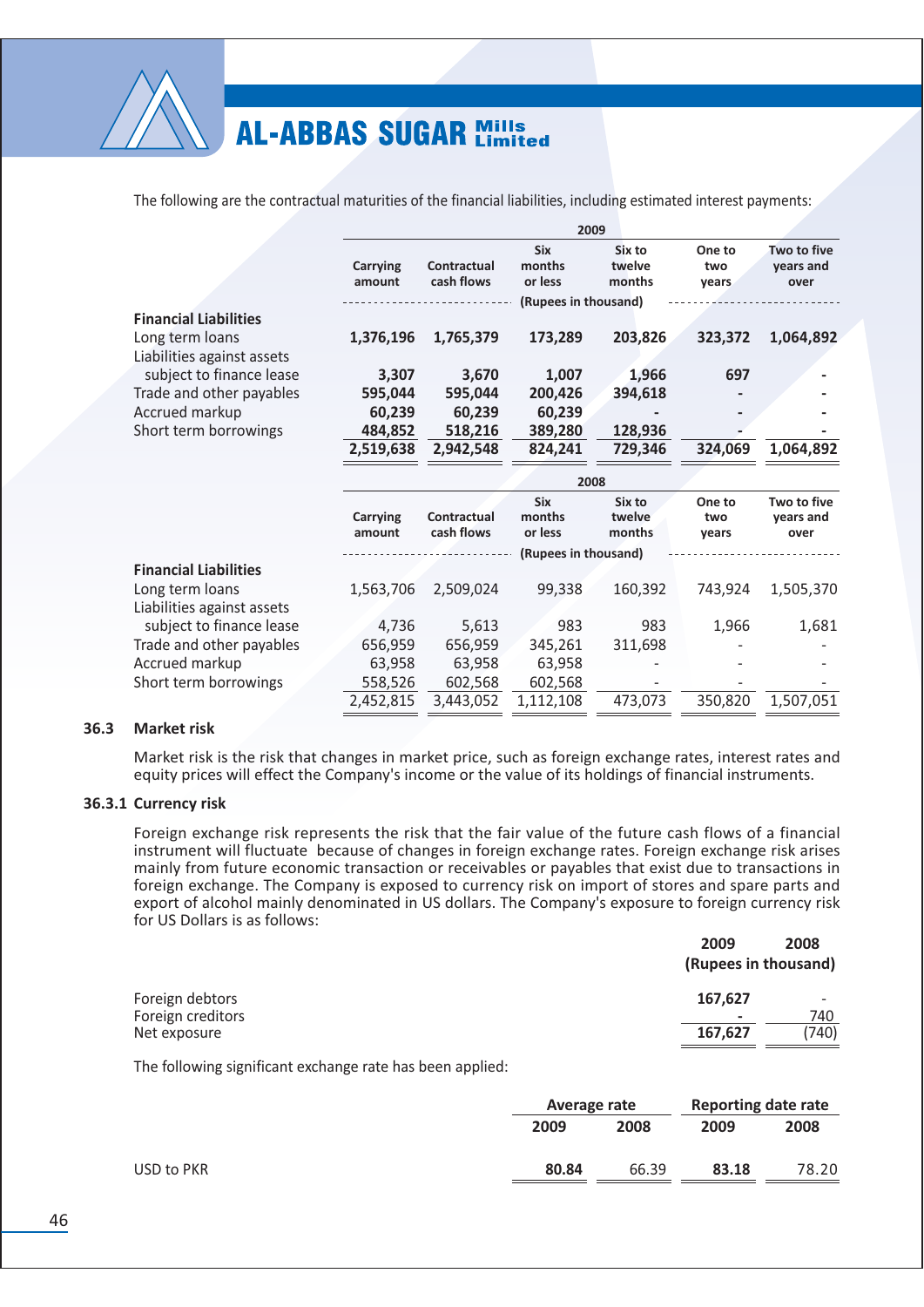

The following are the contractual maturities of the financial liabilities, including estimated interest payments:

|                                               |                    |                           | 2009                            |                            |                        |                                  |
|-----------------------------------------------|--------------------|---------------------------|---------------------------------|----------------------------|------------------------|----------------------------------|
|                                               | Carrying<br>amount | Contractual<br>cash flows | <b>Six</b><br>months<br>or less | Six to<br>twelve<br>months | One to<br>two<br>years | Two to five<br>years and<br>over |
|                                               |                    |                           | (Rupees in thousand)            |                            |                        |                                  |
| <b>Financial Liabilities</b>                  |                    |                           |                                 |                            |                        |                                  |
| Long term loans                               | 1,376,196          | 1,765,379                 | 173,289                         | 203,826                    | 323,372                | 1,064,892                        |
| Liabilities against assets                    |                    |                           |                                 |                            |                        |                                  |
| subject to finance lease                      | 3,307              | 3,670                     | 1,007                           | 1,966                      | 697                    |                                  |
| Trade and other payables                      | 595,044            | 595,044                   | 200,426                         | 394,618                    |                        |                                  |
| Accrued markup                                | 60,239             | 60,239                    | 60,239                          |                            |                        |                                  |
| Short term borrowings                         | 484,852            | 518,216                   | 389,280                         | 128,936                    |                        |                                  |
|                                               | 2,519,638          | 2,942,548                 | 824,241                         | 729,346                    | 324,069                | 1,064,892                        |
|                                               |                    |                           | 2008                            |                            |                        |                                  |
|                                               | Carrying<br>amount | Contractual<br>cash flows | <b>Six</b><br>months<br>or less | Six to<br>twelve<br>months | One to<br>two<br>years | Two to five<br>years and<br>over |
|                                               |                    |                           | (Rupees in thousand)            |                            |                        |                                  |
| <b>Financial Liabilities</b>                  |                    |                           |                                 |                            |                        |                                  |
| Long term loans<br>Liabilities against assets | 1,563,706          | 2,509,024                 | 99,338                          | 160,392                    | 743,924                | 1,505,370                        |
| subject to finance lease                      | 4,736              | 5,613                     | 983                             | 983                        | 1,966                  | 1,681                            |
| Trade and other payables                      | 656,959            | 656,959                   | 345,261                         | 311,698                    |                        |                                  |
| Accrued markup                                | 63,958             | 63,958                    | 63,958                          |                            |                        |                                  |
| Short term borrowings                         | 558,526            | 602,568                   | 602,568                         |                            |                        |                                  |
|                                               | 2,452,815          | 3,443,052                 | 1,112,108                       | 473,073                    | 350,820                | 1,507,051                        |

#### $36.3$ **Market risk**

Market risk is the risk that changes in market price, such as foreign exchange rates, interest rates and equity prices will effect the Company's income or the value of its holdings of financial instruments.

#### 36.3.1 Currency risk

Foreign exchange risk represents the risk that the fair value of the future cash flows of a financial instrument will fluctuate because of changes in foreign exchange rates. Foreign exchange risk arises mainly from future economic transaction or receivables or payables that exist due to transactions in foreign exchange. The Company is exposed to currency risk on import of stores and spare parts and export of alcohol mainly denominated in US dollars. The Company's exposure to foreign currency risk for US Dollars is as follows:

|                   | 2009    | 2008                 |
|-------------------|---------|----------------------|
|                   |         | (Rupees in thousand) |
| Foreign debtors   | 167,627 |                      |
| Foreign creditors | ٠       | 740                  |
| Net exposure      | 167,627 | (740)                |
|                   |         |                      |

The following significant exchange rate has been applied:

|            |       | Average rate |       | <b>Reporting date rate</b> |
|------------|-------|--------------|-------|----------------------------|
|            | 2009  | 2008         | 2009  | 2008                       |
| USD to PKR | 80.84 | 66.39        | 83.18 | 78.20                      |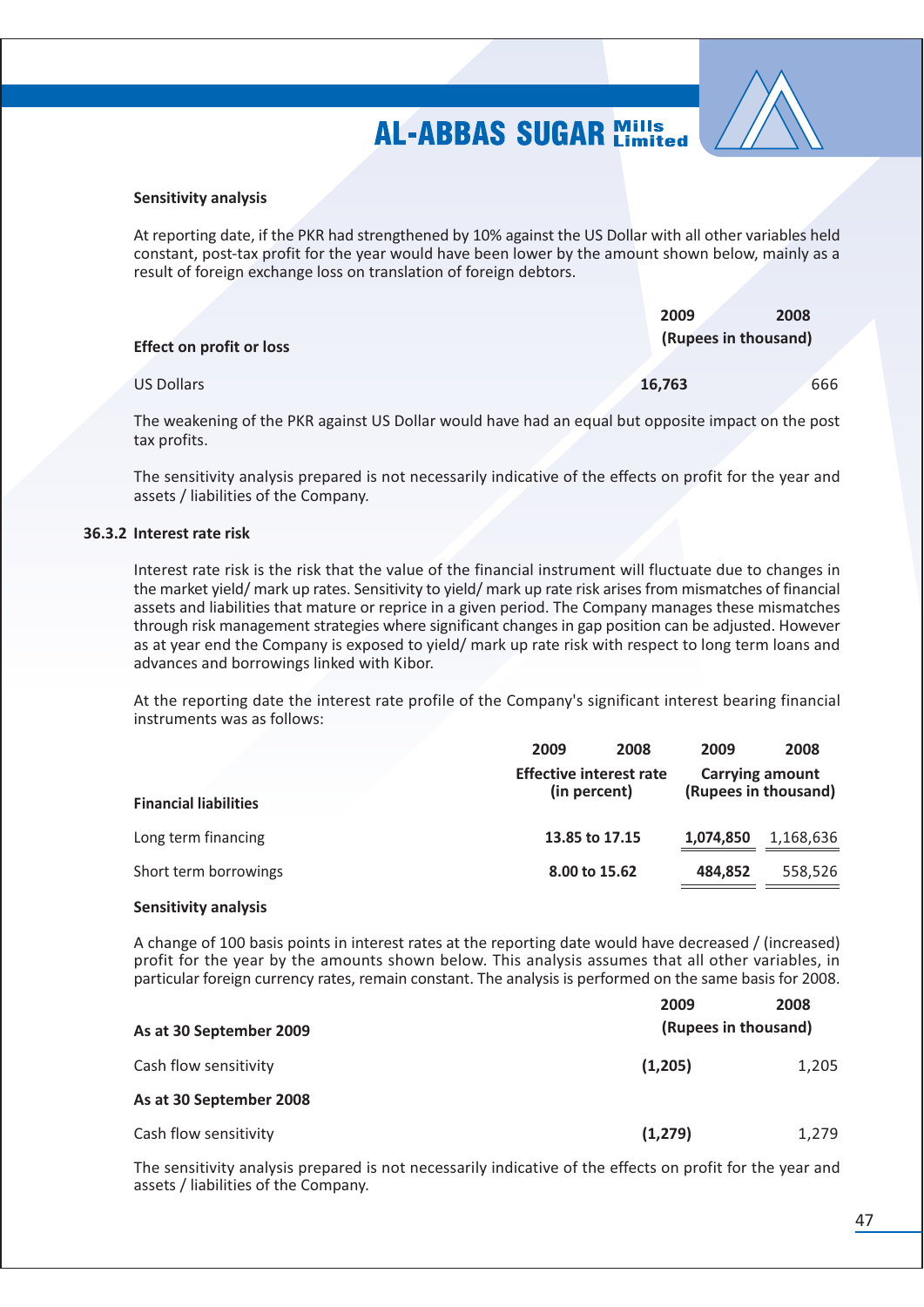

#### **Sensitivity analysis**

At reporting date, if the PKR had strengthened by 10% against the US Dollar with all other variables held constant, post-tax profit for the year would have been lower by the amount shown below, mainly as a result of foreign exchange loss on translation of foreign debtors.

|                                 | 2009                 | 2008 |  |
|---------------------------------|----------------------|------|--|
| <b>Effect on profit or loss</b> | (Rupees in thousand) |      |  |
| US Dollars                      | 16,763               | 666  |  |

The weakening of the PKR against US Dollar would have had an equal but opposite impact on the post tax profits.

The sensitivity analysis prepared is not necessarily indicative of the effects on profit for the year and assets / liabilities of the Company.

#### 36.3.2 Interest rate risk

Interest rate risk is the risk that the value of the financial instrument will fluctuate due to changes in the market yield/ mark up rates. Sensitivity to yield/ mark up rate risk arises from mismatches of financial assets and liabilities that mature or reprice in a given period. The Company manages these mismatches through risk management strategies where significant changes in gap position can be adjusted. However as at year end the Company is exposed to yield/ mark up rate risk with respect to long term loans and advances and borrowings linked with Kibor.

At the reporting date the interest rate profile of the Company's significant interest bearing financial instruments was as follows:

| 2009 | 2008 | 2009                                                                              | 2008                                           |
|------|------|-----------------------------------------------------------------------------------|------------------------------------------------|
|      |      |                                                                                   | <b>Carrying amount</b><br>(Rupees in thousand) |
|      |      | 1,074,850                                                                         | 1,168,636                                      |
|      |      | 484.852                                                                           | 558,526                                        |
|      |      | <b>Effective interest rate</b><br>(in percent)<br>13.85 to 17.15<br>8.00 to 15.62 |                                                |

### **Sensitivity analysis**

A change of 100 basis points in interest rates at the reporting date would have decreased / (increased) profit for the year by the amounts shown below. This analysis assumes that all other variables, in particular foreign currency rates, remain constant. The analysis is performed on the same basis for 2008.

|                         | 2009                 | 2008  |
|-------------------------|----------------------|-------|
| As at 30 September 2009 | (Rupees in thousand) |       |
| Cash flow sensitivity   | (1,205)              | 1,205 |
| As at 30 September 2008 |                      |       |
| Cash flow sensitivity   | (1,279)              | 1,279 |

The sensitivity analysis prepared is not necessarily indicative of the effects on profit for the year and assets / liabilities of the Company.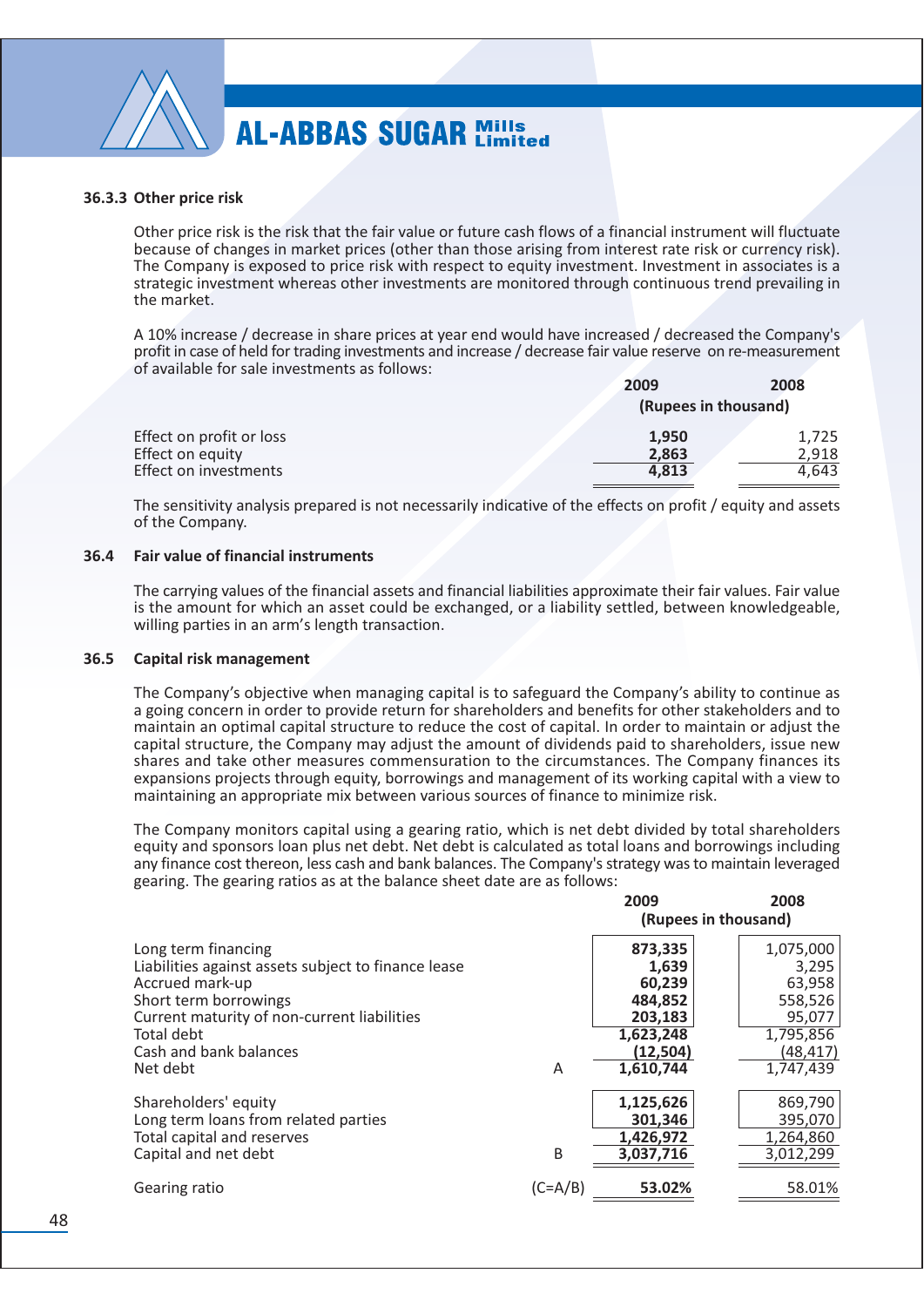

#### 36.3.3 Other price risk

Other price risk is the risk that the fair value or future cash flows of a financial instrument will fluctuate because of changes in market prices (other than those arising from interest rate risk or currency risk). The Company is exposed to price risk with respect to equity investment. Investment in associates is a strategic investment whereas other investments are monitored through continuous trend prevailing in the market.

A 10% increase / decrease in share prices at year end would have increased / decreased the Company's profit in case of held for trading investments and increase / decrease fair value reserve on re-measurement of available for sale investments as follows:

|                          | <b>2009</b>          | <b>2008</b> |
|--------------------------|----------------------|-------------|
|                          | (Rupees in thousand) |             |
| Effect on profit or loss | 1.950                | 1,725       |
| Effect on equity         | 2,863                | 2.918       |
| Effect on investments    | 4.813                | 4.643       |

The sensitivity analysis prepared is not necessarily indicative of the effects on profit / equity and assets of the Company.

#### 36.4 **Fair value of financial instruments**

The carrying values of the financial assets and financial liabilities approximate their fair values. Fair value is the amount for which an asset could be exchanged, or a liability settled, between knowledgeable, willing parties in an arm's length transaction.

#### $36.5$ Capital risk management

The Company's objective when managing capital is to safeguard the Company's ability to continue as a going concern in order to provide return for shareholders and benefits for other stakeholders and to maintain an optimal capital structure to reduce the cost of capital. In order to maintain or adjust the capital structure, the Company may adjust the amount of dividends paid to shareholders, issue new shares and take other measures commensuration to the circumstances. The Company finances its expansions projects through equity, borrowings and management of its working capital with a view to maintaining an appropriate mix between various sources of finance to minimize risk.

The Company monitors capital using a gearing ratio, which is net debt divided by total shareholders equity and sponsors loan plus net debt. Net debt is calculated as total loans and borrowings including any finance cost thereon, less cash and bank balances. The Company's strategy was to maintain leveraged gearing. The gearing ratios as at the balance sheet date are as follows:

|                                                     |           | 2009      | 2008                 |
|-----------------------------------------------------|-----------|-----------|----------------------|
|                                                     |           |           | (Rupees in thousand) |
| Long term financing                                 |           | 873,335   | 1,075,000            |
| Liabilities against assets subject to finance lease |           | 1,639     | 3,295                |
| Accrued mark-up                                     |           | 60,239    | 63,958               |
| Short term borrowings                               |           | 484,852   | 558,526              |
| Current maturity of non-current liabilities         |           | 203,183   | 95,077               |
| Total debt                                          |           | 1,623,248 | 1,795,856            |
| Cash and bank balances                              |           | (12, 504) | (48,417)             |
| Net debt                                            | A         | 1,610,744 | 1,747,439            |
| Shareholders' equity                                |           | 1,125,626 | 869,790              |
| Long term loans from related parties                |           | 301,346   | 395,070              |
| Total capital and reserves                          |           | 1,426,972 | 1,264,860            |
| Capital and net debt                                | B         | 3,037,716 | 3,012,299            |
| Gearing ratio                                       | $(C=A/B)$ | 53.02%    | 58.01%               |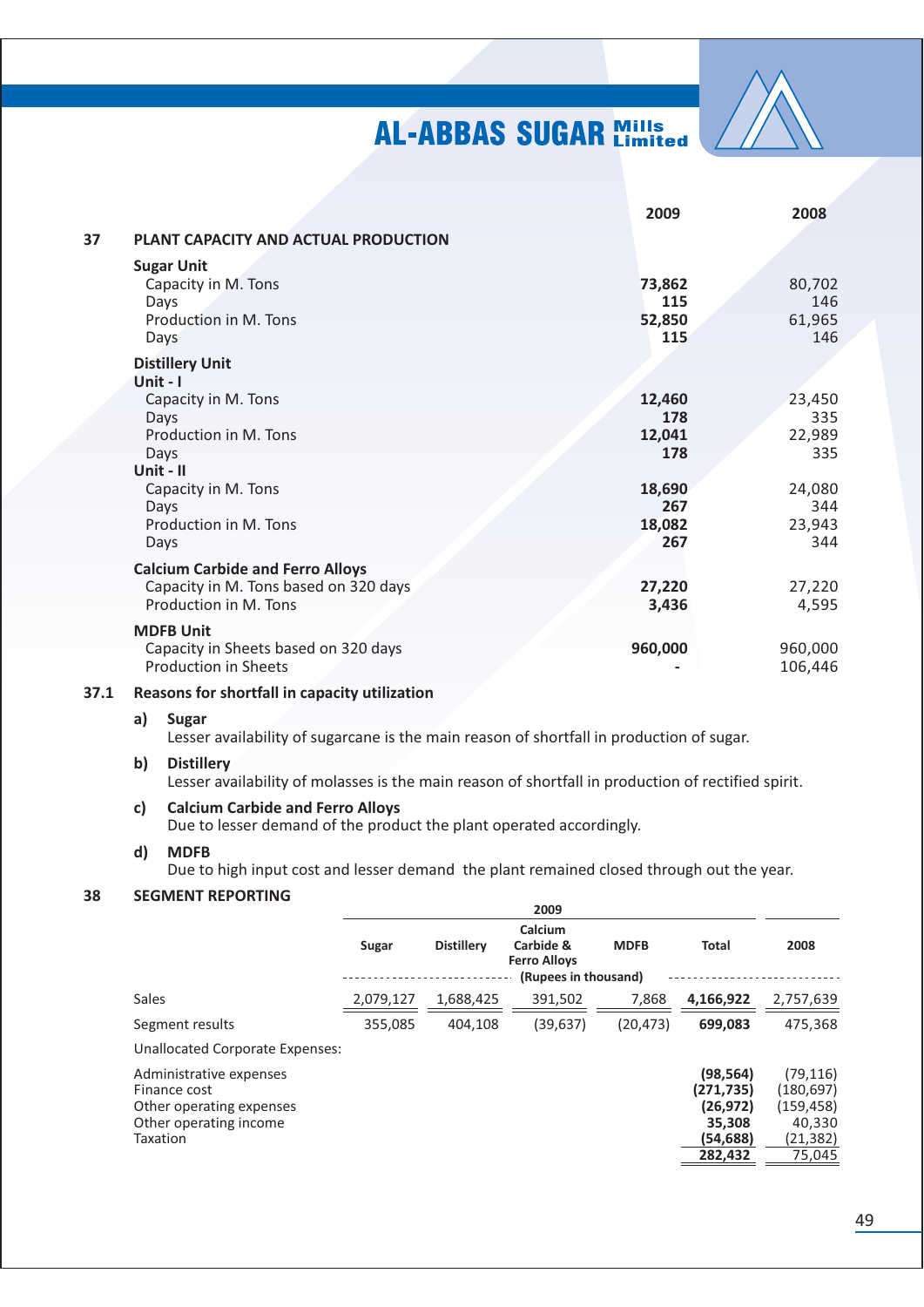

|    |                                                                                                                      | 2009                                            | 2008                                            |
|----|----------------------------------------------------------------------------------------------------------------------|-------------------------------------------------|-------------------------------------------------|
| 37 | PLANT CAPACITY AND ACTUAL PRODUCTION                                                                                 |                                                 |                                                 |
|    | <b>Sugar Unit</b><br>Capacity in M. Tons<br>Days<br>Production in M. Tons<br><b>Days</b>                             | 73,862<br>115<br>52,850<br>115                  | 80,702<br>146<br>61,965<br>146                  |
|    | <b>Distillery Unit</b>                                                                                               |                                                 |                                                 |
|    | Unit - I<br>Capacity in M. Tons<br>Days<br>Production in M. Tons<br>Days<br>Unit - II<br>Capacity in M. Tons<br>Days | 12,460<br>178<br>12,041<br>178<br>18,690<br>267 | 23,450<br>335<br>22,989<br>335<br>24,080<br>344 |
|    | Production in M. Tons<br>Days                                                                                        | 18,082<br>267                                   | 23,943<br>344                                   |
|    | <b>Calcium Carbide and Ferro Alloys</b><br>Capacity in M. Tons based on 320 days<br>Production in M. Tons            | 27,220<br>3,436                                 | 27,220<br>4,595                                 |
|    | <b>MDFB Unit</b><br>Capacity in Sheets based on 320 days<br><b>Production in Sheets</b>                              | 960,000                                         | 960,000<br>106,446                              |

#### 37.1 Reasons for shortfall in capacity utilization

#### $a)$ Sugar

Lesser availability of sugarcane is the main reason of shortfall in production of sugar.

#### **Distillery**  $\mathsf{b}$

Lesser availability of molasses is the main reason of shortfall in production of rectified spirit.

#### **Calcium Carbide and Ferro Alloys**  $c)$

Due to lesser demand of the product the plant operated accordingly.

#### **MDFB** d)

Due to high input cost and lesser demand the plant remained closed through out the year.

#### **SEGMENT REPORTING** 38

|                                                                                                           |           |                   | 2009                                                                |             |                                                                     |                                                                       |
|-----------------------------------------------------------------------------------------------------------|-----------|-------------------|---------------------------------------------------------------------|-------------|---------------------------------------------------------------------|-----------------------------------------------------------------------|
|                                                                                                           | Sugar     | <b>Distillery</b> | Calcium<br>Carbide &<br><b>Ferro Alloys</b><br>(Rupees in thousand) | <b>MDFB</b> | <b>Total</b>                                                        | 2008                                                                  |
| Sales                                                                                                     | 2,079,127 | 1,688,425         | 391,502                                                             | 7,868       | 4,166,922                                                           | 2,757,639                                                             |
| Segment results                                                                                           | 355,085   | 404.108           | (39, 637)                                                           | (20, 473)   | 699,083                                                             | 475,368                                                               |
| Unallocated Corporate Expenses:                                                                           |           |                   |                                                                     |             |                                                                     |                                                                       |
| Administrative expenses<br>Finance cost<br>Other operating expenses<br>Other operating income<br>Taxation |           |                   |                                                                     |             | (98,564)<br>(271,735)<br>(26, 972)<br>35,308<br>(54,688)<br>282,432 | (79, 116)<br>(180, 697)<br>(159, 458)<br>40,330<br>(21,382)<br>75,045 |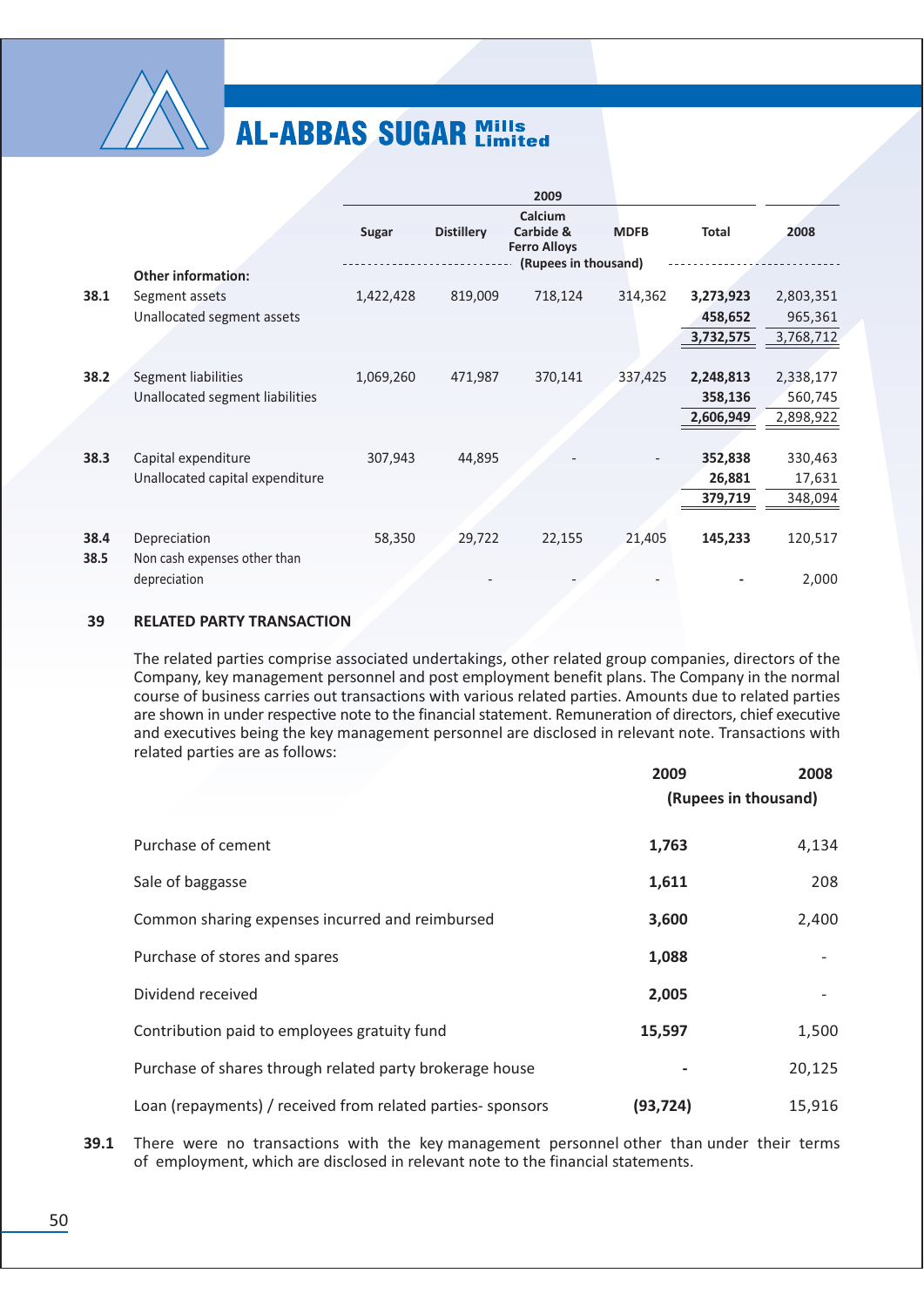

|      |                                              |           |                   | 2009                                        |             |              |           |
|------|----------------------------------------------|-----------|-------------------|---------------------------------------------|-------------|--------------|-----------|
|      |                                              | Sugar     | <b>Distillery</b> | Calcium<br>Carbide &<br><b>Ferro Alloys</b> | <b>MDFB</b> | <b>Total</b> | 2008      |
|      | <b>Other information:</b>                    |           |                   | (Rupees in thousand)                        |             |              |           |
| 38.1 | Segment assets                               | 1,422,428 | 819,009           | 718,124                                     | 314,362     | 3,273,923    | 2,803,351 |
|      | Unallocated segment assets                   |           |                   |                                             |             | 458,652      | 965,361   |
|      |                                              |           |                   |                                             |             | 3,732,575    | 3,768,712 |
|      |                                              |           |                   |                                             |             |              |           |
| 38.2 | Segment liabilities                          | 1,069,260 | 471,987           | 370,141                                     | 337,425     | 2,248,813    | 2,338,177 |
|      | Unallocated segment liabilities              |           |                   |                                             |             | 358,136      | 560,745   |
|      |                                              |           |                   |                                             |             | 2,606,949    | 2,898,922 |
|      |                                              |           |                   |                                             |             |              |           |
| 38.3 | Capital expenditure                          | 307,943   | 44,895            |                                             |             | 352,838      | 330,463   |
|      | Unallocated capital expenditure              |           |                   |                                             |             | 26,881       | 17,631    |
|      |                                              |           |                   |                                             |             | 379,719      | 348,094   |
|      |                                              |           |                   |                                             |             |              |           |
| 38.4 | Depreciation                                 | 58,350    | 29,722            | 22,155                                      | 21,405      | 145,233      | 120,517   |
| 38.5 | Non cash expenses other than<br>depreciation |           |                   |                                             |             |              | 2,000     |

#### 39 **RELATED PARTY TRANSACTION**

The related parties comprise associated undertakings, other related group companies, directors of the Company, key management personnel and post employment benefit plans. The Company in the normal course of business carries out transactions with various related parties. Amounts due to related parties are shown in under respective note to the financial statement. Remuneration of directors, chief executive and executives being the key management personnel are disclosed in relevant note. Transactions with related parties are as follows:

|                                                            | 2009<br>(Rupees in thousand) | 2008   |
|------------------------------------------------------------|------------------------------|--------|
| Purchase of cement                                         | 1,763                        | 4,134  |
| Sale of baggasse                                           | 1,611                        | 208    |
| Common sharing expenses incurred and reimbursed            | 3,600                        | 2,400  |
| Purchase of stores and spares                              | 1,088                        |        |
| Dividend received                                          | 2,005                        |        |
| Contribution paid to employees gratuity fund               | 15,597                       | 1,500  |
| Purchase of shares through related party brokerage house   |                              | 20,125 |
| Loan (repayments) / received from related parties-sponsors | (93, 724)                    | 15,916 |

39.1 There were no transactions with the key management personnel other than under their terms of employment, which are disclosed in relevant note to the financial statements.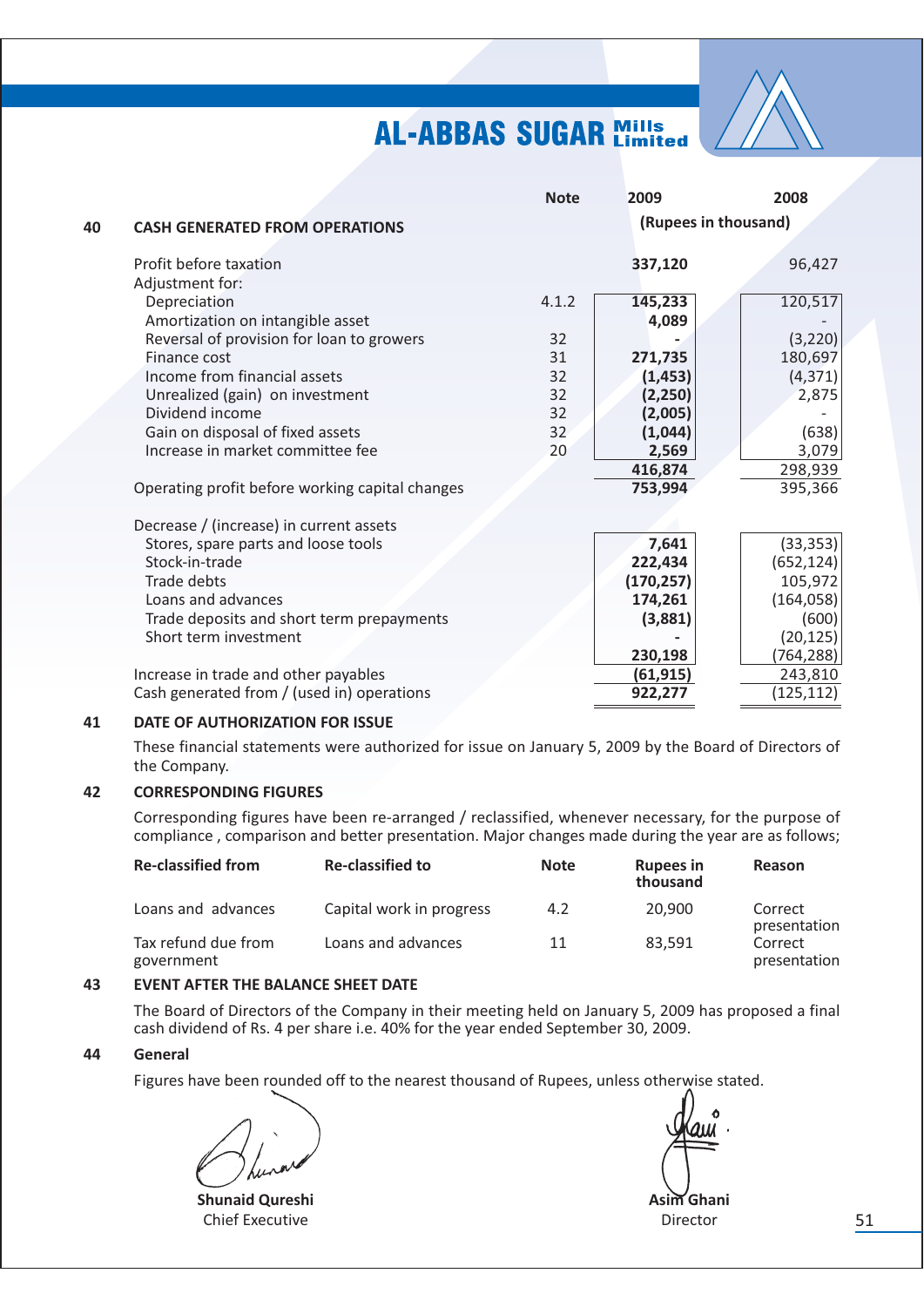

|    |                                                 | <b>Note</b> | 2009                 | 2008       |
|----|-------------------------------------------------|-------------|----------------------|------------|
| 40 | <b>CASH GENERATED FROM OPERATIONS</b>           |             | (Rupees in thousand) |            |
|    | Profit before taxation                          |             | 337,120              | 96,427     |
|    | Adjustment for:                                 |             |                      |            |
|    | Depreciation                                    | 4.1.2       | 145,233              | 120,517    |
|    | Amortization on intangible asset                |             | 4,089                |            |
|    | Reversal of provision for loan to growers       | 32          |                      | (3, 220)   |
|    | Finance cost                                    | 31          | 271,735              | 180,697    |
|    | Income from financial assets                    | 32          | (1, 453)             | (4, 371)   |
|    | Unrealized (gain) on investment                 | 32          | (2, 250)             | 2,875      |
|    | Dividend income                                 | 32          | (2,005)              |            |
|    | Gain on disposal of fixed assets                | 32          | (1,044)              | (638)      |
|    | Increase in market committee fee                | 20          | 2,569                | 3,079      |
|    |                                                 |             | 416,874              | 298,939    |
|    | Operating profit before working capital changes |             | 753,994              | 395,366    |
|    | Decrease / (increase) in current assets         |             |                      |            |
|    | Stores, spare parts and loose tools             |             | 7,641                | (33, 353)  |
|    | Stock-in-trade                                  |             | 222,434              | (652, 124) |
|    | <b>Trade debts</b>                              |             | (170, 257)           | 105,972    |
|    | Loans and advances                              |             | 174,261              | (164, 058) |
|    | Trade deposits and short term prepayments       |             | (3,881)              | (600)      |
|    | Short term investment                           |             |                      | (20, 125)  |
|    |                                                 |             | 230,198              | (764,288)  |
|    | Increase in trade and other payables            |             | (61, 915)            | 243,810    |
|    | Cash generated from / (used in) operations      |             | 922,277              | (125, 112) |
|    |                                                 |             |                      |            |

#### 41 DATE OF AUTHORIZATION FOR ISSUE

These financial statements were authorized for issue on January 5, 2009 by the Board of Directors of the Company.

#### $42$ **CORRESPONDING FIGURES**

Corresponding figures have been re-arranged / reclassified, whenever necessary, for the purpose of compliance, comparison and better presentation. Major changes made during the year are as follows;

| <b>Re-classified from</b>         | <b>Re-classified to</b>  | <b>Note</b> | <b>Rupees in</b><br>thousand | <b>Reason</b>           |
|-----------------------------------|--------------------------|-------------|------------------------------|-------------------------|
| Loans and advances                | Capital work in progress | 4.2         | 20,900                       | Correct<br>presentation |
| Tax refund due from<br>government | Loans and advances       | 11          | 83.591                       | Correct<br>presentation |

#### 43 **EVENT AFTER THE BALANCE SHEET DATE**

The Board of Directors of the Company in their meeting held on January 5, 2009 has proposed a final cash dividend of Rs. 4 per share i.e. 40% for the year ended September 30, 2009.

#### 44 **General**

Figures have been rounded off to the nearest thousand of Rupees, unless otherwise stated.

**Shunaid Qureshi Chief Executive** 

Asim Ghani Director